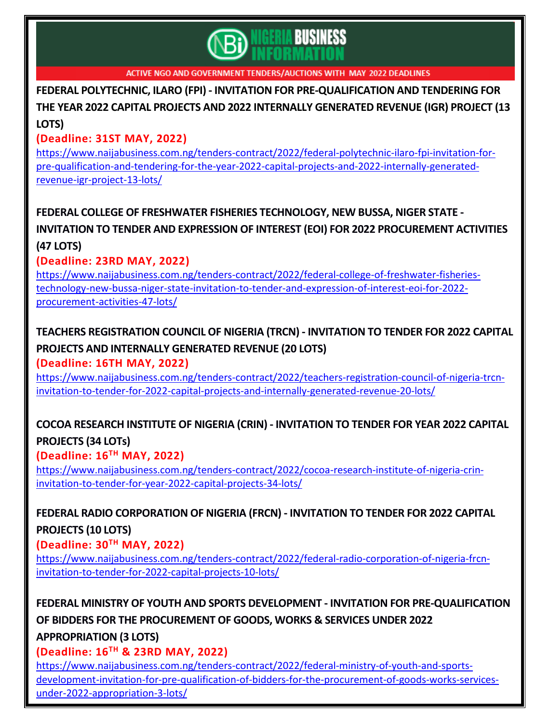

**FEDERAL POLYTECHNIC, ILARO (FPI) - INVITATION FOR [PRE-QUALIFICATION](https://www.naijabusiness.com.ng/tenders-contract/2022/federal-polytechnic-ilaro-fpi-invitation-for-pre-qualification-and-tendering-for-the-year-2022-capital-projects-and-2022-internally-generated-revenue-igr-project-13-lots/) AND TENDERING FOR THE YEAR 2022 CAPITAL PROJECTS AND 2022 [INTERNALLY](https://www.naijabusiness.com.ng/tenders-contract/2022/federal-polytechnic-ilaro-fpi-invitation-for-pre-qualification-and-tendering-for-the-year-2022-capital-projects-and-2022-internally-generated-revenue-igr-project-13-lots/) GENERATED REVENUE (IGR) PROJECT (13 [LOTS\)](https://www.naijabusiness.com.ng/tenders-contract/2022/federal-polytechnic-ilaro-fpi-invitation-for-pre-qualification-and-tendering-for-the-year-2022-capital-projects-and-2022-internally-generated-revenue-igr-project-13-lots/)**

#### **(Deadline: 31ST MAY, 2022)**

[https://www.naijabusiness.com.ng/tenders-contract/2022/federal-polytechnic-ilaro-fpi-invitation-for](https://www.naijabusiness.com.ng/tenders-contract/2022/federal-polytechnic-ilaro-fpi-invitation-for-pre-qualification-and-tendering-for-the-year-2022-capital-projects-and-2022-internally-generated-revenue-igr-project-13-lots/)[pre-qualification-and-tendering-for-the-year-2022-capital-projects-and-2022-internally-generated](https://www.naijabusiness.com.ng/tenders-contract/2022/federal-polytechnic-ilaro-fpi-invitation-for-pre-qualification-and-tendering-for-the-year-2022-capital-projects-and-2022-internally-generated-revenue-igr-project-13-lots/)[revenue-igr-project-13-lots/](https://www.naijabusiness.com.ng/tenders-contract/2022/federal-polytechnic-ilaro-fpi-invitation-for-pre-qualification-and-tendering-for-the-year-2022-capital-projects-and-2022-internally-generated-revenue-igr-project-13-lots/)

# **FEDERAL COLLEGE OF FRESHWATER FISHERIES [TECHNOLOGY,](https://www.naijabusiness.com.ng/tenders-contract/2022/federal-college-of-freshwater-fisheries-technology-new-bussa-niger-state-invitation-to-tender-and-expression-of-interest-eoi-for-2022-procurement-activities-47-lots/) NEW BUSSA, NIGER STATE - INVITATION TO TENDER AND EXPRESSION OF INTEREST (EOI) FOR 2022 [PROCUREMENT](https://www.naijabusiness.com.ng/tenders-contract/2022/federal-college-of-freshwater-fisheries-technology-new-bussa-niger-state-invitation-to-tender-and-expression-of-interest-eoi-for-2022-procurement-activities-47-lots/) ACTIVITIES (47 [LOTS\)](https://www.naijabusiness.com.ng/tenders-contract/2022/federal-college-of-freshwater-fisheries-technology-new-bussa-niger-state-invitation-to-tender-and-expression-of-interest-eoi-for-2022-procurement-activities-47-lots/)**

#### **(Deadline: 23RD MAY, 2022)**

[https://www.naijabusiness.com.ng/tenders-contract/2022/federal-college-of-freshwater-fisheries](https://www.naijabusiness.com.ng/tenders-contract/2022/federal-college-of-freshwater-fisheries-technology-new-bussa-niger-state-invitation-to-tender-and-expression-of-interest-eoi-for-2022-procurement-activities-47-lots/)[technology-new-bussa-niger-state-invitation-to-tender-and-expression-of-interest-eoi-for-2022](https://www.naijabusiness.com.ng/tenders-contract/2022/federal-college-of-freshwater-fisheries-technology-new-bussa-niger-state-invitation-to-tender-and-expression-of-interest-eoi-for-2022-procurement-activities-47-lots/) [procurement-activities-47-lots/](https://www.naijabusiness.com.ng/tenders-contract/2022/federal-college-of-freshwater-fisheries-technology-new-bussa-niger-state-invitation-to-tender-and-expression-of-interest-eoi-for-2022-procurement-activities-47-lots/)

# **TEACHERS [REGISTRATION](https://www.naijabusiness.com.ng/tenders-contract/2022/teachers-registration-council-of-nigeria-trcn-invitation-to-tender-for-2022-capital-projects-and-internally-generated-revenue-20-lots/) COUNCIL OF NIGERIA (TRCN) - INVITATION TO TENDER FOR 2022 CAPITAL PROJECTS AND [INTERNALLY](https://www.naijabusiness.com.ng/tenders-contract/2022/teachers-registration-council-of-nigeria-trcn-invitation-to-tender-for-2022-capital-projects-and-internally-generated-revenue-20-lots/) GENERATED REVENUE (20 LOTS)**

#### **(Deadline: 16TH MAY, 2022)**

[https://www.naijabusiness.com.ng/tenders-contract/2022/teachers-registration-council-of-nigeria-trcn](https://www.naijabusiness.com.ng/tenders-contract/2022/teachers-registration-council-of-nigeria-trcn-invitation-to-tender-for-2022-capital-projects-and-internally-generated-revenue-20-lots/)[invitation-to-tender-for-2022-capital-projects-and-internally-generated-revenue-20-lots/](https://www.naijabusiness.com.ng/tenders-contract/2022/teachers-registration-council-of-nigeria-trcn-invitation-to-tender-for-2022-capital-projects-and-internally-generated-revenue-20-lots/)

## **COCOA RESEARCH INSTITUTE OF NIGERIA (CRIN) - [INVITATION](https://www.naijabusiness.com.ng/tenders-contract/2022/cocoa-research-institute-of-nigeria-crin-invitation-to-tender-for-year-2022-capital-projects-34-lots/) TO TENDER FOR YEAR 2022 CAPITAL [PROJECTS](https://www.naijabusiness.com.ng/tenders-contract/2022/cocoa-research-institute-of-nigeria-crin-invitation-to-tender-for-year-2022-capital-projects-34-lots/) (34 LOTs)**

#### **(Deadline: 16TH MAY, 2022)**

[https://www.naijabusiness.com.ng/tenders-contract/2022/cocoa-research-institute-of-nigeria-crin](https://www.naijabusiness.com.ng/tenders-contract/2022/cocoa-research-institute-of-nigeria-crin-invitation-to-tender-for-year-2022-capital-projects-34-lots/)[invitation-to-tender-for-year-2022-capital-projects-34-lots/](https://www.naijabusiness.com.ng/tenders-contract/2022/cocoa-research-institute-of-nigeria-crin-invitation-to-tender-for-year-2022-capital-projects-34-lots/)

## **FEDERAL RADIO [CORPORATION](https://www.naijabusiness.com.ng/tenders-contract/2022/federal-radio-corporation-of-nigeria-frcn-invitation-to-tender-for-2022-capital-projects-10-lots/) OF NIGERIA (FRCN) - INVITATION TO TENDER FOR 2022 CAPITAL [PROJECTS](https://www.naijabusiness.com.ng/tenders-contract/2022/federal-radio-corporation-of-nigeria-frcn-invitation-to-tender-for-2022-capital-projects-10-lots/) (10 LOTS)**

#### **(Deadline: 30TH MAY, 2022)**

[https://www.naijabusiness.com.ng/tenders-contract/2022/federal-radio-corporation-of-nigeria-frcn](https://www.naijabusiness.com.ng/tenders-contract/2022/federal-radio-corporation-of-nigeria-frcn-invitation-to-tender-for-2022-capital-projects-10-lots/)[invitation-to-tender-for-2022-capital-projects-10-lots/](https://www.naijabusiness.com.ng/tenders-contract/2022/federal-radio-corporation-of-nigeria-frcn-invitation-to-tender-for-2022-capital-projects-10-lots/)

**FEDERAL MINISTRY OF YOUTH AND SPORTS DEVELOPMENT - INVITATION FOR [PRE-QUALIFICATION](https://www.naijabusiness.com.ng/tenders-contract/2022/federal-ministry-of-youth-and-sports-development-invitation-for-pre-qualification-of-bidders-for-the-procurement-of-goods-works-services-under-2022-appropriation-3-lots/) OF BIDDERS FOR THE [PROCUREMENT](https://www.naijabusiness.com.ng/tenders-contract/2022/federal-ministry-of-youth-and-sports-development-invitation-for-pre-qualification-of-bidders-for-the-procurement-of-goods-works-services-under-2022-appropriation-3-lots/) OF GOODS, WORKS & SERVICES UNDER 2022 [APPROPRIATION](https://www.naijabusiness.com.ng/tenders-contract/2022/federal-ministry-of-youth-and-sports-development-invitation-for-pre-qualification-of-bidders-for-the-procurement-of-goods-works-services-under-2022-appropriation-3-lots/) (3 LOTS)**

#### **(Deadline: 16TH & 23RD MAY, 2022)**

[https://www.naijabusiness.com.ng/tenders-contract/2022/federal-ministry-of-youth-and-sports](https://www.naijabusiness.com.ng/tenders-contract/2022/federal-ministry-of-youth-and-sports-development-invitation-for-pre-qualification-of-bidders-for-the-procurement-of-goods-works-services-under-2022-appropriation-3-lots/)[development-invitation-for-pre-qualification-of-bidders-for-the-procurement-of-goods-works-services](https://www.naijabusiness.com.ng/tenders-contract/2022/federal-ministry-of-youth-and-sports-development-invitation-for-pre-qualification-of-bidders-for-the-procurement-of-goods-works-services-under-2022-appropriation-3-lots/)[under-2022-appropriation-3-lots/](https://www.naijabusiness.com.ng/tenders-contract/2022/federal-ministry-of-youth-and-sports-development-invitation-for-pre-qualification-of-bidders-for-the-procurement-of-goods-works-services-under-2022-appropriation-3-lots/)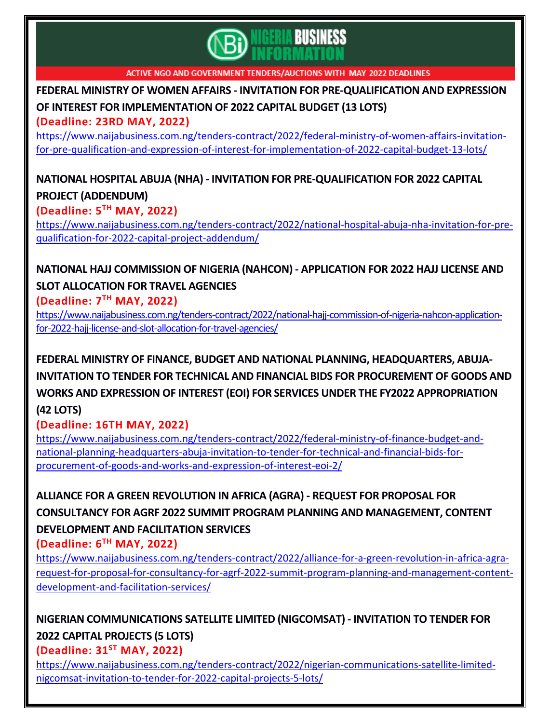

**FEDERAL MINISTRY OF WOMEN AFFAIRS - INVITATION FOR [PRE-QUALIFICATION](https://www.naijabusiness.com.ng/tenders-contract/2022/federal-ministry-of-women-affairs-invitation-for-pre-qualification-and-expression-of-interest-for-implementation-of-2022-capital-budget-13-lots/) AND EXPRESSION OF INTEREST FOR [IMPLEMENTATION](https://www.naijabusiness.com.ng/tenders-contract/2022/federal-ministry-of-women-affairs-invitation-for-pre-qualification-and-expression-of-interest-for-implementation-of-2022-capital-budget-13-lots/) OF 2022 CAPITAL BUDGET (13 LOTS)**

**(Deadline: 23RD MAY, 2022)**

[https://www.naijabusiness.com.ng/tenders-contract/2022/federal-ministry-of-women-affairs-invitation](https://www.naijabusiness.com.ng/tenders-contract/2022/federal-ministry-of-women-affairs-invitation-for-pre-qualification-and-expression-of-interest-for-implementation-of-2022-capital-budget-13-lots/)[for-pre-qualification-and-expression-of-interest-for-implementation-of-2022-capital-budget-13-lots/](https://www.naijabusiness.com.ng/tenders-contract/2022/federal-ministry-of-women-affairs-invitation-for-pre-qualification-and-expression-of-interest-for-implementation-of-2022-capital-budget-13-lots/)

**NATIONAL HOSPITAL ABUJA (NHA) - INVITATION FOR [PRE-QUALIFICATION](https://www.naijabusiness.com.ng/tenders-contract/2022/national-hospital-abuja-nha-invitation-for-pre-qualification-for-2022-capital-project-addendum/) FOR 2022 CAPITAL PROJECT [\(ADDENDUM\)](https://www.naijabusiness.com.ng/tenders-contract/2022/national-hospital-abuja-nha-invitation-for-pre-qualification-for-2022-capital-project-addendum/)**

**(Deadline: 5 TH MAY, 2022)**

[https://www.naijabusiness.com.ng/tenders-contract/2022/national-hospital-abuja-nha-invitation-for-pre](https://www.naijabusiness.com.ng/tenders-contract/2022/national-hospital-abuja-nha-invitation-for-pre-qualification-for-2022-capital-project-addendum/)[qualification-for-2022-capital-project-addendum/](https://www.naijabusiness.com.ng/tenders-contract/2022/national-hospital-abuja-nha-invitation-for-pre-qualification-for-2022-capital-project-addendum/)

**NATIONAL HAJJ [COMMISSION](https://www.naijabusiness.com.ng/tenders-contract/2022/national-hajj-commission-of-nigeria-nahcon-application-for-2022-hajj-license-and-slot-allocation-for-travel-agencies/) OF NIGERIA (NAHCON) - APPLICATION FOR 2022 HAJJ LICENSE AND SLOT [ALLOCATION](https://www.naijabusiness.com.ng/tenders-contract/2022/national-hajj-commission-of-nigeria-nahcon-application-for-2022-hajj-license-and-slot-allocation-for-travel-agencies/) FOR TRAVEL AGENCIES**

**(Deadline: 7 TH MAY, 2022)**

[https://www.naijabusiness.com.ng/tenders-contract/2022/national-hajj-commission-of-nigeria-nahcon-application](https://www.naijabusiness.com.ng/tenders-contract/2022/national-hajj-commission-of-nigeria-nahcon-application-for-2022-hajj-license-and-slot-allocation-for-travel-agencies/)[for-2022-hajj-license-and-slot-allocation-for-travel-agencies/](https://www.naijabusiness.com.ng/tenders-contract/2022/national-hajj-commission-of-nigeria-nahcon-application-for-2022-hajj-license-and-slot-allocation-for-travel-agencies/)

**FEDERAL MINISTRY OF FINANCE, BUDGET AND NATIONAL PLANNING, [HEADQUARTERS,](https://www.naijabusiness.com.ng/tenders-contract/2022/federal-ministry-of-finance-budget-and-national-planning-headquarters-abuja-invitation-to-tender-for-technical-and-financial-bids-for-procurement-of-goods-and-works-and-expression-of-interest-eoi-2/) ABUJA-INVITATION TO TENDER FOR TECHNICAL AND FINANCIAL BIDS FOR [PROCUREMENT](https://www.naijabusiness.com.ng/tenders-contract/2022/federal-ministry-of-finance-budget-and-national-planning-headquarters-abuja-invitation-to-tender-for-technical-and-financial-bids-for-procurement-of-goods-and-works-and-expression-of-interest-eoi-2/) OF GOODS AND WORKS AND EXPRESSION OF INTEREST (EOI) FOR SERVICES UNDER THE FY2022 [APPROPRIATION](https://www.naijabusiness.com.ng/tenders-contract/2022/federal-ministry-of-finance-budget-and-national-planning-headquarters-abuja-invitation-to-tender-for-technical-and-financial-bids-for-procurement-of-goods-and-works-and-expression-of-interest-eoi-2/) (42 [LOTS\)](https://www.naijabusiness.com.ng/tenders-contract/2022/federal-ministry-of-finance-budget-and-national-planning-headquarters-abuja-invitation-to-tender-for-technical-and-financial-bids-for-procurement-of-goods-and-works-and-expression-of-interest-eoi-2/)**

**(Deadline: 16TH MAY, 2022)**

[https://www.naijabusiness.com.ng/tenders-contract/2022/federal-ministry-of-finance-budget-and](https://www.naijabusiness.com.ng/tenders-contract/2022/federal-ministry-of-finance-budget-and-national-planning-headquarters-abuja-invitation-to-tender-for-technical-and-financial-bids-for-procurement-of-goods-and-works-and-expression-of-interest-eoi-2/)[national-planning-headquarters-abuja-invitation-to-tender-for-technical-and-financial-bids-for](https://www.naijabusiness.com.ng/tenders-contract/2022/federal-ministry-of-finance-budget-and-national-planning-headquarters-abuja-invitation-to-tender-for-technical-and-financial-bids-for-procurement-of-goods-and-works-and-expression-of-interest-eoi-2/)[procurement-of-goods-and-works-and-expression-of-interest-eoi-2/](https://www.naijabusiness.com.ng/tenders-contract/2022/federal-ministry-of-finance-budget-and-national-planning-headquarters-abuja-invitation-to-tender-for-technical-and-financial-bids-for-procurement-of-goods-and-works-and-expression-of-interest-eoi-2/)

**ALLIANCE FOR A GREEN [REVOLUTION](https://www.naijabusiness.com.ng/tenders-contract/2022/alliance-for-a-green-revolution-in-africa-agra-request-for-proposal-for-consultancy-for-agrf-2022-summit-program-planning-and-management-content-development-and-facilitation-services/) IN AFRICA (AGRA) - REQUEST FOR PROPOSAL FOR CONSULTANCY FOR AGRF 2022 SUMMIT PROGRAM PLANNING AND [MANAGEMENT,](https://www.naijabusiness.com.ng/tenders-contract/2022/alliance-for-a-green-revolution-in-africa-agra-request-for-proposal-for-consultancy-for-agrf-2022-summit-program-planning-and-management-content-development-and-facilitation-services/) CONTENT [DEVELOPMENT](https://www.naijabusiness.com.ng/tenders-contract/2022/alliance-for-a-green-revolution-in-africa-agra-request-for-proposal-for-consultancy-for-agrf-2022-summit-program-planning-and-management-content-development-and-facilitation-services/) AND FACILITATION SERVICES**

**(Deadline: 6 TH MAY, 2022)**

[https://www.naijabusiness.com.ng/tenders-contract/2022/alliance-for-a-green-revolution-in-africa-agra](https://www.naijabusiness.com.ng/tenders-contract/2022/alliance-for-a-green-revolution-in-africa-agra-request-for-proposal-for-consultancy-for-agrf-2022-summit-program-planning-and-management-content-development-and-facilitation-services/)[request-for-proposal-for-consultancy-for-agrf-2022-summit-program-planning-and-management-content](https://www.naijabusiness.com.ng/tenders-contract/2022/alliance-for-a-green-revolution-in-africa-agra-request-for-proposal-for-consultancy-for-agrf-2022-summit-program-planning-and-management-content-development-and-facilitation-services/)[development-and-facilitation-services/](https://www.naijabusiness.com.ng/tenders-contract/2022/alliance-for-a-green-revolution-in-africa-agra-request-for-proposal-for-consultancy-for-agrf-2022-summit-program-planning-and-management-content-development-and-facilitation-services/)

**NIGERIAN [COMMUNICATIONS](https://www.naijabusiness.com.ng/tenders-contract/2022/nigerian-communications-satellite-limited-nigcomsat-invitation-to-tender-for-2022-capital-projects-5-lots/) SATELLITE LIMITED (NIGCOMSAT) - INVITATION TO TENDER FOR 2022 CAPITAL [PROJECTS](https://www.naijabusiness.com.ng/tenders-contract/2022/nigerian-communications-satellite-limited-nigcomsat-invitation-to-tender-for-2022-capital-projects-5-lots/) (5 LOTS)**

**(Deadline: 31ST MAY, 2022)**

[https://www.naijabusiness.com.ng/tenders-contract/2022/nigerian-communications-satellite-limited](https://www.naijabusiness.com.ng/tenders-contract/2022/nigerian-communications-satellite-limited-nigcomsat-invitation-to-tender-for-2022-capital-projects-5-lots/)[nigcomsat-invitation-to-tender-for-2022-capital-projects-5-lots/](https://www.naijabusiness.com.ng/tenders-contract/2022/nigerian-communications-satellite-limited-nigcomsat-invitation-to-tender-for-2022-capital-projects-5-lots/)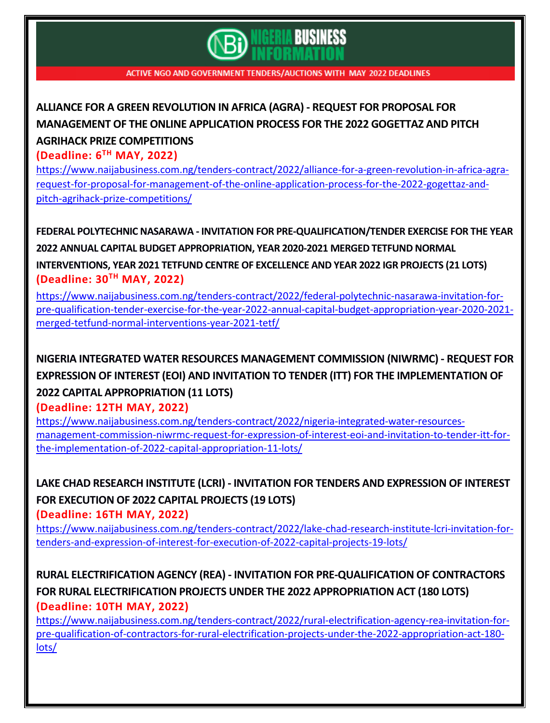

# **ALLIANCE FOR A GREEN [REVOLUTION](https://www.naijabusiness.com.ng/tenders-contract/2022/alliance-for-a-green-revolution-in-africa-agra-request-for-proposal-for-management-of-the-online-application-process-for-the-2022-gogettaz-and-pitch-agrihack-prize-competitions/) IN AFRICA (AGRA) - REQUEST FOR PROPOSAL FOR [MANAGEMENT](https://www.naijabusiness.com.ng/tenders-contract/2022/alliance-for-a-green-revolution-in-africa-agra-request-for-proposal-for-management-of-the-online-application-process-for-the-2022-gogettaz-and-pitch-agrihack-prize-competitions/) OF THE ONLINE APPLICATION PROCESS FOR THE 2022 GOGETTAZ AND PITCH AGRIHACK PRIZE [COMPETITIONS](https://www.naijabusiness.com.ng/tenders-contract/2022/alliance-for-a-green-revolution-in-africa-agra-request-for-proposal-for-management-of-the-online-application-process-for-the-2022-gogettaz-and-pitch-agrihack-prize-competitions/)**

**(Deadline: 6 TH MAY, 2022)**

[https://www.naijabusiness.com.ng/tenders-contract/2022/alliance-for-a-green-revolution-in-africa-agra](https://www.naijabusiness.com.ng/tenders-contract/2022/alliance-for-a-green-revolution-in-africa-agra-request-for-proposal-for-management-of-the-online-application-process-for-the-2022-gogettaz-and-pitch-agrihack-prize-competitions/)[request-for-proposal-for-management-of-the-online-application-process-for-the-2022-gogettaz-and](https://www.naijabusiness.com.ng/tenders-contract/2022/alliance-for-a-green-revolution-in-africa-agra-request-for-proposal-for-management-of-the-online-application-process-for-the-2022-gogettaz-and-pitch-agrihack-prize-competitions/)[pitch-agrihack-prize-competitions/](https://www.naijabusiness.com.ng/tenders-contract/2022/alliance-for-a-green-revolution-in-africa-agra-request-for-proposal-for-management-of-the-online-application-process-for-the-2022-gogettaz-and-pitch-agrihack-prize-competitions/)

**FEDERAL POLYTECHNIC NASARAWA - INVITATION FOR [PRE-QUALIFICATION/TENDER](https://www.naijabusiness.com.ng/tenders-contract/2022/federal-polytechnic-nasarawa-invitation-for-pre-qualification-tender-exercise-for-the-year-2022-annual-capital-budget-appropriation-year-2020-2021-merged-tetfund-normal-interventions-year-2021-tetf/) EXERCISE FOR THE YEAR 2022 ANNUAL CAPITAL BUDGET [APPROPRIATION,](https://www.naijabusiness.com.ng/tenders-contract/2022/federal-polytechnic-nasarawa-invitation-for-pre-qualification-tender-exercise-for-the-year-2022-annual-capital-budget-appropriation-year-2020-2021-merged-tetfund-normal-interventions-year-2021-tetf/) YEAR 2020-2021 MERGED TETFUND NORMAL [INTERVENTIONS,](https://www.naijabusiness.com.ng/tenders-contract/2022/federal-polytechnic-nasarawa-invitation-for-pre-qualification-tender-exercise-for-the-year-2022-annual-capital-budget-appropriation-year-2020-2021-merged-tetfund-normal-interventions-year-2021-tetf/) YEAR 2021 TETFUND CENTRE OF EXCELLENCE AND YEAR 2022 IGR PROJECTS (21 LOTS) (Deadline: 30TH MAY, 2022)**

[https://www.naijabusiness.com.ng/tenders-contract/2022/federal-polytechnic-nasarawa-invitation-for](https://www.naijabusiness.com.ng/tenders-contract/2022/federal-polytechnic-nasarawa-invitation-for-pre-qualification-tender-exercise-for-the-year-2022-annual-capital-budget-appropriation-year-2020-2021-merged-tetfund-normal-interventions-year-2021-tetf/)[pre-qualification-tender-exercise-for-the-year-2022-annual-capital-budget-appropriation-year-2020-2021](https://www.naijabusiness.com.ng/tenders-contract/2022/federal-polytechnic-nasarawa-invitation-for-pre-qualification-tender-exercise-for-the-year-2022-annual-capital-budget-appropriation-year-2020-2021-merged-tetfund-normal-interventions-year-2021-tetf/) [merged-tetfund-normal-interventions-year-2021-tetf/](https://www.naijabusiness.com.ng/tenders-contract/2022/federal-polytechnic-nasarawa-invitation-for-pre-qualification-tender-exercise-for-the-year-2022-annual-capital-budget-appropriation-year-2020-2021-merged-tetfund-normal-interventions-year-2021-tetf/)

# **NIGERIA INTEGRATED WATER RESOURCES [MANAGEMENT](https://www.naijabusiness.com.ng/tenders-contract/2022/nigeria-integrated-water-resources-management-commission-niwrmc-request-for-expression-of-interest-eoi-and-invitation-to-tender-itt-for-the-implementation-of-2022-capital-appropriation-11-lots/) COMMISSION (NIWRMC) - REQUEST FOR EXPRESSION OF INTEREST (EOI) AND INVITATION TO TENDER (ITT) FOR THE [IMPLEMENTATION](https://www.naijabusiness.com.ng/tenders-contract/2022/nigeria-integrated-water-resources-management-commission-niwrmc-request-for-expression-of-interest-eoi-and-invitation-to-tender-itt-for-the-implementation-of-2022-capital-appropriation-11-lots/) OF 2022 CAPITAL [APPROPRIATION](https://www.naijabusiness.com.ng/tenders-contract/2022/nigeria-integrated-water-resources-management-commission-niwrmc-request-for-expression-of-interest-eoi-and-invitation-to-tender-itt-for-the-implementation-of-2022-capital-appropriation-11-lots/) (11 LOTS)**

**(Deadline: 12TH MAY, 2022)**

[https://www.naijabusiness.com.ng/tenders-contract/2022/nigeria-integrated-water-resources](https://www.naijabusiness.com.ng/tenders-contract/2022/nigeria-integrated-water-resources-management-commission-niwrmc-request-for-expression-of-interest-eoi-and-invitation-to-tender-itt-for-the-implementation-of-2022-capital-appropriation-11-lots/)[management-commission-niwrmc-request-for-expression-of-interest-eoi-and-invitation-to-tender-itt-for](https://www.naijabusiness.com.ng/tenders-contract/2022/nigeria-integrated-water-resources-management-commission-niwrmc-request-for-expression-of-interest-eoi-and-invitation-to-tender-itt-for-the-implementation-of-2022-capital-appropriation-11-lots/)[the-implementation-of-2022-capital-appropriation-11-lots/](https://www.naijabusiness.com.ng/tenders-contract/2022/nigeria-integrated-water-resources-management-commission-niwrmc-request-for-expression-of-interest-eoi-and-invitation-to-tender-itt-for-the-implementation-of-2022-capital-appropriation-11-lots/)

**LAKE CHAD RESEARCH INSTITUTE (LCRI) - INVITATION FOR TENDERS AND [EXPRESSION](https://www.naijabusiness.com.ng/tenders-contract/2022/lake-chad-research-institute-lcri-invitation-for-tenders-and-expression-of-interest-for-execution-of-2022-capital-projects-19-lots/) OF INTEREST FOR [EXECUTION](https://www.naijabusiness.com.ng/tenders-contract/2022/lake-chad-research-institute-lcri-invitation-for-tenders-and-expression-of-interest-for-execution-of-2022-capital-projects-19-lots/) OF 2022 CAPITAL PROJECTS (19 LOTS)**

**(Deadline: 16TH MAY, 2022)** [https://www.naijabusiness.com.ng/tenders-contract/2022/lake-chad-research-institute-lcri-invitation-for-](https://www.naijabusiness.com.ng/tenders-contract/2022/lake-chad-research-institute-lcri-invitation-for-tenders-and-expression-of-interest-for-execution-of-2022-capital-projects-19-lots/)

[tenders-and-expression-of-interest-for-execution-of-2022-capital-projects-19-lots/](https://www.naijabusiness.com.ng/tenders-contract/2022/lake-chad-research-institute-lcri-invitation-for-tenders-and-expression-of-interest-for-execution-of-2022-capital-projects-19-lots/)

## **RURAL ELECTRIFICATION AGENCY (REA) - INVITATION FOR [PRE-QUALIFICATION](https://www.naijabusiness.com.ng/tenders-contract/2022/rural-electrification-agency-rea-invitation-for-pre-qualification-of-contractors-for-rural-electrification-projects-under-the-2022-appropriation-act-180-lots/) OF CONTRACTORS FOR RURAL [ELECTRIFICATION](https://www.naijabusiness.com.ng/tenders-contract/2022/rural-electrification-agency-rea-invitation-for-pre-qualification-of-contractors-for-rural-electrification-projects-under-the-2022-appropriation-act-180-lots/) PROJECTS UNDER THE 2022 APPROPRIATION ACT (180 LOTS) (Deadline: 10TH MAY, 2022)**

[https://www.naijabusiness.com.ng/tenders-contract/2022/rural-electrification-agency-rea-invitation-for](https://www.naijabusiness.com.ng/tenders-contract/2022/rural-electrification-agency-rea-invitation-for-pre-qualification-of-contractors-for-rural-electrification-projects-under-the-2022-appropriation-act-180-lots/)[pre-qualification-of-contractors-for-rural-electrification-projects-under-the-2022-appropriation-act-180](https://www.naijabusiness.com.ng/tenders-contract/2022/rural-electrification-agency-rea-invitation-for-pre-qualification-of-contractors-for-rural-electrification-projects-under-the-2022-appropriation-act-180-lots/) [lots/](https://www.naijabusiness.com.ng/tenders-contract/2022/rural-electrification-agency-rea-invitation-for-pre-qualification-of-contractors-for-rural-electrification-projects-under-the-2022-appropriation-act-180-lots/)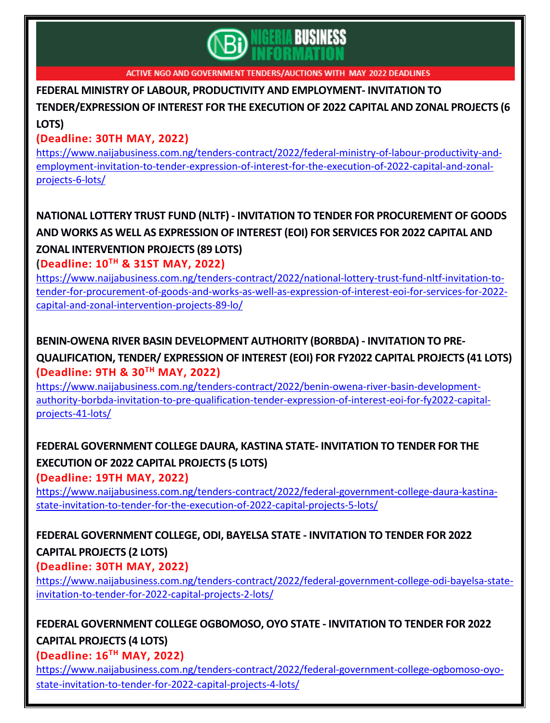

**FEDERAL MINISTRY OF LABOUR, PRODUCTIVITY AND [EMPLOYMENT-](https://www.naijabusiness.com.ng/tenders-contract/2022/federal-ministry-of-labour-productivity-and-employment-invitation-to-tender-expression-of-interest-for-the-execution-of-2022-capital-and-zonal-projects-6-lots/) INVITATION TO**

**[TENDER/EXPRESSION](https://www.naijabusiness.com.ng/tenders-contract/2022/federal-ministry-of-labour-productivity-and-employment-invitation-to-tender-expression-of-interest-for-the-execution-of-2022-capital-and-zonal-projects-6-lots/) OF INTEREST FOR THE EXECUTION OF 2022 CAPITAL AND ZONAL PROJECTS (6**

#### **[LOTS\)](https://www.naijabusiness.com.ng/tenders-contract/2022/federal-ministry-of-labour-productivity-and-employment-invitation-to-tender-expression-of-interest-for-the-execution-of-2022-capital-and-zonal-projects-6-lots/)**

#### **(Deadline: 30TH MAY, 2022)**

[https://www.naijabusiness.com.ng/tenders-contract/2022/federal-ministry-of-labour-productivity-and](https://www.naijabusiness.com.ng/tenders-contract/2022/federal-ministry-of-labour-productivity-and-employment-invitation-to-tender-expression-of-interest-for-the-execution-of-2022-capital-and-zonal-projects-6-lots/)[employment-invitation-to-tender-expression-of-interest-for-the-execution-of-2022-capital-and-zonal](https://www.naijabusiness.com.ng/tenders-contract/2022/federal-ministry-of-labour-productivity-and-employment-invitation-to-tender-expression-of-interest-for-the-execution-of-2022-capital-and-zonal-projects-6-lots/)[projects-6-lots/](https://www.naijabusiness.com.ng/tenders-contract/2022/federal-ministry-of-labour-productivity-and-employment-invitation-to-tender-expression-of-interest-for-the-execution-of-2022-capital-and-zonal-projects-6-lots/)

# **NATIONAL LOTTERY TRUST FUND (NLTF) - INVITATION TO TENDER FOR [PROCUREMENT](https://www.naijabusiness.com.ng/tenders-contract/2022/national-lottery-trust-fund-nltf-invitation-to-tender-for-procurement-of-goods-and-works-as-well-as-expression-of-interest-eoi-for-services-for-2022-capital-and-zonal-intervention-projects-89-lo/) OF GOODS AND WORKS AS WELL AS [EXPRESSION](https://www.naijabusiness.com.ng/tenders-contract/2022/national-lottery-trust-fund-nltf-invitation-to-tender-for-procurement-of-goods-and-works-as-well-as-expression-of-interest-eoi-for-services-for-2022-capital-and-zonal-intervention-projects-89-lo/) OF INTEREST (EOI) FOR SERVICES FOR 2022 CAPITAL AND ZONAL [INTERVENTION](https://www.naijabusiness.com.ng/tenders-contract/2022/national-lottery-trust-fund-nltf-invitation-to-tender-for-procurement-of-goods-and-works-as-well-as-expression-of-interest-eoi-for-services-for-2022-capital-and-zonal-intervention-projects-89-lo/) PROJECTS (89 LOTS)**

**(Deadline: 10TH & 31ST MAY, 2022)**

[https://www.naijabusiness.com.ng/tenders-contract/2022/national-lottery-trust-fund-nltf-invitation-to](https://www.naijabusiness.com.ng/tenders-contract/2022/national-lottery-trust-fund-nltf-invitation-to-tender-for-procurement-of-goods-and-works-as-well-as-expression-of-interest-eoi-for-services-for-2022-capital-and-zonal-intervention-projects-89-lo/)[tender-for-procurement-of-goods-and-works-as-well-as-expression-of-interest-eoi-for-services-for-2022](https://www.naijabusiness.com.ng/tenders-contract/2022/national-lottery-trust-fund-nltf-invitation-to-tender-for-procurement-of-goods-and-works-as-well-as-expression-of-interest-eoi-for-services-for-2022-capital-and-zonal-intervention-projects-89-lo/) [capital-and-zonal-intervention-projects-89-lo/](https://www.naijabusiness.com.ng/tenders-contract/2022/national-lottery-trust-fund-nltf-invitation-to-tender-for-procurement-of-goods-and-works-as-well-as-expression-of-interest-eoi-for-services-for-2022-capital-and-zonal-intervention-projects-89-lo/)

# **BENIN-OWENA RIVER BASIN [DEVELOPMENT](https://www.naijabusiness.com.ng/tenders-contract/2022/benin-owena-river-basin-development-authority-borbda-invitation-to-pre-qualification-tender-expression-of-interest-eoi-for-fy2022-capital-projects-41-lots/) AUTHORITY (BORBDA) - INVITATION TO PRE-[QUALIFICATION,](https://www.naijabusiness.com.ng/tenders-contract/2022/benin-owena-river-basin-development-authority-borbda-invitation-to-pre-qualification-tender-expression-of-interest-eoi-for-fy2022-capital-projects-41-lots/) TENDER/ EXPRESSION OF INTEREST (EOI) FOR FY2022 CAPITAL PROJECTS (41 LOTS) (Deadline: 9TH & 30TH MAY, 2022)**

[https://www.naijabusiness.com.ng/tenders-contract/2022/benin-owena-river-basin-development](https://www.naijabusiness.com.ng/tenders-contract/2022/benin-owena-river-basin-development-authority-borbda-invitation-to-pre-qualification-tender-expression-of-interest-eoi-for-fy2022-capital-projects-41-lots/)[authority-borbda-invitation-to-pre-qualification-tender-expression-of-interest-eoi-for-fy2022-capital](https://www.naijabusiness.com.ng/tenders-contract/2022/benin-owena-river-basin-development-authority-borbda-invitation-to-pre-qualification-tender-expression-of-interest-eoi-for-fy2022-capital-projects-41-lots/)[projects-41-lots/](https://www.naijabusiness.com.ng/tenders-contract/2022/benin-owena-river-basin-development-authority-borbda-invitation-to-pre-qualification-tender-expression-of-interest-eoi-for-fy2022-capital-projects-41-lots/)

# **FEDERAL [GOVERNMENT](https://www.naijabusiness.com.ng/tenders-contract/2022/federal-government-college-daura-kastina-state-invitation-to-tender-for-the-execution-of-2022-capital-projects-5-lots/) COLLEGE DAURA, KASTINA STATE- INVITATION TO TENDER FOR THE [EXECUTION](https://www.naijabusiness.com.ng/tenders-contract/2022/federal-government-college-daura-kastina-state-invitation-to-tender-for-the-execution-of-2022-capital-projects-5-lots/) OF 2022 CAPITAL PROJECTS (5 LOTS)**

**(Deadline: 19TH MAY, 2022)**

[https://www.naijabusiness.com.ng/tenders-contract/2022/federal-government-college-daura-kastina](https://www.naijabusiness.com.ng/tenders-contract/2022/federal-government-college-daura-kastina-state-invitation-to-tender-for-the-execution-of-2022-capital-projects-5-lots/)[state-invitation-to-tender-for-the-execution-of-2022-capital-projects-5-lots/](https://www.naijabusiness.com.ng/tenders-contract/2022/federal-government-college-daura-kastina-state-invitation-to-tender-for-the-execution-of-2022-capital-projects-5-lots/)

## **FEDERAL [GOVERNMENT](https://www.naijabusiness.com.ng/tenders-contract/2022/federal-government-college-odi-bayelsa-state-invitation-to-tender-for-2022-capital-projects-2-lots/) COLLEGE, ODI, BAYELSA STATE - INVITATION TO TENDER FOR 2022 CAPITAL [PROJECTS](https://www.naijabusiness.com.ng/tenders-contract/2022/federal-government-college-odi-bayelsa-state-invitation-to-tender-for-2022-capital-projects-2-lots/) (2 LOTS)**

#### **(Deadline: 30TH MAY, 2022)**

[https://www.naijabusiness.com.ng/tenders-contract/2022/federal-government-college-odi-bayelsa-state](https://www.naijabusiness.com.ng/tenders-contract/2022/federal-government-college-odi-bayelsa-state-invitation-to-tender-for-2022-capital-projects-2-lots/)[invitation-to-tender-for-2022-capital-projects-2-lots/](https://www.naijabusiness.com.ng/tenders-contract/2022/federal-government-college-odi-bayelsa-state-invitation-to-tender-for-2022-capital-projects-2-lots/)

#### **FEDERAL [GOVERNMENT](https://www.naijabusiness.com.ng/tenders-contract/2022/federal-government-college-ogbomoso-oyo-state-invitation-to-tender-for-2022-capital-projects-4-lots/) COLLEGE OGBOMOSO, OYO STATE - INVITATION TO TENDER FOR 2022 CAPITAL [PROJECTS](https://www.naijabusiness.com.ng/tenders-contract/2022/federal-government-college-ogbomoso-oyo-state-invitation-to-tender-for-2022-capital-projects-4-lots/) (4 LOTS)**

## **(Deadline: 16TH MAY, 2022)**

[https://www.naijabusiness.com.ng/tenders-contract/2022/federal-government-college-ogbomoso-oyo](https://www.naijabusiness.com.ng/tenders-contract/2022/federal-government-college-ogbomoso-oyo-state-invitation-to-tender-for-2022-capital-projects-4-lots/)[state-invitation-to-tender-for-2022-capital-projects-4-lots/](https://www.naijabusiness.com.ng/tenders-contract/2022/federal-government-college-ogbomoso-oyo-state-invitation-to-tender-for-2022-capital-projects-4-lots/)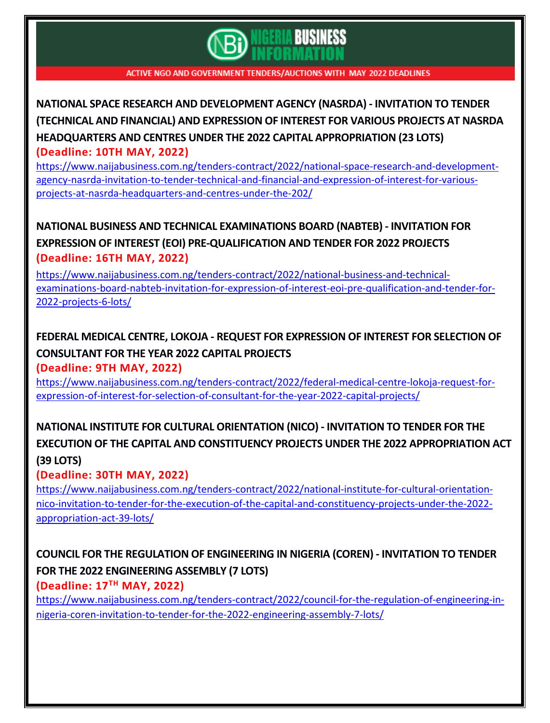

**NATIONAL SPACE RESEARCH AND [DEVELOPMENT](https://www.naijabusiness.com.ng/tenders-contract/2022/national-space-research-and-development-agency-nasrda-invitation-to-tender-technical-and-financial-and-expression-of-interest-for-various-projects-at-nasrda-headquarters-and-centres-under-the-202/) AGENCY (NASRDA) - INVITATION TO TENDER (TECHNICAL AND FINANCIAL) AND [EXPRESSION](https://www.naijabusiness.com.ng/tenders-contract/2022/national-space-research-and-development-agency-nasrda-invitation-to-tender-technical-and-financial-and-expression-of-interest-for-various-projects-at-nasrda-headquarters-and-centres-under-the-202/) OF INTEREST FOR VARIOUS PROJECTS AT NASRDA HEADQUARTERS AND CENTRES UNDER THE 2022 CAPITAL [APPROPRIATION](https://www.naijabusiness.com.ng/tenders-contract/2022/national-space-research-and-development-agency-nasrda-invitation-to-tender-technical-and-financial-and-expression-of-interest-for-various-projects-at-nasrda-headquarters-and-centres-under-the-202/) (23 LOTS) (Deadline: 10TH MAY, 2022)**

[https://www.naijabusiness.com.ng/tenders-contract/2022/national-space-research-and-development](https://www.naijabusiness.com.ng/tenders-contract/2022/national-space-research-and-development-agency-nasrda-invitation-to-tender-technical-and-financial-and-expression-of-interest-for-various-projects-at-nasrda-headquarters-and-centres-under-the-202/)[agency-nasrda-invitation-to-tender-technical-and-financial-and-expression-of-interest-for-various](https://www.naijabusiness.com.ng/tenders-contract/2022/national-space-research-and-development-agency-nasrda-invitation-to-tender-technical-and-financial-and-expression-of-interest-for-various-projects-at-nasrda-headquarters-and-centres-under-the-202/)[projects-at-nasrda-headquarters-and-centres-under-the-202/](https://www.naijabusiness.com.ng/tenders-contract/2022/national-space-research-and-development-agency-nasrda-invitation-to-tender-technical-and-financial-and-expression-of-interest-for-various-projects-at-nasrda-headquarters-and-centres-under-the-202/)

## **NATIONAL BUSINESS AND TECHNICAL [EXAMINATIONS](https://www.naijabusiness.com.ng/tenders-contract/2022/national-business-and-technical-examinations-board-nabteb-invitation-for-expression-of-interest-eoi-pre-qualification-and-tender-for-2022-projects-6-lots/) BOARD (NABTEB) - INVITATION FOR EXPRESSION OF INTEREST (EOI) [PRE-QUALIFICATION](https://www.naijabusiness.com.ng/tenders-contract/2022/national-business-and-technical-examinations-board-nabteb-invitation-for-expression-of-interest-eoi-pre-qualification-and-tender-for-2022-projects-6-lots/) AND TENDER FOR 2022 PROJECTS (Deadline: 16TH MAY, 2022)**

[https://www.naijabusiness.com.ng/tenders-contract/2022/national-business-and-technical](https://www.naijabusiness.com.ng/tenders-contract/2022/national-business-and-technical-examinations-board-nabteb-invitation-for-expression-of-interest-eoi-pre-qualification-and-tender-for-2022-projects-6-lots/)[examinations-board-nabteb-invitation-for-expression-of-interest-eoi-pre-qualification-and-tender-for-](https://www.naijabusiness.com.ng/tenders-contract/2022/national-business-and-technical-examinations-board-nabteb-invitation-for-expression-of-interest-eoi-pre-qualification-and-tender-for-2022-projects-6-lots/)[2022-projects-6-lots/](https://www.naijabusiness.com.ng/tenders-contract/2022/national-business-and-technical-examinations-board-nabteb-invitation-for-expression-of-interest-eoi-pre-qualification-and-tender-for-2022-projects-6-lots/)

# **FEDERAL MEDICAL CENTRE, LOKOJA - REQUEST FOR [EXPRESSION](https://www.naijabusiness.com.ng/tenders-contract/2022/federal-medical-centre-lokoja-request-for-expression-of-interest-for-selection-of-consultant-for-the-year-2022-capital-projects/) OF INTEREST FOR SELECTION OF [CONSULTANT](https://www.naijabusiness.com.ng/tenders-contract/2022/federal-medical-centre-lokoja-request-for-expression-of-interest-for-selection-of-consultant-for-the-year-2022-capital-projects/) FOR THE YEAR 2022 CAPITAL PROJECTS**

**(Deadline: 9TH MAY, 2022)**

[https://www.naijabusiness.com.ng/tenders-contract/2022/federal-medical-centre-lokoja-request-for](https://www.naijabusiness.com.ng/tenders-contract/2022/federal-medical-centre-lokoja-request-for-expression-of-interest-for-selection-of-consultant-for-the-year-2022-capital-projects/)[expression-of-interest-for-selection-of-consultant-for-the-year-2022-capital-projects/](https://www.naijabusiness.com.ng/tenders-contract/2022/federal-medical-centre-lokoja-request-for-expression-of-interest-for-selection-of-consultant-for-the-year-2022-capital-projects/)

## **NATIONAL INSTITUTE FOR CULTURAL [ORIENTATION](https://www.naijabusiness.com.ng/tenders-contract/2022/national-institute-for-cultural-orientation-nico-invitation-to-tender-for-the-execution-of-the-capital-and-constituency-projects-under-the-2022-appropriation-act-39-lots/) (NICO) - INVITATION TO TENDER FOR THE EXECUTION OF THE CAPITAL AND CONSTITUENCY PROJECTS UNDER THE 2022 [APPROPRIATION](https://www.naijabusiness.com.ng/tenders-contract/2022/national-institute-for-cultural-orientation-nico-invitation-to-tender-for-the-execution-of-the-capital-and-constituency-projects-under-the-2022-appropriation-act-39-lots/) ACT (39 [LOTS\)](https://www.naijabusiness.com.ng/tenders-contract/2022/national-institute-for-cultural-orientation-nico-invitation-to-tender-for-the-execution-of-the-capital-and-constituency-projects-under-the-2022-appropriation-act-39-lots/)**

#### **(Deadline: 30TH MAY, 2022)**

[https://www.naijabusiness.com.ng/tenders-contract/2022/national-institute-for-cultural-orientation](https://www.naijabusiness.com.ng/tenders-contract/2022/national-institute-for-cultural-orientation-nico-invitation-to-tender-for-the-execution-of-the-capital-and-constituency-projects-under-the-2022-appropriation-act-39-lots/)[nico-invitation-to-tender-for-the-execution-of-the-capital-and-constituency-projects-under-the-2022](https://www.naijabusiness.com.ng/tenders-contract/2022/national-institute-for-cultural-orientation-nico-invitation-to-tender-for-the-execution-of-the-capital-and-constituency-projects-under-the-2022-appropriation-act-39-lots/) [appropriation-act-39-lots/](https://www.naijabusiness.com.ng/tenders-contract/2022/national-institute-for-cultural-orientation-nico-invitation-to-tender-for-the-execution-of-the-capital-and-constituency-projects-under-the-2022-appropriation-act-39-lots/)

## **COUNCIL FOR THE REGULATION OF [ENGINEERING](https://www.naijabusiness.com.ng/tenders-contract/2022/council-for-the-regulation-of-engineering-in-nigeria-coren-invitation-to-tender-for-the-2022-engineering-assembly-7-lots/) IN NIGERIA (COREN) - INVITATION TO TENDER FOR THE 2022 [ENGINEERING](https://www.naijabusiness.com.ng/tenders-contract/2022/council-for-the-regulation-of-engineering-in-nigeria-coren-invitation-to-tender-for-the-2022-engineering-assembly-7-lots/) ASSEMBLY (7 LOTS)**

**(Deadline: 17TH MAY, 2022)**

[https://www.naijabusiness.com.ng/tenders-contract/2022/council-for-the-regulation-of-engineering-in](https://www.naijabusiness.com.ng/tenders-contract/2022/council-for-the-regulation-of-engineering-in-nigeria-coren-invitation-to-tender-for-the-2022-engineering-assembly-7-lots/)[nigeria-coren-invitation-to-tender-for-the-2022-engineering-assembly-7-lots/](https://www.naijabusiness.com.ng/tenders-contract/2022/council-for-the-regulation-of-engineering-in-nigeria-coren-invitation-to-tender-for-the-2022-engineering-assembly-7-lots/)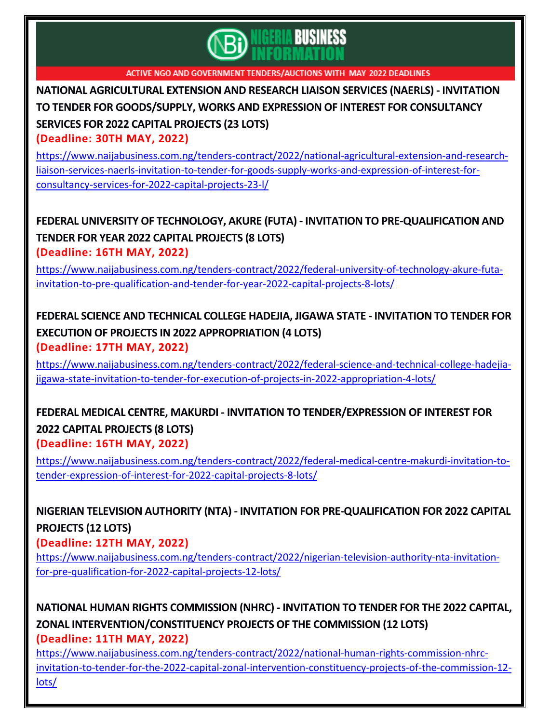

**NATIONAL [AGRICULTURAL](https://www.naijabusiness.com.ng/tenders-contract/2022/national-agricultural-extension-and-research-liaison-services-naerls-invitation-to-tender-for-goods-supply-works-and-expression-of-interest-for-consultancy-services-for-2022-capital-projects-23-l/) EXTENSION AND RESEARCH LIAISON SERVICES (NAERLS) - INVITATION TO TENDER FOR [GOODS/SUPPLY,](https://www.naijabusiness.com.ng/tenders-contract/2022/national-agricultural-extension-and-research-liaison-services-naerls-invitation-to-tender-for-goods-supply-works-and-expression-of-interest-for-consultancy-services-for-2022-capital-projects-23-l/) WORKS AND EXPRESSION OF INTEREST FOR CONSULTANCY SERVICES FOR 2022 CAPITAL [PROJECTS](https://www.naijabusiness.com.ng/tenders-contract/2022/national-agricultural-extension-and-research-liaison-services-naerls-invitation-to-tender-for-goods-supply-works-and-expression-of-interest-for-consultancy-services-for-2022-capital-projects-23-l/) (23 LOTS) (Deadline: 30TH MAY, 2022)**

[https://www.naijabusiness.com.ng/tenders-contract/2022/national-agricultural-extension-and-research](https://www.naijabusiness.com.ng/tenders-contract/2022/national-agricultural-extension-and-research-liaison-services-naerls-invitation-to-tender-for-goods-supply-works-and-expression-of-interest-for-consultancy-services-for-2022-capital-projects-23-l/)[liaison-services-naerls-invitation-to-tender-for-goods-supply-works-and-expression-of-interest-for](https://www.naijabusiness.com.ng/tenders-contract/2022/national-agricultural-extension-and-research-liaison-services-naerls-invitation-to-tender-for-goods-supply-works-and-expression-of-interest-for-consultancy-services-for-2022-capital-projects-23-l/)[consultancy-services-for-2022-capital-projects-23-l/](https://www.naijabusiness.com.ng/tenders-contract/2022/national-agricultural-extension-and-research-liaison-services-naerls-invitation-to-tender-for-goods-supply-works-and-expression-of-interest-for-consultancy-services-for-2022-capital-projects-23-l/)

# **FEDERAL UNIVERSITY OF TECHNOLOGY, AKURE (FUTA) - INVITATION TO [PRE-QUALIFICATION](https://www.naijabusiness.com.ng/tenders-contract/2022/federal-university-of-technology-akure-futa-invitation-to-pre-qualification-and-tender-for-year-2022-capital-projects-8-lots/) AND TENDER FOR YEAR 2022 CAPITAL [PROJECTS](https://www.naijabusiness.com.ng/tenders-contract/2022/federal-university-of-technology-akure-futa-invitation-to-pre-qualification-and-tender-for-year-2022-capital-projects-8-lots/) (8 LOTS)**

**(Deadline: 16TH MAY, 2022)**

[https://www.naijabusiness.com.ng/tenders-contract/2022/federal-university-of-technology-akure-futa](https://www.naijabusiness.com.ng/tenders-contract/2022/federal-university-of-technology-akure-futa-invitation-to-pre-qualification-and-tender-for-year-2022-capital-projects-8-lots/)[invitation-to-pre-qualification-and-tender-for-year-2022-capital-projects-8-lots/](https://www.naijabusiness.com.ng/tenders-contract/2022/federal-university-of-technology-akure-futa-invitation-to-pre-qualification-and-tender-for-year-2022-capital-projects-8-lots/)

#### **FEDERAL SCIENCE AND TECHNICAL COLLEGE HADEJIA, JIGAWA STATE - [INVITATION](https://www.naijabusiness.com.ng/tenders-contract/2022/federal-science-and-technical-college-hadejia-jigawa-state-invitation-to-tender-for-execution-of-projects-in-2022-appropriation-4-lots/) TO TENDER FOR EXECUTION OF PROJECTS IN 2022 [APPROPRIATION](https://www.naijabusiness.com.ng/tenders-contract/2022/federal-science-and-technical-college-hadejia-jigawa-state-invitation-to-tender-for-execution-of-projects-in-2022-appropriation-4-lots/) (4 LOTS) (Deadline: 17TH MAY, 2022)**

[https://www.naijabusiness.com.ng/tenders-contract/2022/federal-science-and-technical-college-hadejia](https://www.naijabusiness.com.ng/tenders-contract/2022/federal-science-and-technical-college-hadejia-jigawa-state-invitation-to-tender-for-execution-of-projects-in-2022-appropriation-4-lots/)[jigawa-state-invitation-to-tender-for-execution-of-projects-in-2022-appropriation-4-lots/](https://www.naijabusiness.com.ng/tenders-contract/2022/federal-science-and-technical-college-hadejia-jigawa-state-invitation-to-tender-for-execution-of-projects-in-2022-appropriation-4-lots/)

#### **FEDERAL MEDICAL CENTRE, MAKURDI - INVITATION TO [TENDER/EXPRESSION](https://www.naijabusiness.com.ng/tenders-contract/2022/federal-medical-centre-makurdi-invitation-to-tender-expression-of-interest-for-2022-capital-projects-8-lots/) OF INTEREST FOR 2022 CAPITAL [PROJECTS](https://www.naijabusiness.com.ng/tenders-contract/2022/federal-medical-centre-makurdi-invitation-to-tender-expression-of-interest-for-2022-capital-projects-8-lots/) (8 LOTS) (Deadline: 16TH MAY, 2022)**

[https://www.naijabusiness.com.ng/tenders-contract/2022/federal-medical-centre-makurdi-invitation-to](https://www.naijabusiness.com.ng/tenders-contract/2022/federal-medical-centre-makurdi-invitation-to-tender-expression-of-interest-for-2022-capital-projects-8-lots/)[tender-expression-of-interest-for-2022-capital-projects-8-lots/](https://www.naijabusiness.com.ng/tenders-contract/2022/federal-medical-centre-makurdi-invitation-to-tender-expression-of-interest-for-2022-capital-projects-8-lots/)

**NIGERIAN TELEVISION AUTHORITY (NTA) - INVITATION FOR [PRE-QUALIFICATION](https://www.naijabusiness.com.ng/tenders-contract/2022/nigerian-television-authority-nta-invitation-for-pre-qualification-for-2022-capital-projects-12-lots/) FOR 2022 CAPITAL [PROJECTS](https://www.naijabusiness.com.ng/tenders-contract/2022/nigerian-television-authority-nta-invitation-for-pre-qualification-for-2022-capital-projects-12-lots/) (12 LOTS) (Deadline: 12TH MAY, 2022)**

[https://www.naijabusiness.com.ng/tenders-contract/2022/nigerian-television-authority-nta-invitation](https://www.naijabusiness.com.ng/tenders-contract/2022/nigerian-television-authority-nta-invitation-for-pre-qualification-for-2022-capital-projects-12-lots/)[for-pre-qualification-for-2022-capital-projects-12-lots/](https://www.naijabusiness.com.ng/tenders-contract/2022/nigerian-television-authority-nta-invitation-for-pre-qualification-for-2022-capital-projects-12-lots/)

**NATIONAL HUMAN RIGHTS [COMMISSION](https://www.naijabusiness.com.ng/tenders-contract/2022/national-human-rights-commission-nhrc-invitation-to-tender-for-the-2022-capital-zonal-intervention-constituency-projects-of-the-commission-12-lots/) (NHRC) - INVITATION TO TENDER FOR THE 2022 CAPITAL, ZONAL [INTERVENTION/CONSTITUENCY](https://www.naijabusiness.com.ng/tenders-contract/2022/national-human-rights-commission-nhrc-invitation-to-tender-for-the-2022-capital-zonal-intervention-constituency-projects-of-the-commission-12-lots/) PROJECTS OF THE COMMISSION (12 LOTS) (Deadline: 11TH MAY, 2022)**

[https://www.naijabusiness.com.ng/tenders-contract/2022/national-human-rights-commission-nhrc](https://www.naijabusiness.com.ng/tenders-contract/2022/national-human-rights-commission-nhrc-invitation-to-tender-for-the-2022-capital-zonal-intervention-constituency-projects-of-the-commission-12-lots/)[invitation-to-tender-for-the-2022-capital-zonal-intervention-constituency-projects-of-the-commission-12](https://www.naijabusiness.com.ng/tenders-contract/2022/national-human-rights-commission-nhrc-invitation-to-tender-for-the-2022-capital-zonal-intervention-constituency-projects-of-the-commission-12-lots/) [lots/](https://www.naijabusiness.com.ng/tenders-contract/2022/national-human-rights-commission-nhrc-invitation-to-tender-for-the-2022-capital-zonal-intervention-constituency-projects-of-the-commission-12-lots/)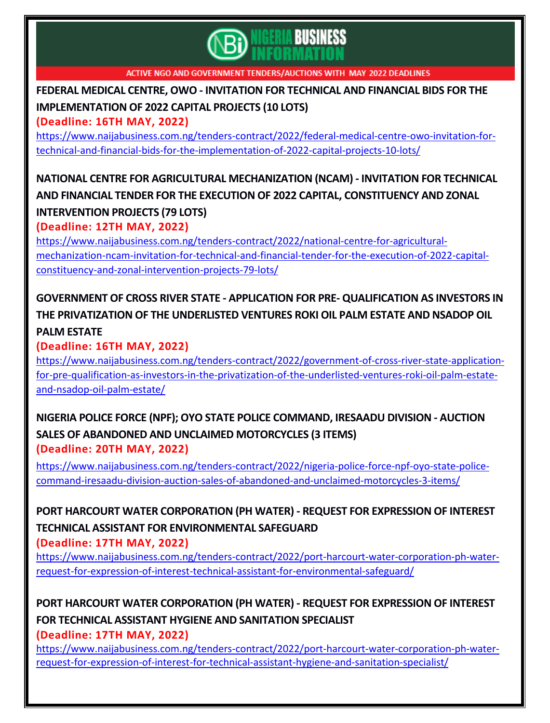

## **FEDERAL MEDICAL CENTRE, OWO - [INVITATION](https://www.naijabusiness.com.ng/tenders-contract/2022/federal-medical-centre-owo-invitation-for-technical-and-financial-bids-for-the-implementation-of-2022-capital-projects-10-lots/) FOR TECHNICAL AND FINANCIAL BIDS FOR THE [IMPLEMENTATION](https://www.naijabusiness.com.ng/tenders-contract/2022/federal-medical-centre-owo-invitation-for-technical-and-financial-bids-for-the-implementation-of-2022-capital-projects-10-lots/) OF 2022 CAPITAL PROJECTS (10 LOTS)**

#### **(Deadline: 16TH MAY, 2022)**

[https://www.naijabusiness.com.ng/tenders-contract/2022/federal-medical-centre-owo-invitation-for](https://www.naijabusiness.com.ng/tenders-contract/2022/federal-medical-centre-owo-invitation-for-technical-and-financial-bids-for-the-implementation-of-2022-capital-projects-10-lots/)[technical-and-financial-bids-for-the-implementation-of-2022-capital-projects-10-lots/](https://www.naijabusiness.com.ng/tenders-contract/2022/federal-medical-centre-owo-invitation-for-technical-and-financial-bids-for-the-implementation-of-2022-capital-projects-10-lots/)

## **NATIONAL CENTRE FOR AGRICULTURAL [MECHANIZATION](https://www.naijabusiness.com.ng/tenders-contract/2022/national-centre-for-agricultural-mechanization-ncam-invitation-for-technical-and-financial-tender-for-the-execution-of-2022-capital-constituency-and-zonal-intervention-projects-79-lots/) (NCAM) - INVITATION FOR TECHNICAL AND FINANCIAL TENDER FOR THE EXECUTION OF 2022 CAPITAL, [CONSTITUENCY](https://www.naijabusiness.com.ng/tenders-contract/2022/national-centre-for-agricultural-mechanization-ncam-invitation-for-technical-and-financial-tender-for-the-execution-of-2022-capital-constituency-and-zonal-intervention-projects-79-lots/) AND ZONAL [INTERVENTION](https://www.naijabusiness.com.ng/tenders-contract/2022/national-centre-for-agricultural-mechanization-ncam-invitation-for-technical-and-financial-tender-for-the-execution-of-2022-capital-constituency-and-zonal-intervention-projects-79-lots/) PROJECTS (79 LOTS)**

**(Deadline: 12TH MAY, 2022)**

[https://www.naijabusiness.com.ng/tenders-contract/2022/national-centre-for-agricultural](https://www.naijabusiness.com.ng/tenders-contract/2022/national-centre-for-agricultural-mechanization-ncam-invitation-for-technical-and-financial-tender-for-the-execution-of-2022-capital-constituency-and-zonal-intervention-projects-79-lots/)[mechanization-ncam-invitation-for-technical-and-financial-tender-for-the-execution-of-2022-capital](https://www.naijabusiness.com.ng/tenders-contract/2022/national-centre-for-agricultural-mechanization-ncam-invitation-for-technical-and-financial-tender-for-the-execution-of-2022-capital-constituency-and-zonal-intervention-projects-79-lots/)[constituency-and-zonal-intervention-projects-79-lots/](https://www.naijabusiness.com.ng/tenders-contract/2022/national-centre-for-agricultural-mechanization-ncam-invitation-for-technical-and-financial-tender-for-the-execution-of-2022-capital-constituency-and-zonal-intervention-projects-79-lots/)

## **GOVERNMENT OF CROSS RIVER STATE - APPLICATION FOR PRE- [QUALIFICATION](https://www.naijabusiness.com.ng/tenders-contract/2022/government-of-cross-river-state-application-for-pre-qualification-as-investors-in-the-privatization-of-the-underlisted-ventures-roki-oil-palm-estate-and-nsadop-oil-palm-estate/) AS INVESTORS IN THE [PRIVATIZATION](https://www.naijabusiness.com.ng/tenders-contract/2022/government-of-cross-river-state-application-for-pre-qualification-as-investors-in-the-privatization-of-the-underlisted-ventures-roki-oil-palm-estate-and-nsadop-oil-palm-estate/) OF THE UNDERLISTED VENTURES ROKI OIL PALM ESTATE AND NSADOP OIL PALM [ESTATE](https://www.naijabusiness.com.ng/tenders-contract/2022/government-of-cross-river-state-application-for-pre-qualification-as-investors-in-the-privatization-of-the-underlisted-ventures-roki-oil-palm-estate-and-nsadop-oil-palm-estate/)**

#### **(Deadline: 16TH MAY, 2022)**

[https://www.naijabusiness.com.ng/tenders-contract/2022/government-of-cross-river-state-application](https://www.naijabusiness.com.ng/tenders-contract/2022/government-of-cross-river-state-application-for-pre-qualification-as-investors-in-the-privatization-of-the-underlisted-ventures-roki-oil-palm-estate-and-nsadop-oil-palm-estate/)[for-pre-qualification-as-investors-in-the-privatization-of-the-underlisted-ventures-roki-oil-palm-estate](https://www.naijabusiness.com.ng/tenders-contract/2022/government-of-cross-river-state-application-for-pre-qualification-as-investors-in-the-privatization-of-the-underlisted-ventures-roki-oil-palm-estate-and-nsadop-oil-palm-estate/)[and-nsadop-oil-palm-estate/](https://www.naijabusiness.com.ng/tenders-contract/2022/government-of-cross-river-state-application-for-pre-qualification-as-investors-in-the-privatization-of-the-underlisted-ventures-roki-oil-palm-estate-and-nsadop-oil-palm-estate/)

#### **NIGERIA POLICE FORCE (NPF); OYO STATE POLICE [COMMAND,](https://www.naijabusiness.com.ng/tenders-contract/2022/nigeria-police-force-npf-oyo-state-police-command-iresaadu-division-auction-sales-of-abandoned-and-unclaimed-motorcycles-3-items/) IRESAADU DIVISION - AUCTION SALES OF ABANDONED AND UNCLAIMED [MOTORCYCLES](https://www.naijabusiness.com.ng/tenders-contract/2022/nigeria-police-force-npf-oyo-state-police-command-iresaadu-division-auction-sales-of-abandoned-and-unclaimed-motorcycles-3-items/) (3 ITEMS) (Deadline: 20TH MAY, 2022)**

[https://www.naijabusiness.com.ng/tenders-contract/2022/nigeria-police-force-npf-oyo-state-police](https://www.naijabusiness.com.ng/tenders-contract/2022/nigeria-police-force-npf-oyo-state-police-command-iresaadu-division-auction-sales-of-abandoned-and-unclaimed-motorcycles-3-items/)[command-iresaadu-division-auction-sales-of-abandoned-and-unclaimed-motorcycles-3-items/](https://www.naijabusiness.com.ng/tenders-contract/2022/nigeria-police-force-npf-oyo-state-police-command-iresaadu-division-auction-sales-of-abandoned-and-unclaimed-motorcycles-3-items/)

# **PORT HARCOURT WATER [CORPORATION](https://www.naijabusiness.com.ng/tenders-contract/2022/port-harcourt-water-corporation-ph-water-request-for-expression-of-interest-technical-assistant-for-environmental-safeguard/) (PH WATER) - REQUEST FOR EXPRESSION OF INTEREST TECHNICAL ASSISTANT FOR [ENVIRONMENTAL](https://www.naijabusiness.com.ng/tenders-contract/2022/port-harcourt-water-corporation-ph-water-request-for-expression-of-interest-technical-assistant-for-environmental-safeguard/) SAFEGUARD**

#### **(Deadline: 17TH MAY, 2022)**

[https://www.naijabusiness.com.ng/tenders-contract/2022/port-harcourt-water-corporation-ph-water](https://www.naijabusiness.com.ng/tenders-contract/2022/port-harcourt-water-corporation-ph-water-request-for-expression-of-interest-technical-assistant-for-environmental-safeguard/)[request-for-expression-of-interest-technical-assistant-for-environmental-safeguard/](https://www.naijabusiness.com.ng/tenders-contract/2022/port-harcourt-water-corporation-ph-water-request-for-expression-of-interest-technical-assistant-for-environmental-safeguard/)

#### **PORT HARCOURT WATER [CORPORATION](https://www.naijabusiness.com.ng/tenders-contract/2022/port-harcourt-water-corporation-ph-water-request-for-expression-of-interest-for-technical-assistant-hygiene-and-sanitation-specialist/) (PH WATER) - REQUEST FOR EXPRESSION OF INTEREST FOR TECHNICAL ASSISTANT HYGIENE AND [SANITATION](https://www.naijabusiness.com.ng/tenders-contract/2022/port-harcourt-water-corporation-ph-water-request-for-expression-of-interest-for-technical-assistant-hygiene-and-sanitation-specialist/) SPECIALIST (Deadline: 17TH MAY, 2022)**

[https://www.naijabusiness.com.ng/tenders-contract/2022/port-harcourt-water-corporation-ph-water](https://www.naijabusiness.com.ng/tenders-contract/2022/port-harcourt-water-corporation-ph-water-request-for-expression-of-interest-for-technical-assistant-hygiene-and-sanitation-specialist/)[request-for-expression-of-interest-for-technical-assistant-hygiene-and-sanitation-specialist/](https://www.naijabusiness.com.ng/tenders-contract/2022/port-harcourt-water-corporation-ph-water-request-for-expression-of-interest-for-technical-assistant-hygiene-and-sanitation-specialist/)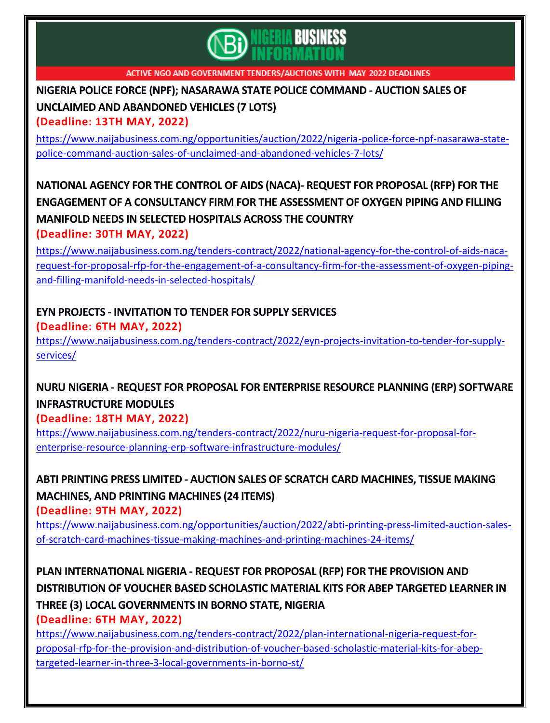

# **NIGERIA POLICE FORCE (NPF); [NASARAWA](https://www.naijabusiness.com.ng/opportunities/auction/2022/nigeria-police-force-npf-nasarawa-state-police-command-auction-sales-of-unclaimed-and-abandoned-vehicles-7-lots/) STATE POLICE COMMAND - AUCTION SALES OF UNCLAIMED AND [ABANDONED](https://www.naijabusiness.com.ng/opportunities/auction/2022/nigeria-police-force-npf-nasarawa-state-police-command-auction-sales-of-unclaimed-and-abandoned-vehicles-7-lots/) VEHICLES (7 LOTS)**

**(Deadline: 13TH MAY, 2022)**

[https://www.naijabusiness.com.ng/opportunities/auction/2022/nigeria-police-force-npf-nasarawa-state](https://www.naijabusiness.com.ng/opportunities/auction/2022/nigeria-police-force-npf-nasarawa-state-police-command-auction-sales-of-unclaimed-and-abandoned-vehicles-7-lots/)[police-command-auction-sales-of-unclaimed-and-abandoned-vehicles-7-lots/](https://www.naijabusiness.com.ng/opportunities/auction/2022/nigeria-police-force-npf-nasarawa-state-police-command-auction-sales-of-unclaimed-and-abandoned-vehicles-7-lots/)

## **NATIONAL AGENCY FOR THE CONTROL OF AIDS (NACA)- REQUEST FOR [PROPOSAL](https://www.naijabusiness.com.ng/tenders-contract/2022/national-agency-for-the-control-of-aids-naca-request-for-proposal-rfp-for-the-engagement-of-a-consultancy-firm-for-the-assessment-of-oxygen-piping-and-filling-manifold-needs-in-selected-hospitals/) (RFP) FOR THE ENGAGEMENT OF A [CONSULTANCY](https://www.naijabusiness.com.ng/tenders-contract/2022/national-agency-for-the-control-of-aids-naca-request-for-proposal-rfp-for-the-engagement-of-a-consultancy-firm-for-the-assessment-of-oxygen-piping-and-filling-manifold-needs-in-selected-hospitals/) FIRM FOR THE ASSESSMENT OF OXYGEN PIPING AND FILLING [MANIFOLD](https://www.naijabusiness.com.ng/tenders-contract/2022/national-agency-for-the-control-of-aids-naca-request-for-proposal-rfp-for-the-engagement-of-a-consultancy-firm-for-the-assessment-of-oxygen-piping-and-filling-manifold-needs-in-selected-hospitals/) NEEDS IN SELECTED HOSPITALS ACROSS THE COUNTRY (Deadline: 30TH MAY, 2022)**

[https://www.naijabusiness.com.ng/tenders-contract/2022/national-agency-for-the-control-of-aids-naca](https://www.naijabusiness.com.ng/tenders-contract/2022/national-agency-for-the-control-of-aids-naca-request-for-proposal-rfp-for-the-engagement-of-a-consultancy-firm-for-the-assessment-of-oxygen-piping-and-filling-manifold-needs-in-selected-hospitals/)[request-for-proposal-rfp-for-the-engagement-of-a-consultancy-firm-for-the-assessment-of-oxygen-piping](https://www.naijabusiness.com.ng/tenders-contract/2022/national-agency-for-the-control-of-aids-naca-request-for-proposal-rfp-for-the-engagement-of-a-consultancy-firm-for-the-assessment-of-oxygen-piping-and-filling-manifold-needs-in-selected-hospitals/)[and-filling-manifold-needs-in-selected-hospitals/](https://www.naijabusiness.com.ng/tenders-contract/2022/national-agency-for-the-control-of-aids-naca-request-for-proposal-rfp-for-the-engagement-of-a-consultancy-firm-for-the-assessment-of-oxygen-piping-and-filling-manifold-needs-in-selected-hospitals/)

#### **EYN PROJECTS - [INVITATION](https://www.naijabusiness.com.ng/tenders-contract/2022/eyn-projects-invitation-to-tender-for-supply-services/) TO TENDER FOR SUPPLY SERVICES (Deadline: 6TH MAY, 2022)**

[https://www.naijabusiness.com.ng/tenders-contract/2022/eyn-projects-invitation-to-tender-for-supply](https://www.naijabusiness.com.ng/tenders-contract/2022/eyn-projects-invitation-to-tender-for-supply-services/)[services/](https://www.naijabusiness.com.ng/tenders-contract/2022/eyn-projects-invitation-to-tender-for-supply-services/)

# **NURU NIGERIA - REQUEST FOR PROPOSAL FOR [ENTERPRISE](https://www.naijabusiness.com.ng/tenders-contract/2022/nuru-nigeria-request-for-proposal-for-enterprise-resource-planning-erp-software-infrastructure-modules/) RESOURCE PLANNING (ERP) SOFTWARE [INFRASTRUCTURE](https://www.naijabusiness.com.ng/tenders-contract/2022/nuru-nigeria-request-for-proposal-for-enterprise-resource-planning-erp-software-infrastructure-modules/) MODULES**

**(Deadline: 18TH MAY, 2022)**

[https://www.naijabusiness.com.ng/tenders-contract/2022/nuru-nigeria-request-for-proposal-for](https://www.naijabusiness.com.ng/tenders-contract/2022/nuru-nigeria-request-for-proposal-for-enterprise-resource-planning-erp-software-infrastructure-modules/)[enterprise-resource-planning-erp-software-infrastructure-modules/](https://www.naijabusiness.com.ng/tenders-contract/2022/nuru-nigeria-request-for-proposal-for-enterprise-resource-planning-erp-software-infrastructure-modules/)

# **ABTI PRINTING PRESS LIMITED - AUCTION SALESOF SCRATCH CARD [MACHINES,](https://www.naijabusiness.com.ng/opportunities/auction/2022/abti-printing-press-limited-auction-sales-of-scratch-card-machines-tissue-making-machines-and-printing-machines-24-items/) TISSUE MAKING [MACHINES,](https://www.naijabusiness.com.ng/opportunities/auction/2022/abti-printing-press-limited-auction-sales-of-scratch-card-machines-tissue-making-machines-and-printing-machines-24-items/) AND PRINTING MACHINES (24 ITEMS)**

**(Deadline: 9TH MAY, 2022)**

[https://www.naijabusiness.com.ng/opportunities/auction/2022/abti-printing-press-limited-auction-sales](https://www.naijabusiness.com.ng/opportunities/auction/2022/abti-printing-press-limited-auction-sales-of-scratch-card-machines-tissue-making-machines-and-printing-machines-24-items/)[of-scratch-card-machines-tissue-making-machines-and-printing-machines-24-items/](https://www.naijabusiness.com.ng/opportunities/auction/2022/abti-printing-press-limited-auction-sales-of-scratch-card-machines-tissue-making-machines-and-printing-machines-24-items/)

**PLAN [INTERNATIONAL](https://www.naijabusiness.com.ng/tenders-contract/2022/plan-international-nigeria-request-for-proposal-rfp-for-the-provision-and-distribution-of-voucher-based-scholastic-material-kits-for-abep-targeted-learner-in-three-3-local-governments-in-borno-st/) NIGERIA - REQUEST FOR PROPOSAL (RFP) FOR THE PROVISION AND [DISTRIBUTION](https://www.naijabusiness.com.ng/tenders-contract/2022/plan-international-nigeria-request-for-proposal-rfp-for-the-provision-and-distribution-of-voucher-based-scholastic-material-kits-for-abep-targeted-learner-in-three-3-local-governments-in-borno-st/) OF VOUCHER BASED SCHOLASTIC MATERIAL KITS FOR ABEP TARGETED LEARNER IN THREE (3) LOCAL [GOVERNMENTS](https://www.naijabusiness.com.ng/tenders-contract/2022/plan-international-nigeria-request-for-proposal-rfp-for-the-provision-and-distribution-of-voucher-based-scholastic-material-kits-for-abep-targeted-learner-in-three-3-local-governments-in-borno-st/) IN BORNO STATE, NIGERIA (Deadline: 6TH MAY, 2022)**

[https://www.naijabusiness.com.ng/tenders-contract/2022/plan-international-nigeria-request-for](https://www.naijabusiness.com.ng/tenders-contract/2022/plan-international-nigeria-request-for-proposal-rfp-for-the-provision-and-distribution-of-voucher-based-scholastic-material-kits-for-abep-targeted-learner-in-three-3-local-governments-in-borno-st/)[proposal-rfp-for-the-provision-and-distribution-of-voucher-based-scholastic-material-kits-for-abep](https://www.naijabusiness.com.ng/tenders-contract/2022/plan-international-nigeria-request-for-proposal-rfp-for-the-provision-and-distribution-of-voucher-based-scholastic-material-kits-for-abep-targeted-learner-in-three-3-local-governments-in-borno-st/)[targeted-learner-in-three-3-local-governments-in-borno-st/](https://www.naijabusiness.com.ng/tenders-contract/2022/plan-international-nigeria-request-for-proposal-rfp-for-the-provision-and-distribution-of-voucher-based-scholastic-material-kits-for-abep-targeted-learner-in-three-3-local-governments-in-borno-st/)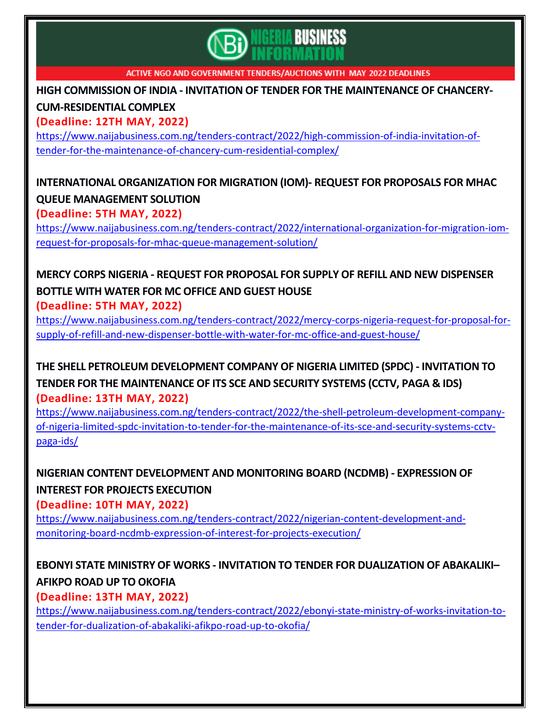

**HIGH COMMISSION OF INDIA - INVITATION OF TENDER FOR THE [MAINTENANCE](https://www.naijabusiness.com.ng/tenders-contract/2022/high-commission-of-india-invitation-of-tender-for-the-maintenance-of-chancery-cum-residential-complex/) OF CHANCERY-[CUM-RESIDENTIAL](https://www.naijabusiness.com.ng/tenders-contract/2022/high-commission-of-india-invitation-of-tender-for-the-maintenance-of-chancery-cum-residential-complex/) COMPLEX**

**(Deadline: 12TH MAY, 2022)**

[https://www.naijabusiness.com.ng/tenders-contract/2022/high-commission-of-india-invitation-of](https://www.naijabusiness.com.ng/tenders-contract/2022/high-commission-of-india-invitation-of-tender-for-the-maintenance-of-chancery-cum-residential-complex/)[tender-for-the-maintenance-of-chancery-cum-residential-complex/](https://www.naijabusiness.com.ng/tenders-contract/2022/high-commission-of-india-invitation-of-tender-for-the-maintenance-of-chancery-cum-residential-complex/)

# **[INTERNATIONAL](https://www.naijabusiness.com.ng/tenders-contract/2022/international-organization-for-migration-iom-request-for-proposals-for-mhac-queue-management-solution/) ORGANIZATION FOR MIGRATION (IOM)- REQUEST FOR PROPOSALS FOR MHAC QUEUE [MANAGEMENT](https://www.naijabusiness.com.ng/tenders-contract/2022/international-organization-for-migration-iom-request-for-proposals-for-mhac-queue-management-solution/) SOLUTION**

**(Deadline: 5TH MAY, 2022)** [https://www.naijabusiness.com.ng/tenders-contract/2022/international-organization-for-migration-iom](https://www.naijabusiness.com.ng/tenders-contract/2022/international-organization-for-migration-iom-request-for-proposals-for-mhac-queue-management-solution/)[request-for-proposals-for-mhac-queue-management-solution/](https://www.naijabusiness.com.ng/tenders-contract/2022/international-organization-for-migration-iom-request-for-proposals-for-mhac-queue-management-solution/)

# **MERCY CORPS NIGERIA - REQUEST FOR PROPOSAL FOR SUPPLY OF REFILL AND NEW [DISPENSER](https://www.naijabusiness.com.ng/tenders-contract/2022/mercy-corps-nigeria-request-for-proposal-for-supply-of-refill-and-new-dispenser-bottle-with-water-for-mc-office-and-guest-house/) [BOTTLE](https://www.naijabusiness.com.ng/tenders-contract/2022/mercy-corps-nigeria-request-for-proposal-for-supply-of-refill-and-new-dispenser-bottle-with-water-for-mc-office-and-guest-house/) WITH WATER FOR MC OFFICE AND GUEST HOUSE**

**(Deadline: 5TH MAY, 2022)**

[https://www.naijabusiness.com.ng/tenders-contract/2022/mercy-corps-nigeria-request-for-proposal-for](https://www.naijabusiness.com.ng/tenders-contract/2022/mercy-corps-nigeria-request-for-proposal-for-supply-of-refill-and-new-dispenser-bottle-with-water-for-mc-office-and-guest-house/)[supply-of-refill-and-new-dispenser-bottle-with-water-for-mc-office-and-guest-house/](https://www.naijabusiness.com.ng/tenders-contract/2022/mercy-corps-nigeria-request-for-proposal-for-supply-of-refill-and-new-dispenser-bottle-with-water-for-mc-office-and-guest-house/)

**THE SHELL PETROLEUM [DEVELOPMENT](https://www.naijabusiness.com.ng/tenders-contract/2022/the-shell-petroleum-development-company-of-nigeria-limited-spdc-invitation-to-tender-for-the-maintenance-of-its-sce-and-security-systems-cctv-paga-ids/) COMPANY OF NIGERIA LIMITED (SPDC) - INVITATION TO TENDER FOR THE [MAINTENANCE](https://www.naijabusiness.com.ng/tenders-contract/2022/the-shell-petroleum-development-company-of-nigeria-limited-spdc-invitation-to-tender-for-the-maintenance-of-its-sce-and-security-systems-cctv-paga-ids/) OF ITS SCE AND SECURITY SYSTEMS (CCTV, PAGA & IDS) (Deadline: 13TH MAY, 2022)**

[https://www.naijabusiness.com.ng/tenders-contract/2022/the-shell-petroleum-development-company](https://www.naijabusiness.com.ng/tenders-contract/2022/the-shell-petroleum-development-company-of-nigeria-limited-spdc-invitation-to-tender-for-the-maintenance-of-its-sce-and-security-systems-cctv-paga-ids/)[of-nigeria-limited-spdc-invitation-to-tender-for-the-maintenance-of-its-sce-and-security-systems-cctv](https://www.naijabusiness.com.ng/tenders-contract/2022/the-shell-petroleum-development-company-of-nigeria-limited-spdc-invitation-to-tender-for-the-maintenance-of-its-sce-and-security-systems-cctv-paga-ids/)[paga-ids/](https://www.naijabusiness.com.ng/tenders-contract/2022/the-shell-petroleum-development-company-of-nigeria-limited-spdc-invitation-to-tender-for-the-maintenance-of-its-sce-and-security-systems-cctv-paga-ids/)

**NIGERIAN CONTENT [DEVELOPMENT](https://www.naijabusiness.com.ng/tenders-contract/2022/nigerian-content-development-and-monitoring-board-ncdmb-expression-of-interest-for-projects-execution/) AND MONITORING BOARD (NCDMB) - EXPRESSION OF INTEREST FOR PROJECTS [EXECUTION](https://www.naijabusiness.com.ng/tenders-contract/2022/nigerian-content-development-and-monitoring-board-ncdmb-expression-of-interest-for-projects-execution/)**

**(Deadline: 10TH MAY, 2022)**

[https://www.naijabusiness.com.ng/tenders-contract/2022/nigerian-content-development-and](https://www.naijabusiness.com.ng/tenders-contract/2022/nigerian-content-development-and-monitoring-board-ncdmb-expression-of-interest-for-projects-execution/)[monitoring-board-ncdmb-expression-of-interest-for-projects-execution/](https://www.naijabusiness.com.ng/tenders-contract/2022/nigerian-content-development-and-monitoring-board-ncdmb-expression-of-interest-for-projects-execution/)

## **EBONYI STATE MINISTRY OF WORKS - INVITATION TO TENDER FOR [DUALIZATION](https://www.naijabusiness.com.ng/tenders-contract/2022/ebonyi-state-ministry-of-works-invitation-to-tender-for-dualization-of-abakaliki-afikpo-road-up-to-okofia/) OF ABAKALIKI– AFIKPO ROAD UP TO [OKOFIA](https://www.naijabusiness.com.ng/tenders-contract/2022/ebonyi-state-ministry-of-works-invitation-to-tender-for-dualization-of-abakaliki-afikpo-road-up-to-okofia/)**

**(Deadline: 13TH MAY, 2022)**

[https://www.naijabusiness.com.ng/tenders-contract/2022/ebonyi-state-ministry-of-works-invitation-to](https://www.naijabusiness.com.ng/tenders-contract/2022/ebonyi-state-ministry-of-works-invitation-to-tender-for-dualization-of-abakaliki-afikpo-road-up-to-okofia/)[tender-for-dualization-of-abakaliki-afikpo-road-up-to-okofia/](https://www.naijabusiness.com.ng/tenders-contract/2022/ebonyi-state-ministry-of-works-invitation-to-tender-for-dualization-of-abakaliki-afikpo-road-up-to-okofia/)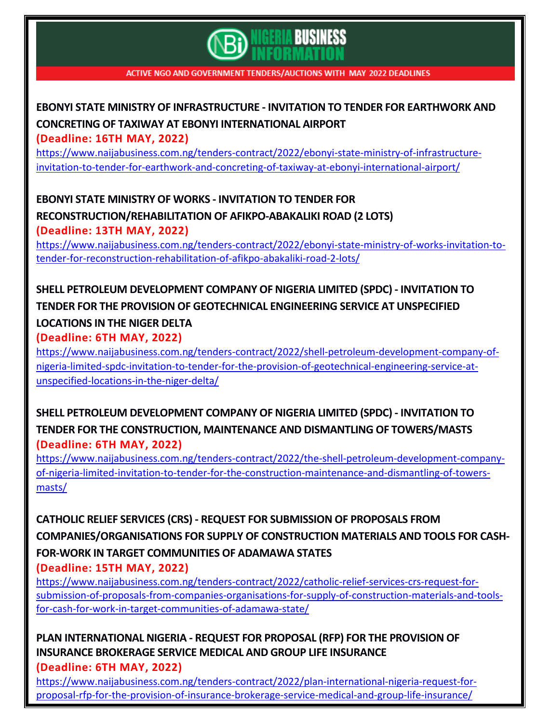

# **EBONYI STATE MINISTRY OF [INFRASTRUCTURE](https://www.naijabusiness.com.ng/tenders-contract/2022/ebonyi-state-ministry-of-infrastructure-invitation-to-tender-for-earthwork-and-concreting-of-taxiway-at-ebonyi-international-airport/) - INVITATION TO TENDER FOR EARTHWORK AND CONCRETING OF TAXIWAY AT EBONYI [INTERNATIONAL](https://www.naijabusiness.com.ng/tenders-contract/2022/ebonyi-state-ministry-of-infrastructure-invitation-to-tender-for-earthwork-and-concreting-of-taxiway-at-ebonyi-international-airport/) AIRPORT**

**(Deadline: 16TH MAY, 2022)**

[https://www.naijabusiness.com.ng/tenders-contract/2022/ebonyi-state-ministry-of-infrastructure](https://www.naijabusiness.com.ng/tenders-contract/2022/ebonyi-state-ministry-of-infrastructure-invitation-to-tender-for-earthwork-and-concreting-of-taxiway-at-ebonyi-international-airport/)[invitation-to-tender-for-earthwork-and-concreting-of-taxiway-at-ebonyi-international-airport/](https://www.naijabusiness.com.ng/tenders-contract/2022/ebonyi-state-ministry-of-infrastructure-invitation-to-tender-for-earthwork-and-concreting-of-taxiway-at-ebonyi-international-airport/)

**EBONYI STATE MINISTRY OF WORKS - [INVITATION](https://www.naijabusiness.com.ng/tenders-contract/2022/ebonyi-state-ministry-of-works-invitation-to-tender-for-reconstruction-rehabilitation-of-afikpo-abakaliki-road-2-lots/) TO TENDER FOR [RECONSTRUCTION/REHABILITATION](https://www.naijabusiness.com.ng/tenders-contract/2022/ebonyi-state-ministry-of-works-invitation-to-tender-for-reconstruction-rehabilitation-of-afikpo-abakaliki-road-2-lots/) OF AFIKPO-ABAKALIKI ROAD (2 LOTS) (Deadline: 13TH MAY, 2022)**

[https://www.naijabusiness.com.ng/tenders-contract/2022/ebonyi-state-ministry-of-works-invitation-to](https://www.naijabusiness.com.ng/tenders-contract/2022/ebonyi-state-ministry-of-works-invitation-to-tender-for-reconstruction-rehabilitation-of-afikpo-abakaliki-road-2-lots/)[tender-for-reconstruction-rehabilitation-of-afikpo-abakaliki-road-2-lots/](https://www.naijabusiness.com.ng/tenders-contract/2022/ebonyi-state-ministry-of-works-invitation-to-tender-for-reconstruction-rehabilitation-of-afikpo-abakaliki-road-2-lots/)

# **SHELL PETROLEUM [DEVELOPMENT](https://www.naijabusiness.com.ng/tenders-contract/2022/shell-petroleum-development-company-of-nigeria-limited-spdc-invitation-to-tender-for-the-provision-of-geotechnical-engineering-service-at-unspecified-locations-in-the-niger-delta/) COMPANY OF NIGERIA LIMITED (SPDC) - INVITATION TO TENDER FOR THE PROVISION OF [GEOTECHNICAL](https://www.naijabusiness.com.ng/tenders-contract/2022/shell-petroleum-development-company-of-nigeria-limited-spdc-invitation-to-tender-for-the-provision-of-geotechnical-engineering-service-at-unspecified-locations-in-the-niger-delta/) ENGINEERING SERVICE AT UNSPECIFIED [LOCATIONS](https://www.naijabusiness.com.ng/tenders-contract/2022/shell-petroleum-development-company-of-nigeria-limited-spdc-invitation-to-tender-for-the-provision-of-geotechnical-engineering-service-at-unspecified-locations-in-the-niger-delta/) IN THE NIGER DELTA**

**(Deadline: 6TH MAY, 2022)**

[https://www.naijabusiness.com.ng/tenders-contract/2022/shell-petroleum-development-company-of](https://www.naijabusiness.com.ng/tenders-contract/2022/shell-petroleum-development-company-of-nigeria-limited-spdc-invitation-to-tender-for-the-provision-of-geotechnical-engineering-service-at-unspecified-locations-in-the-niger-delta/)[nigeria-limited-spdc-invitation-to-tender-for-the-provision-of-geotechnical-engineering-service-at](https://www.naijabusiness.com.ng/tenders-contract/2022/shell-petroleum-development-company-of-nigeria-limited-spdc-invitation-to-tender-for-the-provision-of-geotechnical-engineering-service-at-unspecified-locations-in-the-niger-delta/)[unspecified-locations-in-the-niger-delta/](https://www.naijabusiness.com.ng/tenders-contract/2022/shell-petroleum-development-company-of-nigeria-limited-spdc-invitation-to-tender-for-the-provision-of-geotechnical-engineering-service-at-unspecified-locations-in-the-niger-delta/)

**SHELL PETROLEUM [DEVELOPMENT](https://www.naijabusiness.com.ng/tenders-contract/2022/the-shell-petroleum-development-company-of-nigeria-limited-invitation-to-tender-for-the-construction-maintenance-and-dismantling-of-towers-masts/) COMPANY OF NIGERIA LIMITED (SPDC) - INVITATION TO TENDER FOR THE CONSTRUCTION, MAINTENANCE AND DISMANTLING OF [TOWERS/MASTS](https://www.naijabusiness.com.ng/tenders-contract/2022/the-shell-petroleum-development-company-of-nigeria-limited-invitation-to-tender-for-the-construction-maintenance-and-dismantling-of-towers-masts/) (Deadline: 6TH MAY, 2022)**

[https://www.naijabusiness.com.ng/tenders-contract/2022/the-shell-petroleum-development-company](https://www.naijabusiness.com.ng/tenders-contract/2022/the-shell-petroleum-development-company-of-nigeria-limited-invitation-to-tender-for-the-construction-maintenance-and-dismantling-of-towers-masts/)[of-nigeria-limited-invitation-to-tender-for-the-construction-maintenance-and-dismantling-of-towers](https://www.naijabusiness.com.ng/tenders-contract/2022/the-shell-petroleum-development-company-of-nigeria-limited-invitation-to-tender-for-the-construction-maintenance-and-dismantling-of-towers-masts/)[masts/](https://www.naijabusiness.com.ng/tenders-contract/2022/the-shell-petroleum-development-company-of-nigeria-limited-invitation-to-tender-for-the-construction-maintenance-and-dismantling-of-towers-masts/)

**CATHOLIC RELIEF SERVICES (CRS) - REQUEST FOR [SUBMISSION](https://www.naijabusiness.com.ng/tenders-contract/2022/catholic-relief-services-crs-request-for-submission-of-proposals-from-companies-organisations-for-supply-of-construction-materials-and-tools-for-cash-for-work-in-target-communities-of-adamawa-state/) OF PROPOSALS FROM [COMPANIES/ORGANISATIONS](https://www.naijabusiness.com.ng/tenders-contract/2022/catholic-relief-services-crs-request-for-submission-of-proposals-from-companies-organisations-for-supply-of-construction-materials-and-tools-for-cash-for-work-in-target-communities-of-adamawa-state/) FOR SUPPLY OF CONSTRUCTION MATERIALS AND TOOLS FOR CASH-FOR-WORK IN TARGET [COMMUNITIES](https://www.naijabusiness.com.ng/tenders-contract/2022/catholic-relief-services-crs-request-for-submission-of-proposals-from-companies-organisations-for-supply-of-construction-materials-and-tools-for-cash-for-work-in-target-communities-of-adamawa-state/) OF ADAMAWA STATES (Deadline: 15TH MAY, 2022)**

[https://www.naijabusiness.com.ng/tenders-contract/2022/catholic-relief-services-crs-request-for](https://www.naijabusiness.com.ng/tenders-contract/2022/catholic-relief-services-crs-request-for-submission-of-proposals-from-companies-organisations-for-supply-of-construction-materials-and-tools-for-cash-for-work-in-target-communities-of-adamawa-state/)[submission-of-proposals-from-companies-organisations-for-supply-of-construction-materials-and-tools](https://www.naijabusiness.com.ng/tenders-contract/2022/catholic-relief-services-crs-request-for-submission-of-proposals-from-companies-organisations-for-supply-of-construction-materials-and-tools-for-cash-for-work-in-target-communities-of-adamawa-state/)[for-cash-for-work-in-target-communities-of-adamawa-state/](https://www.naijabusiness.com.ng/tenders-contract/2022/catholic-relief-services-crs-request-for-submission-of-proposals-from-companies-organisations-for-supply-of-construction-materials-and-tools-for-cash-for-work-in-target-communities-of-adamawa-state/)

**PLAN [INTERNATIONAL](https://www.naijabusiness.com.ng/tenders-contract/2022/plan-international-nigeria-request-for-proposal-rfp-for-the-provision-of-insurance-brokerage-service-medical-and-group-life-insurance/) NIGERIA - REQUEST FOR PROPOSAL (RFP) FOR THE PROVISION OF INSURANCE [BROKERAGE](https://www.naijabusiness.com.ng/tenders-contract/2022/plan-international-nigeria-request-for-proposal-rfp-for-the-provision-of-insurance-brokerage-service-medical-and-group-life-insurance/) SERVICE MEDICAL AND GROUP LIFE INSURANCE (Deadline: 6TH MAY, 2022)**

[https://www.naijabusiness.com.ng/tenders-contract/2022/plan-international-nigeria-request-for](https://www.naijabusiness.com.ng/tenders-contract/2022/plan-international-nigeria-request-for-proposal-rfp-for-the-provision-of-insurance-brokerage-service-medical-and-group-life-insurance/)[proposal-rfp-for-the-provision-of-insurance-brokerage-service-medical-and-group-life-insurance/](https://www.naijabusiness.com.ng/tenders-contract/2022/plan-international-nigeria-request-for-proposal-rfp-for-the-provision-of-insurance-brokerage-service-medical-and-group-life-insurance/)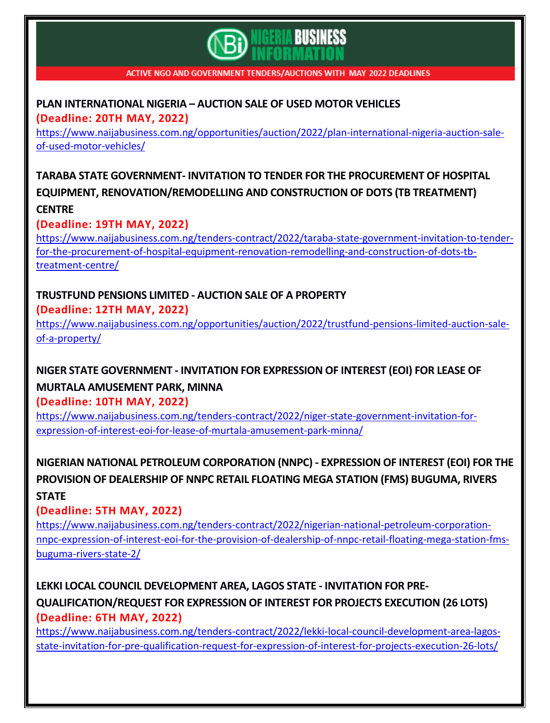

#### **PLAN [INTERNATIONAL](https://www.naijabusiness.com.ng/opportunities/auction/2022/plan-international-nigeria-auction-sale-of-used-motor-vehicles/) NIGERIA – AUCTION SALE OF USED MOTOR VEHICLES (Deadline: 20TH MAY, 2022)**

[https://www.naijabusiness.com.ng/opportunities/auction/2022/plan-international-nigeria-auction-sale](https://www.naijabusiness.com.ng/opportunities/auction/2022/plan-international-nigeria-auction-sale-of-used-motor-vehicles/)[of-used-motor-vehicles/](https://www.naijabusiness.com.ng/opportunities/auction/2022/plan-international-nigeria-auction-sale-of-used-motor-vehicles/)

**TARABA STATE GOVERNMENT- INVITATION TO TENDER FOR THE [PROCUREMENT](https://www.naijabusiness.com.ng/tenders-contract/2022/taraba-state-government-invitation-to-tender-for-the-procurement-of-hospital-equipment-renovation-remodelling-and-construction-of-dots-tb-treatment-centre/) OF HOSPITAL EQUIPMENT, [RENOVATION/REMODELLING](https://www.naijabusiness.com.ng/tenders-contract/2022/taraba-state-government-invitation-to-tender-for-the-procurement-of-hospital-equipment-renovation-remodelling-and-construction-of-dots-tb-treatment-centre/) AND CONSTRUCTION OF DOTS (TB TREATMENT) [CENTRE](https://www.naijabusiness.com.ng/tenders-contract/2022/taraba-state-government-invitation-to-tender-for-the-procurement-of-hospital-equipment-renovation-remodelling-and-construction-of-dots-tb-treatment-centre/)**

#### **(Deadline: 19TH MAY, 2022)**

[https://www.naijabusiness.com.ng/tenders-contract/2022/taraba-state-government-invitation-to-tender](https://www.naijabusiness.com.ng/tenders-contract/2022/taraba-state-government-invitation-to-tender-for-the-procurement-of-hospital-equipment-renovation-remodelling-and-construction-of-dots-tb-treatment-centre/)[for-the-procurement-of-hospital-equipment-renovation-remodelling-and-construction-of-dots-tb](https://www.naijabusiness.com.ng/tenders-contract/2022/taraba-state-government-invitation-to-tender-for-the-procurement-of-hospital-equipment-renovation-remodelling-and-construction-of-dots-tb-treatment-centre/)[treatment-centre/](https://www.naijabusiness.com.ng/tenders-contract/2022/taraba-state-government-invitation-to-tender-for-the-procurement-of-hospital-equipment-renovation-remodelling-and-construction-of-dots-tb-treatment-centre/)

#### **[TRUSTFUND](https://www.naijabusiness.com.ng/opportunities/auction/2022/trustfund-pensions-limited-auction-sale-of-a-property/) PENSIONS LIMITED - AUCTION SALE OF A PROPERTY (Deadline: 12TH MAY, 2022)**

[https://www.naijabusiness.com.ng/opportunities/auction/2022/trustfund-pensions-limited-auction-sale](https://www.naijabusiness.com.ng/opportunities/auction/2022/trustfund-pensions-limited-auction-sale-of-a-property/)[of-a-property/](https://www.naijabusiness.com.ng/opportunities/auction/2022/trustfund-pensions-limited-auction-sale-of-a-property/)

## **NIGER STATE [GOVERNMENT](https://www.naijabusiness.com.ng/tenders-contract/2022/niger-state-government-invitation-for-expression-of-interest-eoi-for-lease-of-murtala-amusement-park-minna/) - INVITATION FOR EXPRESSION OF INTEREST (EOI) FOR LEASE OF MURTALA [AMUSEMENT](https://www.naijabusiness.com.ng/tenders-contract/2022/niger-state-government-invitation-for-expression-of-interest-eoi-for-lease-of-murtala-amusement-park-minna/) PARK, MINNA**

**(Deadline: 10TH MAY, 2022)**

[https://www.naijabusiness.com.ng/tenders-contract/2022/niger-state-government-invitation-for](https://www.naijabusiness.com.ng/tenders-contract/2022/niger-state-government-invitation-for-expression-of-interest-eoi-for-lease-of-murtala-amusement-park-minna/)[expression-of-interest-eoi-for-lease-of-murtala-amusement-park-minna/](https://www.naijabusiness.com.ng/tenders-contract/2022/niger-state-government-invitation-for-expression-of-interest-eoi-for-lease-of-murtala-amusement-park-minna/)

**NIGERIAN NATIONAL PETROLEUM CORPORATION (NNPC) - [EXPRESSION](https://www.naijabusiness.com.ng/tenders-contract/2022/nigerian-national-petroleum-corporation-nnpc-expression-of-interest-eoi-for-the-provision-of-dealership-of-nnpc-retail-floating-mega-station-fms-buguma-rivers-state-2/) OF INTEREST (EOI) FOR THE PROVISION OF [DEALERSHIP](https://www.naijabusiness.com.ng/tenders-contract/2022/nigerian-national-petroleum-corporation-nnpc-expression-of-interest-eoi-for-the-provision-of-dealership-of-nnpc-retail-floating-mega-station-fms-buguma-rivers-state-2/) OF NNPC RETAIL FLOATING MEGA STATION (FMS) BUGUMA, RIVERS [STATE](https://www.naijabusiness.com.ng/tenders-contract/2022/nigerian-national-petroleum-corporation-nnpc-expression-of-interest-eoi-for-the-provision-of-dealership-of-nnpc-retail-floating-mega-station-fms-buguma-rivers-state-2/)**

#### **(Deadline: 5TH MAY, 2022)**

[https://www.naijabusiness.com.ng/tenders-contract/2022/nigerian-national-petroleum-corporation](https://www.naijabusiness.com.ng/tenders-contract/2022/nigerian-national-petroleum-corporation-nnpc-expression-of-interest-eoi-for-the-provision-of-dealership-of-nnpc-retail-floating-mega-station-fms-buguma-rivers-state-2/)[nnpc-expression-of-interest-eoi-for-the-provision-of-dealership-of-nnpc-retail-floating-mega-station-fms](https://www.naijabusiness.com.ng/tenders-contract/2022/nigerian-national-petroleum-corporation-nnpc-expression-of-interest-eoi-for-the-provision-of-dealership-of-nnpc-retail-floating-mega-station-fms-buguma-rivers-state-2/)[buguma-rivers-state-2/](https://www.naijabusiness.com.ng/tenders-contract/2022/nigerian-national-petroleum-corporation-nnpc-expression-of-interest-eoi-for-the-provision-of-dealership-of-nnpc-retail-floating-mega-station-fms-buguma-rivers-state-2/)

**LEKKI LOCAL COUNCIL [DEVELOPMENT](https://www.naijabusiness.com.ng/tenders-contract/2022/lekki-local-council-development-area-lagos-state-invitation-for-pre-qualification-request-for-expression-of-interest-for-projects-execution-26-lots/) AREA, LAGOS STATE - INVITATION FOR PRE-[QUALIFICATION/REQUEST](https://www.naijabusiness.com.ng/tenders-contract/2022/lekki-local-council-development-area-lagos-state-invitation-for-pre-qualification-request-for-expression-of-interest-for-projects-execution-26-lots/) FOR EXPRESSION OF INTEREST FOR PROJECTS EXECUTION (26 LOTS) (Deadline: 6TH MAY, 2022)**

[https://www.naijabusiness.com.ng/tenders-contract/2022/lekki-local-council-development-area-lagos](https://www.naijabusiness.com.ng/tenders-contract/2022/lekki-local-council-development-area-lagos-state-invitation-for-pre-qualification-request-for-expression-of-interest-for-projects-execution-26-lots/)[state-invitation-for-pre-qualification-request-for-expression-of-interest-for-projects-execution-26-lots/](https://www.naijabusiness.com.ng/tenders-contract/2022/lekki-local-council-development-area-lagos-state-invitation-for-pre-qualification-request-for-expression-of-interest-for-projects-execution-26-lots/)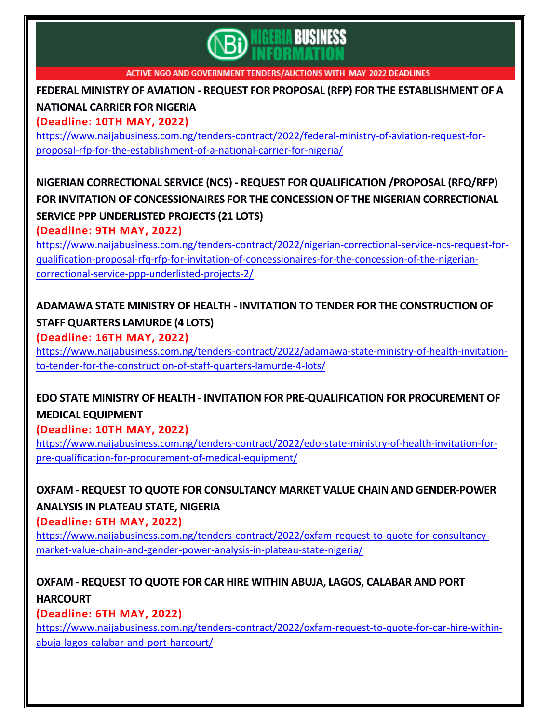

**FEDERAL MINISTRY OF AVIATION - REQUEST FOR PROPOSAL (RFP) FOR THE [ESTABLISHMENT](https://www.naijabusiness.com.ng/tenders-contract/2022/federal-ministry-of-aviation-request-for-proposal-rfp-for-the-establishment-of-a-national-carrier-for-nigeria/) OF A**

#### **[NATIONAL](https://www.naijabusiness.com.ng/tenders-contract/2022/federal-ministry-of-aviation-request-for-proposal-rfp-for-the-establishment-of-a-national-carrier-for-nigeria/) CARRIER FOR NIGERIA**

**(Deadline: 10TH MAY, 2022)**

[https://www.naijabusiness.com.ng/tenders-contract/2022/federal-ministry-of-aviation-request-for](https://www.naijabusiness.com.ng/tenders-contract/2022/federal-ministry-of-aviation-request-for-proposal-rfp-for-the-establishment-of-a-national-carrier-for-nigeria/)[proposal-rfp-for-the-establishment-of-a-national-carrier-for-nigeria/](https://www.naijabusiness.com.ng/tenders-contract/2022/federal-ministry-of-aviation-request-for-proposal-rfp-for-the-establishment-of-a-national-carrier-for-nigeria/)

# **NIGERIAN CORRECTIONAL SERVICE (NCS) - REQUEST FOR [QUALIFICATION](https://www.naijabusiness.com.ng/tenders-contract/2022/nigerian-correctional-service-ncs-request-for-qualification-proposal-rfq-rfp-for-invitation-of-concessionaires-for-the-concession-of-the-nigerian-correctional-service-ppp-underlisted-projects-2/) /PROPOSAL (RFQ/RFP) FOR INVITATION OF [CONCESSIONAIRES](https://www.naijabusiness.com.ng/tenders-contract/2022/nigerian-correctional-service-ncs-request-for-qualification-proposal-rfq-rfp-for-invitation-of-concessionaires-for-the-concession-of-the-nigerian-correctional-service-ppp-underlisted-projects-2/) FOR THE CONCESSION OF THE NIGERIAN CORRECTIONAL SERVICE PPP [UNDERLISTED](https://www.naijabusiness.com.ng/tenders-contract/2022/nigerian-correctional-service-ncs-request-for-qualification-proposal-rfq-rfp-for-invitation-of-concessionaires-for-the-concession-of-the-nigerian-correctional-service-ppp-underlisted-projects-2/) PROJECTS (21 LOTS)**

**(Deadline: 9TH MAY, 2022)**

[https://www.naijabusiness.com.ng/tenders-contract/2022/nigerian-correctional-service-ncs-request-for](https://www.naijabusiness.com.ng/tenders-contract/2022/nigerian-correctional-service-ncs-request-for-qualification-proposal-rfq-rfp-for-invitation-of-concessionaires-for-the-concession-of-the-nigerian-correctional-service-ppp-underlisted-projects-2/)[qualification-proposal-rfq-rfp-for-invitation-of-concessionaires-for-the-concession-of-the-nigerian](https://www.naijabusiness.com.ng/tenders-contract/2022/nigerian-correctional-service-ncs-request-for-qualification-proposal-rfq-rfp-for-invitation-of-concessionaires-for-the-concession-of-the-nigerian-correctional-service-ppp-underlisted-projects-2/)[correctional-service-ppp-underlisted-projects-2/](https://www.naijabusiness.com.ng/tenders-contract/2022/nigerian-correctional-service-ncs-request-for-qualification-proposal-rfq-rfp-for-invitation-of-concessionaires-for-the-concession-of-the-nigerian-correctional-service-ppp-underlisted-projects-2/)

## **ADAMAWA STATE MINISTRY OF HEALTH - INVITATION TO TENDER FOR THE [CONSTRUCTION](https://www.naijabusiness.com.ng/tenders-contract/2022/adamawa-state-ministry-of-health-invitation-to-tender-for-the-construction-of-staff-quarters-lamurde-4-lots/) OF STAFF [QUARTERS](https://www.naijabusiness.com.ng/tenders-contract/2022/adamawa-state-ministry-of-health-invitation-to-tender-for-the-construction-of-staff-quarters-lamurde-4-lots/) LAMURDE (4 LOTS)**

**(Deadline: 16TH MAY, 2022)**

[https://www.naijabusiness.com.ng/tenders-contract/2022/adamawa-state-ministry-of-health-invitation](https://www.naijabusiness.com.ng/tenders-contract/2022/adamawa-state-ministry-of-health-invitation-to-tender-for-the-construction-of-staff-quarters-lamurde-4-lots/)[to-tender-for-the-construction-of-staff-quarters-lamurde-4-lots/](https://www.naijabusiness.com.ng/tenders-contract/2022/adamawa-state-ministry-of-health-invitation-to-tender-for-the-construction-of-staff-quarters-lamurde-4-lots/)

# **EDO STATE MINISTRY OF HEALTH - INVITATION FOR [PRE-QUALIFICATION](https://www.naijabusiness.com.ng/tenders-contract/2022/edo-state-ministry-of-health-invitation-for-pre-qualification-for-procurement-of-medical-equipment/) FOR PROCUREMENT OF MEDICAL [EQUIPMENT](https://www.naijabusiness.com.ng/tenders-contract/2022/edo-state-ministry-of-health-invitation-for-pre-qualification-for-procurement-of-medical-equipment/)**

**(Deadline: 10TH MAY, 2022)**

[https://www.naijabusiness.com.ng/tenders-contract/2022/edo-state-ministry-of-health-invitation-for](https://www.naijabusiness.com.ng/tenders-contract/2022/edo-state-ministry-of-health-invitation-for-pre-qualification-for-procurement-of-medical-equipment/)[pre-qualification-for-procurement-of-medical-equipment/](https://www.naijabusiness.com.ng/tenders-contract/2022/edo-state-ministry-of-health-invitation-for-pre-qualification-for-procurement-of-medical-equipment/)

## **OXFAM - REQUEST TO QUOTE FOR CONSULTANCY MARKET VALUE CHAIN AND [GENDER-POWER](https://www.naijabusiness.com.ng/tenders-contract/2022/oxfam-request-to-quote-for-consultancy-market-value-chain-and-gender-power-analysis-in-plateau-state-nigeria/) [ANALYSIS](https://www.naijabusiness.com.ng/tenders-contract/2022/oxfam-request-to-quote-for-consultancy-market-value-chain-and-gender-power-analysis-in-plateau-state-nigeria/) IN PLATEAU STATE, NIGERIA**

**(Deadline: 6TH MAY, 2022)**

[https://www.naijabusiness.com.ng/tenders-contract/2022/oxfam-request-to-quote-for-consultancy](https://www.naijabusiness.com.ng/tenders-contract/2022/oxfam-request-to-quote-for-consultancy-market-value-chain-and-gender-power-analysis-in-plateau-state-nigeria/)[market-value-chain-and-gender-power-analysis-in-plateau-state-nigeria/](https://www.naijabusiness.com.ng/tenders-contract/2022/oxfam-request-to-quote-for-consultancy-market-value-chain-and-gender-power-analysis-in-plateau-state-nigeria/)

#### **OXFAM - REQUEST TO QUOTE FOR CAR HIRE WITHIN ABUJA, LAGOS, [CALABAR](https://www.naijabusiness.com.ng/tenders-contract/2022/oxfam-request-to-quote-for-car-hire-within-abuja-lagos-calabar-and-port-harcourt/) AND PORT [HARCOURT](https://www.naijabusiness.com.ng/tenders-contract/2022/oxfam-request-to-quote-for-car-hire-within-abuja-lagos-calabar-and-port-harcourt/)**

**(Deadline: 6TH MAY, 2022)**

[https://www.naijabusiness.com.ng/tenders-contract/2022/oxfam-request-to-quote-for-car-hire-within](https://www.naijabusiness.com.ng/tenders-contract/2022/oxfam-request-to-quote-for-car-hire-within-abuja-lagos-calabar-and-port-harcourt/)[abuja-lagos-calabar-and-port-harcourt/](https://www.naijabusiness.com.ng/tenders-contract/2022/oxfam-request-to-quote-for-car-hire-within-abuja-lagos-calabar-and-port-harcourt/)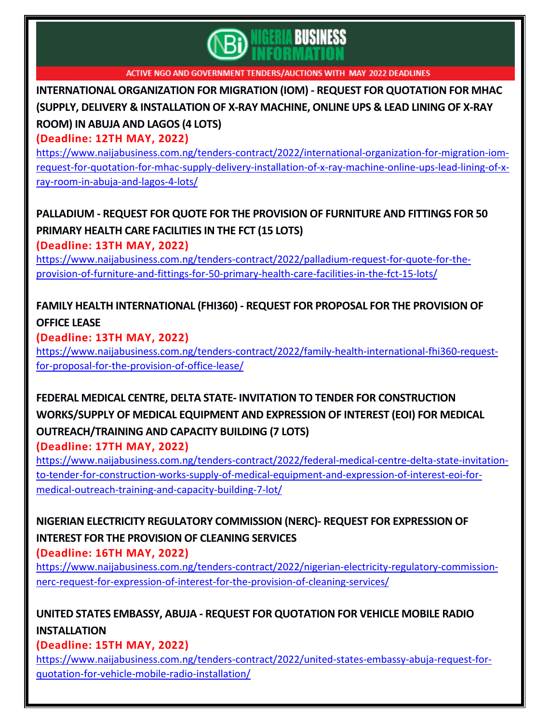

**[INTERNATIONAL](https://www.naijabusiness.com.ng/tenders-contract/2022/international-organization-for-migration-iom-request-for-quotation-for-mhac-supply-delivery-installation-of-x-ray-machine-online-ups-lead-lining-of-x-ray-room-in-abuja-and-lagos-4-lots/) ORGANIZATION FOR MIGRATION (IOM) - REQUEST FOR QUOTATION FOR MHAC (SUPPLY, DELIVERY & [INSTALLATION](https://www.naijabusiness.com.ng/tenders-contract/2022/international-organization-for-migration-iom-request-for-quotation-for-mhac-supply-delivery-installation-of-x-ray-machine-online-ups-lead-lining-of-x-ray-room-in-abuja-and-lagos-4-lots/) OF X-RAY MACHINE, ONLINE UPS & LEAD LINING OF X-RAY [ROOM\)](https://www.naijabusiness.com.ng/tenders-contract/2022/international-organization-for-migration-iom-request-for-quotation-for-mhac-supply-delivery-installation-of-x-ray-machine-online-ups-lead-lining-of-x-ray-room-in-abuja-and-lagos-4-lots/) IN ABUJA AND LAGOS (4 LOTS)**

**(Deadline: 12TH MAY, 2022)**

[https://www.naijabusiness.com.ng/tenders-contract/2022/international-organization-for-migration-iom](https://www.naijabusiness.com.ng/tenders-contract/2022/international-organization-for-migration-iom-request-for-quotation-for-mhac-supply-delivery-installation-of-x-ray-machine-online-ups-lead-lining-of-x-ray-room-in-abuja-and-lagos-4-lots/)[request-for-quotation-for-mhac-supply-delivery-installation-of-x-ray-machine-online-ups-lead-lining-of-x](https://www.naijabusiness.com.ng/tenders-contract/2022/international-organization-for-migration-iom-request-for-quotation-for-mhac-supply-delivery-installation-of-x-ray-machine-online-ups-lead-lining-of-x-ray-room-in-abuja-and-lagos-4-lots/)[ray-room-in-abuja-and-lagos-4-lots/](https://www.naijabusiness.com.ng/tenders-contract/2022/international-organization-for-migration-iom-request-for-quotation-for-mhac-supply-delivery-installation-of-x-ray-machine-online-ups-lead-lining-of-x-ray-room-in-abuja-and-lagos-4-lots/)

## **[PALLADIUM](https://www.naijabusiness.com.ng/tenders-contract/2022/palladium-request-for-quote-for-the-provision-of-furniture-and-fittings-for-50-primary-health-care-facilities-in-the-fct-15-lots/) - REQUEST FOR QUOTE FOR THE PROVISION OF FURNITURE AND FITTINGS FOR 50 PRIMARY HEALTH CARE [FACILITIES](https://www.naijabusiness.com.ng/tenders-contract/2022/palladium-request-for-quote-for-the-provision-of-furniture-and-fittings-for-50-primary-health-care-facilities-in-the-fct-15-lots/) IN THE FCT (15 LOTS)**

**(Deadline: 13TH MAY, 2022)**

[https://www.naijabusiness.com.ng/tenders-contract/2022/palladium-request-for-quote-for-the](https://www.naijabusiness.com.ng/tenders-contract/2022/palladium-request-for-quote-for-the-provision-of-furniture-and-fittings-for-50-primary-health-care-facilities-in-the-fct-15-lots/)[provision-of-furniture-and-fittings-for-50-primary-health-care-facilities-in-the-fct-15-lots/](https://www.naijabusiness.com.ng/tenders-contract/2022/palladium-request-for-quote-for-the-provision-of-furniture-and-fittings-for-50-primary-health-care-facilities-in-the-fct-15-lots/)

## **FAMILY HEALTH [INTERNATIONAL](https://www.naijabusiness.com.ng/tenders-contract/2022/family-health-international-fhi360-request-for-proposal-for-the-provision-of-office-lease/) (FHI360) - REQUEST FOR PROPOSAL FOR THE PROVISION OF [OFFICE](https://www.naijabusiness.com.ng/tenders-contract/2022/family-health-international-fhi360-request-for-proposal-for-the-provision-of-office-lease/) LEASE**

**(Deadline: 13TH MAY, 2022)**

[https://www.naijabusiness.com.ng/tenders-contract/2022/family-health-international-fhi360-request](https://www.naijabusiness.com.ng/tenders-contract/2022/family-health-international-fhi360-request-for-proposal-for-the-provision-of-office-lease/)[for-proposal-for-the-provision-of-office-lease/](https://www.naijabusiness.com.ng/tenders-contract/2022/family-health-international-fhi360-request-for-proposal-for-the-provision-of-office-lease/)

# **FEDERAL MEDICAL CENTRE, DELTA STATE- INVITATION TO TENDER FOR [CONSTRUCTION](https://www.naijabusiness.com.ng/tenders-contract/2022/federal-medical-centre-delta-state-invitation-to-tender-for-construction-works-supply-of-medical-equipment-and-expression-of-interest-eoi-for-medical-outreach-training-and-capacity-building-7-lot/) [WORKS/SUPPLY](https://www.naijabusiness.com.ng/tenders-contract/2022/federal-medical-centre-delta-state-invitation-to-tender-for-construction-works-supply-of-medical-equipment-and-expression-of-interest-eoi-for-medical-outreach-training-and-capacity-building-7-lot/) OF MEDICAL EQUIPMENT AND EXPRESSION OF INTEREST (EOI) FOR MEDICAL [OUTREACH/TRAINING](https://www.naijabusiness.com.ng/tenders-contract/2022/federal-medical-centre-delta-state-invitation-to-tender-for-construction-works-supply-of-medical-equipment-and-expression-of-interest-eoi-for-medical-outreach-training-and-capacity-building-7-lot/) AND CAPACITY BUILDING (7 LOTS)**

**(Deadline: 17TH MAY, 2022)**

[https://www.naijabusiness.com.ng/tenders-contract/2022/federal-medical-centre-delta-state-invitation](https://www.naijabusiness.com.ng/tenders-contract/2022/federal-medical-centre-delta-state-invitation-to-tender-for-construction-works-supply-of-medical-equipment-and-expression-of-interest-eoi-for-medical-outreach-training-and-capacity-building-7-lot/)[to-tender-for-construction-works-supply-of-medical-equipment-and-expression-of-interest-eoi-for](https://www.naijabusiness.com.ng/tenders-contract/2022/federal-medical-centre-delta-state-invitation-to-tender-for-construction-works-supply-of-medical-equipment-and-expression-of-interest-eoi-for-medical-outreach-training-and-capacity-building-7-lot/)[medical-outreach-training-and-capacity-building-7-lot/](https://www.naijabusiness.com.ng/tenders-contract/2022/federal-medical-centre-delta-state-invitation-to-tender-for-construction-works-supply-of-medical-equipment-and-expression-of-interest-eoi-for-medical-outreach-training-and-capacity-building-7-lot/)

#### **NIGERIAN ELECTRICITY REGULATORY [COMMISSION](https://www.naijabusiness.com.ng/tenders-contract/2022/nigerian-electricity-regulatory-commission-nerc-request-for-expression-of-interest-for-the-provision-of-cleaning-services/) (NERC)- REQUEST FOR EXPRESSION OF INTEREST FOR THE [PROVISION](https://www.naijabusiness.com.ng/tenders-contract/2022/nigerian-electricity-regulatory-commission-nerc-request-for-expression-of-interest-for-the-provision-of-cleaning-services/) OF CLEANING SERVICES (Deadline: 16TH MAY, 2022)**

[https://www.naijabusiness.com.ng/tenders-contract/2022/nigerian-electricity-regulatory-commission](https://www.naijabusiness.com.ng/tenders-contract/2022/nigerian-electricity-regulatory-commission-nerc-request-for-expression-of-interest-for-the-provision-of-cleaning-services/)[nerc-request-for-expression-of-interest-for-the-provision-of-cleaning-services/](https://www.naijabusiness.com.ng/tenders-contract/2022/nigerian-electricity-regulatory-commission-nerc-request-for-expression-of-interest-for-the-provision-of-cleaning-services/)

## **UNITED STATES EMBASSY, ABUJA - REQUEST FOR [QUOTATION](https://www.naijabusiness.com.ng/tenders-contract/2022/united-states-embassy-abuja-request-for-quotation-for-vehicle-mobile-radio-installation/) FOR VEHICLE MOBILE RADIO [INSTALLATION](https://www.naijabusiness.com.ng/tenders-contract/2022/united-states-embassy-abuja-request-for-quotation-for-vehicle-mobile-radio-installation/)**

**(Deadline: 15TH MAY, 2022)**

[https://www.naijabusiness.com.ng/tenders-contract/2022/united-states-embassy-abuja-request-for](https://www.naijabusiness.com.ng/tenders-contract/2022/united-states-embassy-abuja-request-for-quotation-for-vehicle-mobile-radio-installation/)[quotation-for-vehicle-mobile-radio-installation/](https://www.naijabusiness.com.ng/tenders-contract/2022/united-states-embassy-abuja-request-for-quotation-for-vehicle-mobile-radio-installation/)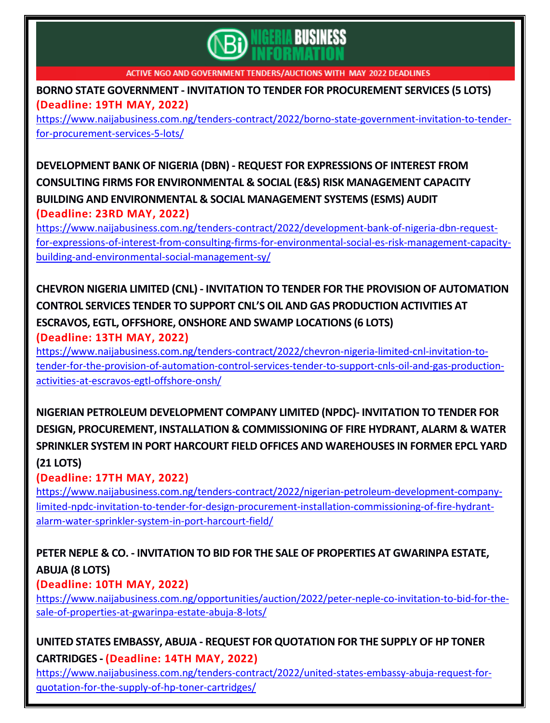

**BORNO STATE GOVERNMENT - INVITATION TO TENDER FOR [PROCUREMENT](https://www.naijabusiness.com.ng/tenders-contract/2022/borno-state-government-invitation-to-tender-for-procurement-services-5-lots/) SERVICES (5 LOTS) (Deadline: 19TH MAY, 2022)**

[https://www.naijabusiness.com.ng/tenders-contract/2022/borno-state-government-invitation-to-tender](https://www.naijabusiness.com.ng/tenders-contract/2022/borno-state-government-invitation-to-tender-for-procurement-services-5-lots/)[for-procurement-services-5-lots/](https://www.naijabusiness.com.ng/tenders-contract/2022/borno-state-government-invitation-to-tender-for-procurement-services-5-lots/)

**[DEVELOPMENT](https://www.naijabusiness.com.ng/tenders-contract/2022/development-bank-of-nigeria-dbn-request-for-expressions-of-interest-from-consulting-firms-for-environmental-social-es-risk-management-capacity-building-and-environmental-social-management-sy/) BANK OF NIGERIA (DBN) - REQUEST FOR EXPRESSIONS OF INTEREST FROM CONSULTING FIRMS FOR [ENVIRONMENTAL](https://www.naijabusiness.com.ng/tenders-contract/2022/development-bank-of-nigeria-dbn-request-for-expressions-of-interest-from-consulting-firms-for-environmental-social-es-risk-management-capacity-building-and-environmental-social-management-sy/) & SOCIAL (E&S) RISK MANAGEMENT CAPACITY BUILDING AND [ENVIRONMENTAL](https://www.naijabusiness.com.ng/tenders-contract/2022/development-bank-of-nigeria-dbn-request-for-expressions-of-interest-from-consulting-firms-for-environmental-social-es-risk-management-capacity-building-and-environmental-social-management-sy/) & SOCIAL MANAGEMENT SYSTEMS (ESMS) AUDIT (Deadline: 23RD MAY, 2022)**

[https://www.naijabusiness.com.ng/tenders-contract/2022/development-bank-of-nigeria-dbn-request](https://www.naijabusiness.com.ng/tenders-contract/2022/development-bank-of-nigeria-dbn-request-for-expressions-of-interest-from-consulting-firms-for-environmental-social-es-risk-management-capacity-building-and-environmental-social-management-sy/)[for-expressions-of-interest-from-consulting-firms-for-environmental-social-es-risk-management-capacity](https://www.naijabusiness.com.ng/tenders-contract/2022/development-bank-of-nigeria-dbn-request-for-expressions-of-interest-from-consulting-firms-for-environmental-social-es-risk-management-capacity-building-and-environmental-social-management-sy/)[building-and-environmental-social-management-sy/](https://www.naijabusiness.com.ng/tenders-contract/2022/development-bank-of-nigeria-dbn-request-for-expressions-of-interest-from-consulting-firms-for-environmental-social-es-risk-management-capacity-building-and-environmental-social-management-sy/)

## **CHEVRON NIGERIA LIMITED (CNL) - INVITATION TO TENDER FOR THE PROVISION OF [AUTOMATION](https://www.naijabusiness.com.ng/tenders-contract/2022/chevron-nigeria-limited-cnl-invitation-to-tender-for-the-provision-of-automation-control-services-tender-to-support-cnls-oil-and-gas-production-activities-at-escravos-egtl-offshore-onsh/) CONTROL SERVICES TENDER TO SUPPORT CNL'S OIL AND GAS [PRODUCTION](https://www.naijabusiness.com.ng/tenders-contract/2022/chevron-nigeria-limited-cnl-invitation-to-tender-for-the-provision-of-automation-control-services-tender-to-support-cnls-oil-and-gas-production-activities-at-escravos-egtl-offshore-onsh/) ACTIVITIES AT ESCRAVOS, EGTL, OFFSHORE, ONSHORE AND SWAMP [LOCATIONS](https://www.naijabusiness.com.ng/tenders-contract/2022/chevron-nigeria-limited-cnl-invitation-to-tender-for-the-provision-of-automation-control-services-tender-to-support-cnls-oil-and-gas-production-activities-at-escravos-egtl-offshore-onsh/) (6 LOTS) (Deadline: 13TH MAY, 2022)**

[https://www.naijabusiness.com.ng/tenders-contract/2022/chevron-nigeria-limited-cnl-invitation-to](https://www.naijabusiness.com.ng/tenders-contract/2022/chevron-nigeria-limited-cnl-invitation-to-tender-for-the-provision-of-automation-control-services-tender-to-support-cnls-oil-and-gas-production-activities-at-escravos-egtl-offshore-onsh/)[tender-for-the-provision-of-automation-control-services-tender-to-support-cnls-oil-and-gas-production](https://www.naijabusiness.com.ng/tenders-contract/2022/chevron-nigeria-limited-cnl-invitation-to-tender-for-the-provision-of-automation-control-services-tender-to-support-cnls-oil-and-gas-production-activities-at-escravos-egtl-offshore-onsh/)[activities-at-escravos-egtl-offshore-onsh/](https://www.naijabusiness.com.ng/tenders-contract/2022/chevron-nigeria-limited-cnl-invitation-to-tender-for-the-provision-of-automation-control-services-tender-to-support-cnls-oil-and-gas-production-activities-at-escravos-egtl-offshore-onsh/)

**NIGERIAN PETROLEUM [DEVELOPMENT](https://www.naijabusiness.com.ng/tenders-contract/2022/nigerian-petroleum-development-company-limited-npdc-invitation-to-tender-for-design-procurement-installation-commissioning-of-fire-hydrant-alarm-water-sprinkler-system-in-port-harcourt-field/) COMPANY LIMITED (NPDC)- INVITATION TO TENDER FOR DESIGN, PROCUREMENT, INSTALLATION & [COMMISSIONING](https://www.naijabusiness.com.ng/tenders-contract/2022/nigerian-petroleum-development-company-limited-npdc-invitation-to-tender-for-design-procurement-installation-commissioning-of-fire-hydrant-alarm-water-sprinkler-system-in-port-harcourt-field/) OF FIRE HYDRANT, ALARM & WATER SPRINKLER SYSTEM IN PORT HARCOURT FIELD OFFICES AND [WAREHOUSES](https://www.naijabusiness.com.ng/tenders-contract/2022/nigerian-petroleum-development-company-limited-npdc-invitation-to-tender-for-design-procurement-installation-commissioning-of-fire-hydrant-alarm-water-sprinkler-system-in-port-harcourt-field/) IN FORMER EPCL YARD (21 [LOTS\)](https://www.naijabusiness.com.ng/tenders-contract/2022/nigerian-petroleum-development-company-limited-npdc-invitation-to-tender-for-design-procurement-installation-commissioning-of-fire-hydrant-alarm-water-sprinkler-system-in-port-harcourt-field/)**

#### **(Deadline: 17TH MAY, 2022)**

[https://www.naijabusiness.com.ng/tenders-contract/2022/nigerian-petroleum-development-company](https://www.naijabusiness.com.ng/tenders-contract/2022/nigerian-petroleum-development-company-limited-npdc-invitation-to-tender-for-design-procurement-installation-commissioning-of-fire-hydrant-alarm-water-sprinkler-system-in-port-harcourt-field/)[limited-npdc-invitation-to-tender-for-design-procurement-installation-commissioning-of-fire-hydrant](https://www.naijabusiness.com.ng/tenders-contract/2022/nigerian-petroleum-development-company-limited-npdc-invitation-to-tender-for-design-procurement-installation-commissioning-of-fire-hydrant-alarm-water-sprinkler-system-in-port-harcourt-field/)[alarm-water-sprinkler-system-in-port-harcourt-field/](https://www.naijabusiness.com.ng/tenders-contract/2022/nigerian-petroleum-development-company-limited-npdc-invitation-to-tender-for-design-procurement-installation-commissioning-of-fire-hydrant-alarm-water-sprinkler-system-in-port-harcourt-field/)

# **PETER NEPLE & CO. - INVITATION TO BID FOR THE SALE OF [PROPERTIES](https://www.naijabusiness.com.ng/opportunities/auction/2022/peter-neple-co-invitation-to-bid-for-the-sale-of-properties-at-gwarinpa-estate-abuja-8-lots/) AT GWARINPA ESTATE, [ABUJA](https://www.naijabusiness.com.ng/opportunities/auction/2022/peter-neple-co-invitation-to-bid-for-the-sale-of-properties-at-gwarinpa-estate-abuja-8-lots/) (8 LOTS)**

#### **(Deadline: 10TH MAY, 2022)**

[https://www.naijabusiness.com.ng/opportunities/auction/2022/peter-neple-co-invitation-to-bid-for-the](https://www.naijabusiness.com.ng/opportunities/auction/2022/peter-neple-co-invitation-to-bid-for-the-sale-of-properties-at-gwarinpa-estate-abuja-8-lots/)[sale-of-properties-at-gwarinpa-estate-abuja-8-lots/](https://www.naijabusiness.com.ng/opportunities/auction/2022/peter-neple-co-invitation-to-bid-for-the-sale-of-properties-at-gwarinpa-estate-abuja-8-lots/)

#### **UNITED STATES EMBASSY, ABUJA - REQUEST FOR [QUOTATION](https://www.naijabusiness.com.ng/tenders-contract/2022/united-states-embassy-abuja-request-for-quotation-for-the-supply-of-hp-toner-cartridges/) FOR THE SUPPLY OF HP TONER**

#### **[CARTRIDGES](https://www.naijabusiness.com.ng/tenders-contract/2022/united-states-embassy-abuja-request-for-quotation-for-the-supply-of-hp-toner-cartridges/) - (Deadline: 14TH MAY, 2022)**

[https://www.naijabusiness.com.ng/tenders-contract/2022/united-states-embassy-abuja-request-for](https://www.naijabusiness.com.ng/tenders-contract/2022/united-states-embassy-abuja-request-for-quotation-for-the-supply-of-hp-toner-cartridges/)[quotation-for-the-supply-of-hp-toner-cartridges/](https://www.naijabusiness.com.ng/tenders-contract/2022/united-states-embassy-abuja-request-for-quotation-for-the-supply-of-hp-toner-cartridges/)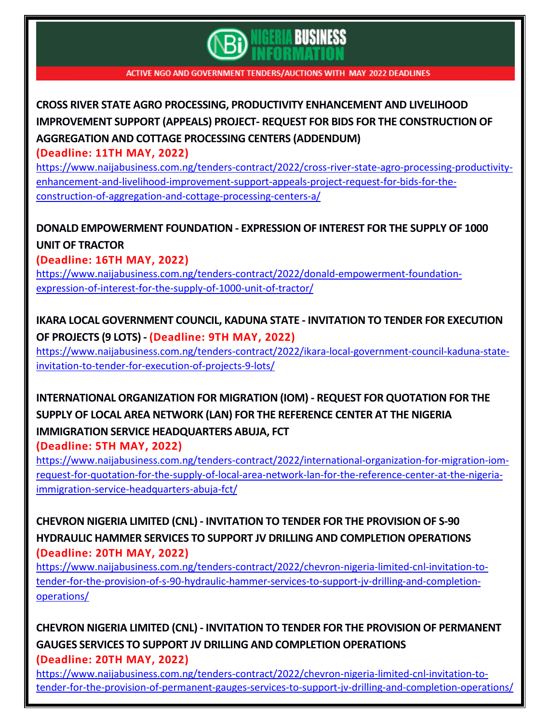

# **CROSS RIVER STATE AGRO PROCESSING, PRODUCTIVITY [ENHANCEMENT](https://www.naijabusiness.com.ng/tenders-contract/2022/cross-river-state-agro-processing-productivity-enhancement-and-livelihood-improvement-support-appeals-project-request-for-bids-for-the-construction-of-aggregation-and-cottage-processing-centers-a/) AND LIVELIHOOD IMPROVEMENT SUPPORT (APPEALS) PROJECT- REQUEST FOR BIDS FOR THE [CONSTRUCTION](https://www.naijabusiness.com.ng/tenders-contract/2022/cross-river-state-agro-processing-productivity-enhancement-and-livelihood-improvement-support-appeals-project-request-for-bids-for-the-construction-of-aggregation-and-cottage-processing-centers-a/) OF [AGGREGATION](https://www.naijabusiness.com.ng/tenders-contract/2022/cross-river-state-agro-processing-productivity-enhancement-and-livelihood-improvement-support-appeals-project-request-for-bids-for-the-construction-of-aggregation-and-cottage-processing-centers-a/) AND COTTAGE PROCESSING CENTERS (ADDENDUM)**

**(Deadline: 11TH MAY, 2022)**

[https://www.naijabusiness.com.ng/tenders-contract/2022/cross-river-state-agro-processing-productivity](https://www.naijabusiness.com.ng/tenders-contract/2022/cross-river-state-agro-processing-productivity-enhancement-and-livelihood-improvement-support-appeals-project-request-for-bids-for-the-construction-of-aggregation-and-cottage-processing-centers-a/)[enhancement-and-livelihood-improvement-support-appeals-project-request-for-bids-for-the](https://www.naijabusiness.com.ng/tenders-contract/2022/cross-river-state-agro-processing-productivity-enhancement-and-livelihood-improvement-support-appeals-project-request-for-bids-for-the-construction-of-aggregation-and-cottage-processing-centers-a/)[construction-of-aggregation-and-cottage-processing-centers-a/](https://www.naijabusiness.com.ng/tenders-contract/2022/cross-river-state-agro-processing-productivity-enhancement-and-livelihood-improvement-support-appeals-project-request-for-bids-for-the-construction-of-aggregation-and-cottage-processing-centers-a/)

## **DONALD [EMPOWERMENT](https://www.naijabusiness.com.ng/tenders-contract/2022/donald-empowerment-foundation-expression-of-interest-for-the-supply-of-1000-unit-of-tractor/) FOUNDATION - EXPRESSION OF INTEREST FOR THE SUPPLY OF 1000 UNIT OF [TRACTOR](https://www.naijabusiness.com.ng/tenders-contract/2022/donald-empowerment-foundation-expression-of-interest-for-the-supply-of-1000-unit-of-tractor/)**

**(Deadline: 16TH MAY, 2022)**

[https://www.naijabusiness.com.ng/tenders-contract/2022/donald-empowerment-foundation](https://www.naijabusiness.com.ng/tenders-contract/2022/donald-empowerment-foundation-expression-of-interest-for-the-supply-of-1000-unit-of-tractor/)[expression-of-interest-for-the-supply-of-1000-unit-of-tractor/](https://www.naijabusiness.com.ng/tenders-contract/2022/donald-empowerment-foundation-expression-of-interest-for-the-supply-of-1000-unit-of-tractor/)

## **IKARA LOCAL [GOVERNMENT](https://www.naijabusiness.com.ng/tenders-contract/2022/ikara-local-government-council-kaduna-state-invitation-to-tender-for-execution-of-projects-9-lots/) COUNCIL, KADUNA STATE - INVITATION TO TENDER FOR EXECUTION OF [PROJECTS](https://www.naijabusiness.com.ng/tenders-contract/2022/ikara-local-government-council-kaduna-state-invitation-to-tender-for-execution-of-projects-9-lots/) (9 LOTS) - (Deadline: 9TH MAY, 2022)**

[https://www.naijabusiness.com.ng/tenders-contract/2022/ikara-local-government-council-kaduna-state](https://www.naijabusiness.com.ng/tenders-contract/2022/ikara-local-government-council-kaduna-state-invitation-to-tender-for-execution-of-projects-9-lots/)[invitation-to-tender-for-execution-of-projects-9-lots/](https://www.naijabusiness.com.ng/tenders-contract/2022/ikara-local-government-council-kaduna-state-invitation-to-tender-for-execution-of-projects-9-lots/)

# **[INTERNATIONAL](https://www.naijabusiness.com.ng/tenders-contract/2022/international-organization-for-migration-iom-request-for-quotation-for-the-supply-of-local-area-network-lan-for-the-reference-center-at-the-nigeria-immigration-service-headquarters-abuja-fct/) ORGANIZATION FOR MIGRATION (IOM) - REQUEST FOR QUOTATION FOR THE SUPPLY OF LOCAL AREA NETWORK (LAN) FOR THE [REFERENCE](https://www.naijabusiness.com.ng/tenders-contract/2022/international-organization-for-migration-iom-request-for-quotation-for-the-supply-of-local-area-network-lan-for-the-reference-center-at-the-nigeria-immigration-service-headquarters-abuja-fct/) CENTER AT THE NIGERIA IMMIGRATION SERVICE [HEADQUARTERS](https://www.naijabusiness.com.ng/tenders-contract/2022/international-organization-for-migration-iom-request-for-quotation-for-the-supply-of-local-area-network-lan-for-the-reference-center-at-the-nigeria-immigration-service-headquarters-abuja-fct/) ABUJA, FCT**

**(Deadline: 5TH MAY, 2022)**

[https://www.naijabusiness.com.ng/tenders-contract/2022/international-organization-for-migration-iom](https://www.naijabusiness.com.ng/tenders-contract/2022/international-organization-for-migration-iom-request-for-quotation-for-the-supply-of-local-area-network-lan-for-the-reference-center-at-the-nigeria-immigration-service-headquarters-abuja-fct/)[request-for-quotation-for-the-supply-of-local-area-network-lan-for-the-reference-center-at-the-nigeria](https://www.naijabusiness.com.ng/tenders-contract/2022/international-organization-for-migration-iom-request-for-quotation-for-the-supply-of-local-area-network-lan-for-the-reference-center-at-the-nigeria-immigration-service-headquarters-abuja-fct/)[immigration-service-headquarters-abuja-fct/](https://www.naijabusiness.com.ng/tenders-contract/2022/international-organization-for-migration-iom-request-for-quotation-for-the-supply-of-local-area-network-lan-for-the-reference-center-at-the-nigeria-immigration-service-headquarters-abuja-fct/)

**CHEVRON NIGERIA LIMITED (CNL) - [INVITATION](https://www.naijabusiness.com.ng/tenders-contract/2022/chevron-nigeria-limited-cnl-invitation-to-tender-for-the-provision-of-s-90-hydraulic-hammer-services-to-support-jv-drilling-and-completion-operations/) TO TENDER FOR THE PROVISION OF S-90 HYDRAULIC HAMMER SERVICES TO SUPPORT JV DRILLING AND [COMPLETION](https://www.naijabusiness.com.ng/tenders-contract/2022/chevron-nigeria-limited-cnl-invitation-to-tender-for-the-provision-of-s-90-hydraulic-hammer-services-to-support-jv-drilling-and-completion-operations/) OPERATIONS (Deadline: 20TH MAY, 2022)**

[https://www.naijabusiness.com.ng/tenders-contract/2022/chevron-nigeria-limited-cnl-invitation-to](https://www.naijabusiness.com.ng/tenders-contract/2022/chevron-nigeria-limited-cnl-invitation-to-tender-for-the-provision-of-s-90-hydraulic-hammer-services-to-support-jv-drilling-and-completion-operations/)[tender-for-the-provision-of-s-90-hydraulic-hammer-services-to-support-jv-drilling-and-completion](https://www.naijabusiness.com.ng/tenders-contract/2022/chevron-nigeria-limited-cnl-invitation-to-tender-for-the-provision-of-s-90-hydraulic-hammer-services-to-support-jv-drilling-and-completion-operations/)[operations/](https://www.naijabusiness.com.ng/tenders-contract/2022/chevron-nigeria-limited-cnl-invitation-to-tender-for-the-provision-of-s-90-hydraulic-hammer-services-to-support-jv-drilling-and-completion-operations/)

**CHEVRON NIGERIA LIMITED (CNL) - INVITATION TO TENDER FOR THE PROVISION OF [PERMANENT](https://www.naijabusiness.com.ng/tenders-contract/2022/chevron-nigeria-limited-cnl-invitation-to-tender-for-the-provision-of-permanent-gauges-services-to-support-jv-drilling-and-completion-operations/) GAUGES SERVICES TO SUPPORT JV DRILLING AND [COMPLETION](https://www.naijabusiness.com.ng/tenders-contract/2022/chevron-nigeria-limited-cnl-invitation-to-tender-for-the-provision-of-permanent-gauges-services-to-support-jv-drilling-and-completion-operations/) OPERATIONS**

**(Deadline: 20TH MAY, 2022)**

[https://www.naijabusiness.com.ng/tenders-contract/2022/chevron-nigeria-limited-cnl-invitation-to](https://www.naijabusiness.com.ng/tenders-contract/2022/chevron-nigeria-limited-cnl-invitation-to-tender-for-the-provision-of-permanent-gauges-services-to-support-jv-drilling-and-completion-operations/)[tender-for-the-provision-of-permanent-gauges-services-to-support-jv-drilling-and-completion-operations/](https://www.naijabusiness.com.ng/tenders-contract/2022/chevron-nigeria-limited-cnl-invitation-to-tender-for-the-provision-of-permanent-gauges-services-to-support-jv-drilling-and-completion-operations/)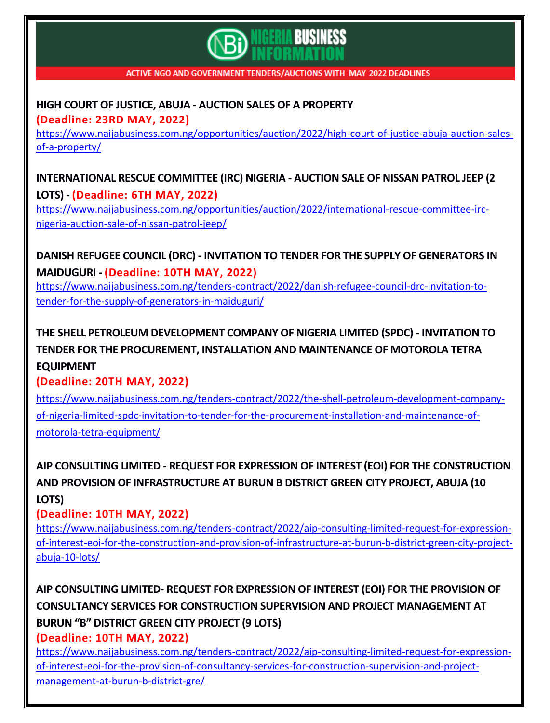

## **HIGH COURT OF JUSTICE, ABUJA - AUCTION SALES OF A [PROPERTY](https://www.naijabusiness.com.ng/opportunities/auction/2022/high-court-of-justice-abuja-auction-sales-of-a-property/)**

**(Deadline: 23RD MAY, 2022)**

[https://www.naijabusiness.com.ng/opportunities/auction/2022/high-court-of-justice-abuja-auction-sales](https://www.naijabusiness.com.ng/opportunities/auction/2022/high-court-of-justice-abuja-auction-sales-of-a-property/)[of-a-property/](https://www.naijabusiness.com.ng/opportunities/auction/2022/high-court-of-justice-abuja-auction-sales-of-a-property/)

**[INTERNATIONAL](https://www.naijabusiness.com.ng/opportunities/auction/2022/international-rescue-committee-irc-nigeria-auction-sale-of-nissan-patrol-jeep/) RESCUE COMMITTEE (IRC) NIGERIA - AUCTION SALE OF NISSAN PATROL JEEP (2 [LOTS\)](https://www.naijabusiness.com.ng/opportunities/auction/2022/international-rescue-committee-irc-nigeria-auction-sale-of-nissan-patrol-jeep/) - (Deadline: 6TH MAY, 2022)**

[https://www.naijabusiness.com.ng/opportunities/auction/2022/international-rescue-committee-irc](https://www.naijabusiness.com.ng/opportunities/auction/2022/international-rescue-committee-irc-nigeria-auction-sale-of-nissan-patrol-jeep/)[nigeria-auction-sale-of-nissan-patrol-jeep/](https://www.naijabusiness.com.ng/opportunities/auction/2022/international-rescue-committee-irc-nigeria-auction-sale-of-nissan-patrol-jeep/)

**DANISH REFUGEE COUNCIL (DRC) - INVITATION TO TENDER FOR THE SUPPLY OF [GENERATORS](https://www.naijabusiness.com.ng/tenders-contract/2022/danish-refugee-council-drc-invitation-to-tender-for-the-supply-of-generators-in-maiduguri/) IN [MAIDUGURI](https://www.naijabusiness.com.ng/tenders-contract/2022/danish-refugee-council-drc-invitation-to-tender-for-the-supply-of-generators-in-maiduguri/) - (Deadline: 10TH MAY, 2022)** [https://www.naijabusiness.com.ng/tenders-contract/2022/danish-refugee-council-drc-invitation-to-](https://www.naijabusiness.com.ng/tenders-contract/2022/danish-refugee-council-drc-invitation-to-tender-for-the-supply-of-generators-in-maiduguri/)

[tender-for-the-supply-of-generators-in-maiduguri/](https://www.naijabusiness.com.ng/tenders-contract/2022/danish-refugee-council-drc-invitation-to-tender-for-the-supply-of-generators-in-maiduguri/)

# **THE SHELL PETROLEUM [DEVELOPMENT](https://www.naijabusiness.com.ng/tenders-contract/2022/the-shell-petroleum-development-company-of-nigeria-limited-spdc-invitation-to-tender-for-the-procurement-installation-and-maintenance-of-motorola-tetra-equipment/) COMPANY OF NIGERIA LIMITED (SPDC) - INVITATION TO TENDER FOR THE [PROCUREMENT,](https://www.naijabusiness.com.ng/tenders-contract/2022/the-shell-petroleum-development-company-of-nigeria-limited-spdc-invitation-to-tender-for-the-procurement-installation-and-maintenance-of-motorola-tetra-equipment/) INSTALLATION AND MAINTENANCE OF MOTOROLA TETRA [EQUIPMENT](https://www.naijabusiness.com.ng/tenders-contract/2022/the-shell-petroleum-development-company-of-nigeria-limited-spdc-invitation-to-tender-for-the-procurement-installation-and-maintenance-of-motorola-tetra-equipment/)**

#### **(Deadline: 20TH MAY, 2022)**

[https://www.naijabusiness.com.ng/tenders-contract/2022/the-shell-petroleum-development-company](https://www.naijabusiness.com.ng/tenders-contract/2022/the-shell-petroleum-development-company-of-nigeria-limited-spdc-invitation-to-tender-for-the-procurement-installation-and-maintenance-of-motorola-tetra-equipment/)[of-nigeria-limited-spdc-invitation-to-tender-for-the-procurement-installation-and-maintenance-of](https://www.naijabusiness.com.ng/tenders-contract/2022/the-shell-petroleum-development-company-of-nigeria-limited-spdc-invitation-to-tender-for-the-procurement-installation-and-maintenance-of-motorola-tetra-equipment/)[motorola-tetra-equipment/](https://www.naijabusiness.com.ng/tenders-contract/2022/the-shell-petroleum-development-company-of-nigeria-limited-spdc-invitation-to-tender-for-the-procurement-installation-and-maintenance-of-motorola-tetra-equipment/)

**AIP CONSULTING LIMITED - REQUEST FOR EXPRESSION OF INTEREST (EOI) FOR THE [CONSTRUCTION](https://www.naijabusiness.com.ng/tenders-contract/2022/aip-consulting-limited-request-for-expression-of-interest-eoi-for-the-construction-and-provision-of-infrastructure-at-burun-b-district-green-city-project-abuja-10-lots/) AND PROVISION OF [INFRASTRUCTURE](https://www.naijabusiness.com.ng/tenders-contract/2022/aip-consulting-limited-request-for-expression-of-interest-eoi-for-the-construction-and-provision-of-infrastructure-at-burun-b-district-green-city-project-abuja-10-lots/) AT BURUN B DISTRICT GREEN CITY PROJECT, ABUJA (10 [LOTS\)](https://www.naijabusiness.com.ng/tenders-contract/2022/aip-consulting-limited-request-for-expression-of-interest-eoi-for-the-construction-and-provision-of-infrastructure-at-burun-b-district-green-city-project-abuja-10-lots/)**

#### **(Deadline: 10TH MAY, 2022)**

[https://www.naijabusiness.com.ng/tenders-contract/2022/aip-consulting-limited-request-for-expression](https://www.naijabusiness.com.ng/tenders-contract/2022/aip-consulting-limited-request-for-expression-of-interest-eoi-for-the-construction-and-provision-of-infrastructure-at-burun-b-district-green-city-project-abuja-10-lots/)[of-interest-eoi-for-the-construction-and-provision-of-infrastructure-at-burun-b-district-green-city-project](https://www.naijabusiness.com.ng/tenders-contract/2022/aip-consulting-limited-request-for-expression-of-interest-eoi-for-the-construction-and-provision-of-infrastructure-at-burun-b-district-green-city-project-abuja-10-lots/)[abuja-10-lots/](https://www.naijabusiness.com.ng/tenders-contract/2022/aip-consulting-limited-request-for-expression-of-interest-eoi-for-the-construction-and-provision-of-infrastructure-at-burun-b-district-green-city-project-abuja-10-lots/)

**AIP [CONSULTING](https://www.naijabusiness.com.ng/tenders-contract/2022/aip-consulting-limited-request-for-expression-of-interest-eoi-for-the-provision-of-consultancy-services-for-construction-supervision-and-project-management-at-burun-b-district-gre/) LIMITED- REQUEST FOR EXPRESSION OF INTEREST (EOI) FOR THE PROVISION OF CONSULTANCY SERVICES FOR [CONSTRUCTION](https://www.naijabusiness.com.ng/tenders-contract/2022/aip-consulting-limited-request-for-expression-of-interest-eoi-for-the-provision-of-consultancy-services-for-construction-supervision-and-project-management-at-burun-b-district-gre/) SUPERVISION AND PROJECT MANAGEMENT AT BURUN "B" [DISTRICT](https://www.naijabusiness.com.ng/tenders-contract/2022/aip-consulting-limited-request-for-expression-of-interest-eoi-for-the-provision-of-consultancy-services-for-construction-supervision-and-project-management-at-burun-b-district-gre/) GREEN CITY PROJECT (9 LOTS)**

**(Deadline: 10TH MAY, 2022)**

[https://www.naijabusiness.com.ng/tenders-contract/2022/aip-consulting-limited-request-for-expression](https://www.naijabusiness.com.ng/tenders-contract/2022/aip-consulting-limited-request-for-expression-of-interest-eoi-for-the-provision-of-consultancy-services-for-construction-supervision-and-project-management-at-burun-b-district-gre/)[of-interest-eoi-for-the-provision-of-consultancy-services-for-construction-supervision-and-project](https://www.naijabusiness.com.ng/tenders-contract/2022/aip-consulting-limited-request-for-expression-of-interest-eoi-for-the-provision-of-consultancy-services-for-construction-supervision-and-project-management-at-burun-b-district-gre/)[management-at-burun-b-district-gre/](https://www.naijabusiness.com.ng/tenders-contract/2022/aip-consulting-limited-request-for-expression-of-interest-eoi-for-the-provision-of-consultancy-services-for-construction-supervision-and-project-management-at-burun-b-district-gre/)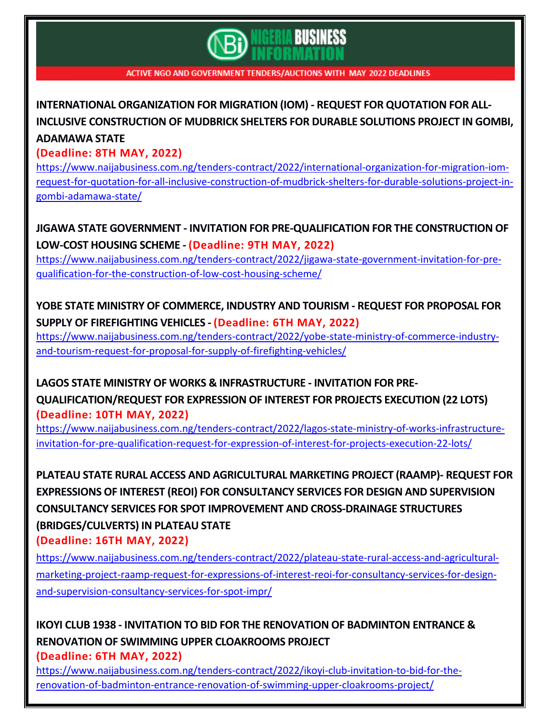# **BUSINESS**

ACTIVE NGO AND GOVERNMENT TENDERS/AUCTIONS WITH MAY 2022 DEADLINES

# **[INTERNATIONAL](https://www.naijabusiness.com.ng/tenders-contract/2022/international-organization-for-migration-iom-request-for-quotation-for-all-inclusive-construction-of-mudbrick-shelters-for-durable-solutions-project-in-gombi-adamawa-state/) ORGANIZATION FOR MIGRATION (IOM) - REQUEST FOR QUOTATION FOR ALL-INCLUSIVE [CONSTRUCTION](https://www.naijabusiness.com.ng/tenders-contract/2022/international-organization-for-migration-iom-request-for-quotation-for-all-inclusive-construction-of-mudbrick-shelters-for-durable-solutions-project-in-gombi-adamawa-state/) OF MUDBRICK SHELTERS FOR DURABLE SOLUTIONS PROJECT IN GOMBI, [ADAMAWA](https://www.naijabusiness.com.ng/tenders-contract/2022/international-organization-for-migration-iom-request-for-quotation-for-all-inclusive-construction-of-mudbrick-shelters-for-durable-solutions-project-in-gombi-adamawa-state/) STATE**

#### **(Deadline: 8TH MAY, 2022)**

[https://www.naijabusiness.com.ng/tenders-contract/2022/international-organization-for-migration-iom](https://www.naijabusiness.com.ng/tenders-contract/2022/international-organization-for-migration-iom-request-for-quotation-for-all-inclusive-construction-of-mudbrick-shelters-for-durable-solutions-project-in-gombi-adamawa-state/)[request-for-quotation-for-all-inclusive-construction-of-mudbrick-shelters-for-durable-solutions-project-in](https://www.naijabusiness.com.ng/tenders-contract/2022/international-organization-for-migration-iom-request-for-quotation-for-all-inclusive-construction-of-mudbrick-shelters-for-durable-solutions-project-in-gombi-adamawa-state/)[gombi-adamawa-state/](https://www.naijabusiness.com.ng/tenders-contract/2022/international-organization-for-migration-iom-request-for-quotation-for-all-inclusive-construction-of-mudbrick-shelters-for-durable-solutions-project-in-gombi-adamawa-state/)

**JIGAWA STATE GOVERNMENT - INVITATION FOR [PRE-QUALIFICATION](https://www.naijabusiness.com.ng/tenders-contract/2022/jigawa-state-government-invitation-for-pre-qualification-for-the-construction-of-low-cost-housing-scheme/) FOR THE CONSTRUCTION OF [LOW-COST](https://www.naijabusiness.com.ng/tenders-contract/2022/jigawa-state-government-invitation-for-pre-qualification-for-the-construction-of-low-cost-housing-scheme/) HOUSING SCHEME - (Deadline: 9TH MAY, 2022)**

[https://www.naijabusiness.com.ng/tenders-contract/2022/jigawa-state-government-invitation-for-pre](https://www.naijabusiness.com.ng/tenders-contract/2022/jigawa-state-government-invitation-for-pre-qualification-for-the-construction-of-low-cost-housing-scheme/)[qualification-for-the-construction-of-low-cost-housing-scheme/](https://www.naijabusiness.com.ng/tenders-contract/2022/jigawa-state-government-invitation-for-pre-qualification-for-the-construction-of-low-cost-housing-scheme/)

## **YOBE STATE MINISTRY OF [COMMERCE,](https://www.naijabusiness.com.ng/tenders-contract/2022/yobe-state-ministry-of-commerce-industry-and-tourism-request-for-proposal-for-supply-of-firefighting-vehicles/) INDUSTRY AND TOURISM - REQUEST FOR PROPOSAL FOR SUPPLY OF [FIREFIGHTING](https://www.naijabusiness.com.ng/tenders-contract/2022/yobe-state-ministry-of-commerce-industry-and-tourism-request-for-proposal-for-supply-of-firefighting-vehicles/) VEHICLES - (Deadline: 6TH MAY, 2022)**

[https://www.naijabusiness.com.ng/tenders-contract/2022/yobe-state-ministry-of-commerce-industry](https://www.naijabusiness.com.ng/tenders-contract/2022/yobe-state-ministry-of-commerce-industry-and-tourism-request-for-proposal-for-supply-of-firefighting-vehicles/)[and-tourism-request-for-proposal-for-supply-of-firefighting-vehicles/](https://www.naijabusiness.com.ng/tenders-contract/2022/yobe-state-ministry-of-commerce-industry-and-tourism-request-for-proposal-for-supply-of-firefighting-vehicles/)

#### **LAGOS STATE MINISTRY OF WORKS & [INFRASTRUCTURE](https://www.naijabusiness.com.ng/tenders-contract/2022/lagos-state-ministry-of-works-infrastructure-invitation-for-pre-qualification-request-for-expression-of-interest-for-projects-execution-22-lots/) - INVITATION FOR PRE-**

**[QUALIFICATION/REQUEST](https://www.naijabusiness.com.ng/tenders-contract/2022/lagos-state-ministry-of-works-infrastructure-invitation-for-pre-qualification-request-for-expression-of-interest-for-projects-execution-22-lots/) FOR EXPRESSION OF INTEREST FOR PROJECTS EXECUTION (22 LOTS) (Deadline: 10TH MAY, 2022)**

[https://www.naijabusiness.com.ng/tenders-contract/2022/lagos-state-ministry-of-works-infrastructure](https://www.naijabusiness.com.ng/tenders-contract/2022/lagos-state-ministry-of-works-infrastructure-invitation-for-pre-qualification-request-for-expression-of-interest-for-projects-execution-22-lots/)[invitation-for-pre-qualification-request-for-expression-of-interest-for-projects-execution-22-lots/](https://www.naijabusiness.com.ng/tenders-contract/2022/lagos-state-ministry-of-works-infrastructure-invitation-for-pre-qualification-request-for-expression-of-interest-for-projects-execution-22-lots/)

**PLATEAU STATE RURAL ACCESS AND [AGRICULTURAL](https://www.naijabusiness.com.ng/tenders-contract/2022/plateau-state-rural-access-and-agricultural-marketing-project-raamp-request-for-expressions-of-interest-reoi-for-consultancy-services-for-design-and-supervision-consultancy-services-for-spot-impr/) MARKETING PROJECT (RAAMP)- REQUEST FOR EXPRESSIONS OF INTEREST (REOI) FOR [CONSULTANCY](https://www.naijabusiness.com.ng/tenders-contract/2022/plateau-state-rural-access-and-agricultural-marketing-project-raamp-request-for-expressions-of-interest-reoi-for-consultancy-services-for-design-and-supervision-consultancy-services-for-spot-impr/) SERVICES FOR DESIGN AND SUPERVISION CONSULTANCY SERVICES FOR SPOT IMPROVEMENT AND [CROSS-DRAINAGE](https://www.naijabusiness.com.ng/tenders-contract/2022/plateau-state-rural-access-and-agricultural-marketing-project-raamp-request-for-expressions-of-interest-reoi-for-consultancy-services-for-design-and-supervision-consultancy-services-for-spot-impr/) STRUCTURES [\(BRIDGES/CULVERTS\)](https://www.naijabusiness.com.ng/tenders-contract/2022/plateau-state-rural-access-and-agricultural-marketing-project-raamp-request-for-expressions-of-interest-reoi-for-consultancy-services-for-design-and-supervision-consultancy-services-for-spot-impr/) IN PLATEAU STATE**

**(Deadline: 16TH MAY, 2022)**

[https://www.naijabusiness.com.ng/tenders-contract/2022/plateau-state-rural-access-and-agricultural](https://www.naijabusiness.com.ng/tenders-contract/2022/plateau-state-rural-access-and-agricultural-marketing-project-raamp-request-for-expressions-of-interest-reoi-for-consultancy-services-for-design-and-supervision-consultancy-services-for-spot-impr/)[marketing-project-raamp-request-for-expressions-of-interest-reoi-for-consultancy-services-for-design](https://www.naijabusiness.com.ng/tenders-contract/2022/plateau-state-rural-access-and-agricultural-marketing-project-raamp-request-for-expressions-of-interest-reoi-for-consultancy-services-for-design-and-supervision-consultancy-services-for-spot-impr/)[and-supervision-consultancy-services-for-spot-impr/](https://www.naijabusiness.com.ng/tenders-contract/2022/plateau-state-rural-access-and-agricultural-marketing-project-raamp-request-for-expressions-of-interest-reoi-for-consultancy-services-for-design-and-supervision-consultancy-services-for-spot-impr/)

## **IKOYI CLUB 1938 - INVITATION TO BID FOR THE [RENOVATION](https://www.naijabusiness.com.ng/tenders-contract/2022/ikoyi-club-invitation-to-bid-for-the-renovation-of-badminton-entrance-renovation-of-swimming-upper-cloakrooms-project/) OF BADMINTON ENTRANCE & RENOVATION OF SWIMMING UPPER [CLOAKROOMS](https://www.naijabusiness.com.ng/tenders-contract/2022/ikoyi-club-invitation-to-bid-for-the-renovation-of-badminton-entrance-renovation-of-swimming-upper-cloakrooms-project/) PROJECT**

**(Deadline: 6TH MAY, 2022)**

[https://www.naijabusiness.com.ng/tenders-contract/2022/ikoyi-club-invitation-to-bid-for-the](https://www.naijabusiness.com.ng/tenders-contract/2022/ikoyi-club-invitation-to-bid-for-the-renovation-of-badminton-entrance-renovation-of-swimming-upper-cloakrooms-project/)[renovation-of-badminton-entrance-renovation-of-swimming-upper-cloakrooms-project/](https://www.naijabusiness.com.ng/tenders-contract/2022/ikoyi-club-invitation-to-bid-for-the-renovation-of-badminton-entrance-renovation-of-swimming-upper-cloakrooms-project/)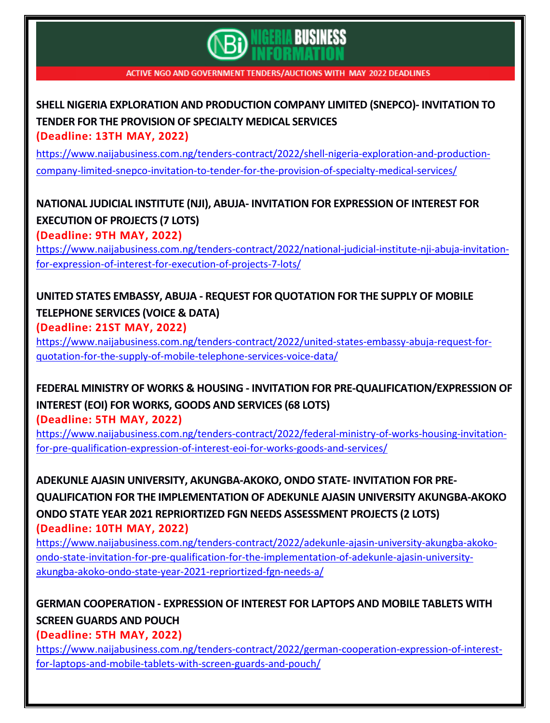

#### **SHELL NIGERIA [EXPLORATION](https://www.naijabusiness.com.ng/tenders-contract/2022/shell-nigeria-exploration-and-production-company-limited-snepco-invitation-to-tender-for-the-provision-of-specialty-medical-services/) AND PRODUCTION COMPANY LIMITED (SNEPCO)- INVITATION TO TENDER FOR THE [PROVISION](https://www.naijabusiness.com.ng/tenders-contract/2022/shell-nigeria-exploration-and-production-company-limited-snepco-invitation-to-tender-for-the-provision-of-specialty-medical-services/) OF SPECIALTY MEDICAL SERVICES (Deadline: 13TH MAY, 2022)**

[https://www.naijabusiness.com.ng/tenders-contract/2022/shell-nigeria-exploration-and-production](https://www.naijabusiness.com.ng/tenders-contract/2022/shell-nigeria-exploration-and-production-company-limited-snepco-invitation-to-tender-for-the-provision-of-specialty-medical-services/)[company-limited-snepco-invitation-to-tender-for-the-provision-of-specialty-medical-services/](https://www.naijabusiness.com.ng/tenders-contract/2022/shell-nigeria-exploration-and-production-company-limited-snepco-invitation-to-tender-for-the-provision-of-specialty-medical-services/)

## **NATIONAL JUDICIAL INSTITUTE (NJI), ABUJA- INVITATION FOR [EXPRESSION](https://www.naijabusiness.com.ng/tenders-contract/2022/national-judicial-institute-nji-abuja-invitation-for-expression-of-interest-for-execution-of-projects-7-lots/) OF INTEREST FOR [EXECUTION](https://www.naijabusiness.com.ng/tenders-contract/2022/national-judicial-institute-nji-abuja-invitation-for-expression-of-interest-for-execution-of-projects-7-lots/) OF PROJECTS (7 LOTS)**

**(Deadline: 9TH MAY, 2022)**

[https://www.naijabusiness.com.ng/tenders-contract/2022/national-judicial-institute-nji-abuja-invitation](https://www.naijabusiness.com.ng/tenders-contract/2022/national-judicial-institute-nji-abuja-invitation-for-expression-of-interest-for-execution-of-projects-7-lots/)[for-expression-of-interest-for-execution-of-projects-7-lots/](https://www.naijabusiness.com.ng/tenders-contract/2022/national-judicial-institute-nji-abuja-invitation-for-expression-of-interest-for-execution-of-projects-7-lots/)

#### **UNITED STATES EMBASSY, ABUJA - REQUEST FOR [QUOTATION](https://www.naijabusiness.com.ng/tenders-contract/2022/united-states-embassy-abuja-request-for-quotation-for-the-supply-of-mobile-telephone-services-voice-data/) FOR THE SUPPLY OF MOBILE [TELEPHONE](https://www.naijabusiness.com.ng/tenders-contract/2022/united-states-embassy-abuja-request-for-quotation-for-the-supply-of-mobile-telephone-services-voice-data/) SERVICES (VOICE & DATA) (Deadline: 21ST MAY, 2022)**

[https://www.naijabusiness.com.ng/tenders-contract/2022/united-states-embassy-abuja-request-for](https://www.naijabusiness.com.ng/tenders-contract/2022/united-states-embassy-abuja-request-for-quotation-for-the-supply-of-mobile-telephone-services-voice-data/)[quotation-for-the-supply-of-mobile-telephone-services-voice-data/](https://www.naijabusiness.com.ng/tenders-contract/2022/united-states-embassy-abuja-request-for-quotation-for-the-supply-of-mobile-telephone-services-voice-data/)

# **FEDERAL MINISTRY OF WORKS & HOUSING - INVITATION FOR [PRE-QUALIFICATION/EXPRESSION](https://www.naijabusiness.com.ng/tenders-contract/2022/federal-ministry-of-works-housing-invitation-for-pre-qualification-expression-of-interest-eoi-for-works-goods-and-services/) OF [INTEREST](https://www.naijabusiness.com.ng/tenders-contract/2022/federal-ministry-of-works-housing-invitation-for-pre-qualification-expression-of-interest-eoi-for-works-goods-and-services/) (EOI) FOR WORKS, GOODS AND SERVICES (68 LOTS)**

**(Deadline: 5TH MAY, 2022)**

[https://www.naijabusiness.com.ng/tenders-contract/2022/federal-ministry-of-works-housing-invitation](https://www.naijabusiness.com.ng/tenders-contract/2022/federal-ministry-of-works-housing-invitation-for-pre-qualification-expression-of-interest-eoi-for-works-goods-and-services/)[for-pre-qualification-expression-of-interest-eoi-for-works-goods-and-services/](https://www.naijabusiness.com.ng/tenders-contract/2022/federal-ministry-of-works-housing-invitation-for-pre-qualification-expression-of-interest-eoi-for-works-goods-and-services/)

**ADEKUNLE AJASIN UNIVERSITY, [AKUNGBA-AKOKO,](https://www.naijabusiness.com.ng/tenders-contract/2022/adekunle-ajasin-university-akungba-akoko-ondo-state-invitation-for-pre-qualification-for-the-implementation-of-adekunle-ajasin-university-akungba-akoko-ondo-state-year-2021-repriortized-fgn-needs-a/) ONDO STATE- INVITATION FOR PRE-QUALIFICATION FOR THE [IMPLEMENTATION](https://www.naijabusiness.com.ng/tenders-contract/2022/adekunle-ajasin-university-akungba-akoko-ondo-state-invitation-for-pre-qualification-for-the-implementation-of-adekunle-ajasin-university-akungba-akoko-ondo-state-year-2021-repriortized-fgn-needs-a/) OF ADEKUNLE AJASIN UNIVERSITY AKUNGBA-AKOKO ONDO STATE YEAR 2021 [REPRIORTIZED](https://www.naijabusiness.com.ng/tenders-contract/2022/adekunle-ajasin-university-akungba-akoko-ondo-state-invitation-for-pre-qualification-for-the-implementation-of-adekunle-ajasin-university-akungba-akoko-ondo-state-year-2021-repriortized-fgn-needs-a/) FGN NEEDS ASSESSMENT PROJECTS (2 LOTS) (Deadline: 10TH MAY, 2022)**

[https://www.naijabusiness.com.ng/tenders-contract/2022/adekunle-ajasin-university-akungba-akoko](https://www.naijabusiness.com.ng/tenders-contract/2022/adekunle-ajasin-university-akungba-akoko-ondo-state-invitation-for-pre-qualification-for-the-implementation-of-adekunle-ajasin-university-akungba-akoko-ondo-state-year-2021-repriortized-fgn-needs-a/)[ondo-state-invitation-for-pre-qualification-for-the-implementation-of-adekunle-ajasin-university](https://www.naijabusiness.com.ng/tenders-contract/2022/adekunle-ajasin-university-akungba-akoko-ondo-state-invitation-for-pre-qualification-for-the-implementation-of-adekunle-ajasin-university-akungba-akoko-ondo-state-year-2021-repriortized-fgn-needs-a/)[akungba-akoko-ondo-state-year-2021-repriortized-fgn-needs-a/](https://www.naijabusiness.com.ng/tenders-contract/2022/adekunle-ajasin-university-akungba-akoko-ondo-state-invitation-for-pre-qualification-for-the-implementation-of-adekunle-ajasin-university-akungba-akoko-ondo-state-year-2021-repriortized-fgn-needs-a/)

**GERMAN [COOPERATION](https://www.naijabusiness.com.ng/tenders-contract/2022/german-cooperation-expression-of-interest-for-laptops-and-mobile-tablets-with-screen-guards-and-pouch/) - EXPRESSION OF INTEREST FOR LAPTOPS AND MOBILE TABLETS WITH SCREEN [GUARDS](https://www.naijabusiness.com.ng/tenders-contract/2022/german-cooperation-expression-of-interest-for-laptops-and-mobile-tablets-with-screen-guards-and-pouch/) AND POUCH**

**(Deadline: 5TH MAY, 2022)**

[https://www.naijabusiness.com.ng/tenders-contract/2022/german-cooperation-expression-of-interest](https://www.naijabusiness.com.ng/tenders-contract/2022/german-cooperation-expression-of-interest-for-laptops-and-mobile-tablets-with-screen-guards-and-pouch/)[for-laptops-and-mobile-tablets-with-screen-guards-and-pouch/](https://www.naijabusiness.com.ng/tenders-contract/2022/german-cooperation-expression-of-interest-for-laptops-and-mobile-tablets-with-screen-guards-and-pouch/)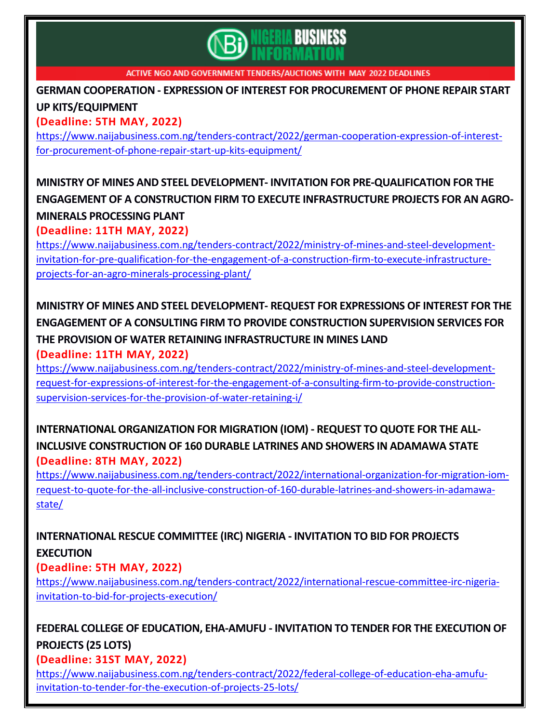

**GERMAN COOPERATION - EXPRESSION OF INTEREST FOR [PROCUREMENT](https://www.naijabusiness.com.ng/tenders-contract/2022/german-cooperation-expression-of-interest-for-procurement-of-phone-repair-start-up-kits-equipment/) OF PHONE REPAIR START UP [KITS/EQUIPMENT](https://www.naijabusiness.com.ng/tenders-contract/2022/german-cooperation-expression-of-interest-for-procurement-of-phone-repair-start-up-kits-equipment/)**

**(Deadline: 5TH MAY, 2022)**

[https://www.naijabusiness.com.ng/tenders-contract/2022/german-cooperation-expression-of-interest](https://www.naijabusiness.com.ng/tenders-contract/2022/german-cooperation-expression-of-interest-for-procurement-of-phone-repair-start-up-kits-equipment/)[for-procurement-of-phone-repair-start-up-kits-equipment/](https://www.naijabusiness.com.ng/tenders-contract/2022/german-cooperation-expression-of-interest-for-procurement-of-phone-repair-start-up-kits-equipment/)

# **MINISTRY OF MINES AND STEEL DEVELOPMENT- INVITATION FOR [PRE-QUALIFICATION](https://www.naijabusiness.com.ng/tenders-contract/2022/ministry-of-mines-and-steel-development-invitation-for-pre-qualification-for-the-engagement-of-a-construction-firm-to-execute-infrastructure-projects-for-an-agro-minerals-processing-plant/) FOR THE ENGAGEMENT OF A CONSTRUCTION FIRM TO EXECUTE [INFRASTRUCTURE](https://www.naijabusiness.com.ng/tenders-contract/2022/ministry-of-mines-and-steel-development-invitation-for-pre-qualification-for-the-engagement-of-a-construction-firm-to-execute-infrastructure-projects-for-an-agro-minerals-processing-plant/) PROJECTS FOR AN AGRO-MINERALS [PROCESSING](https://www.naijabusiness.com.ng/tenders-contract/2022/ministry-of-mines-and-steel-development-invitation-for-pre-qualification-for-the-engagement-of-a-construction-firm-to-execute-infrastructure-projects-for-an-agro-minerals-processing-plant/) PLANT**

**(Deadline: 11TH MAY, 2022)**

[https://www.naijabusiness.com.ng/tenders-contract/2022/ministry-of-mines-and-steel-development](https://www.naijabusiness.com.ng/tenders-contract/2022/ministry-of-mines-and-steel-development-invitation-for-pre-qualification-for-the-engagement-of-a-construction-firm-to-execute-infrastructure-projects-for-an-agro-minerals-processing-plant/)[invitation-for-pre-qualification-for-the-engagement-of-a-construction-firm-to-execute-infrastructure](https://www.naijabusiness.com.ng/tenders-contract/2022/ministry-of-mines-and-steel-development-invitation-for-pre-qualification-for-the-engagement-of-a-construction-firm-to-execute-infrastructure-projects-for-an-agro-minerals-processing-plant/)[projects-for-an-agro-minerals-processing-plant/](https://www.naijabusiness.com.ng/tenders-contract/2022/ministry-of-mines-and-steel-development-invitation-for-pre-qualification-for-the-engagement-of-a-construction-firm-to-execute-infrastructure-projects-for-an-agro-minerals-processing-plant/)

# **MINISTRY OF MINES AND STEEL [DEVELOPMENT-](https://www.naijabusiness.com.ng/tenders-contract/2022/ministry-of-mines-and-steel-development-request-for-expressions-of-interest-for-the-engagement-of-a-consulting-firm-to-provide-construction-supervision-services-for-the-provision-of-water-retaining-i/) REQUEST FOR EXPRESSIONS OF INTEREST FOR THE ENGAGEMENT OF A CONSULTING FIRM TO PROVIDE [CONSTRUCTION](https://www.naijabusiness.com.ng/tenders-contract/2022/ministry-of-mines-and-steel-development-request-for-expressions-of-interest-for-the-engagement-of-a-consulting-firm-to-provide-construction-supervision-services-for-the-provision-of-water-retaining-i/) SUPERVISION SERVICES FOR THE PROVISION OF WATER RETAINING [INFRASTRUCTURE](https://www.naijabusiness.com.ng/tenders-contract/2022/ministry-of-mines-and-steel-development-request-for-expressions-of-interest-for-the-engagement-of-a-consulting-firm-to-provide-construction-supervision-services-for-the-provision-of-water-retaining-i/) IN MINES LAND**

**(Deadline: 11TH MAY, 2022)**

[https://www.naijabusiness.com.ng/tenders-contract/2022/ministry-of-mines-and-steel-development](https://www.naijabusiness.com.ng/tenders-contract/2022/ministry-of-mines-and-steel-development-request-for-expressions-of-interest-for-the-engagement-of-a-consulting-firm-to-provide-construction-supervision-services-for-the-provision-of-water-retaining-i/)[request-for-expressions-of-interest-for-the-engagement-of-a-consulting-firm-to-provide-construction](https://www.naijabusiness.com.ng/tenders-contract/2022/ministry-of-mines-and-steel-development-request-for-expressions-of-interest-for-the-engagement-of-a-consulting-firm-to-provide-construction-supervision-services-for-the-provision-of-water-retaining-i/)[supervision-services-for-the-provision-of-water-retaining-i/](https://www.naijabusiness.com.ng/tenders-contract/2022/ministry-of-mines-and-steel-development-request-for-expressions-of-interest-for-the-engagement-of-a-consulting-firm-to-provide-construction-supervision-services-for-the-provision-of-water-retaining-i/)

## **[INTERNATIONAL](https://www.naijabusiness.com.ng/tenders-contract/2022/international-organization-for-migration-iom-request-to-quote-for-the-all-inclusive-construction-of-160-durable-latrines-and-showers-in-adamawa-state/) ORGANIZATION FOR MIGRATION (IOM) - REQUEST TO QUOTE FOR THE ALL-INCLUSIVE [CONSTRUCTION](https://www.naijabusiness.com.ng/tenders-contract/2022/international-organization-for-migration-iom-request-to-quote-for-the-all-inclusive-construction-of-160-durable-latrines-and-showers-in-adamawa-state/) OF 160 DURABLE LATRINES AND SHOWERS IN ADAMAWA STATE (Deadline: 8TH MAY, 2022)**

[https://www.naijabusiness.com.ng/tenders-contract/2022/international-organization-for-migration-iom](https://www.naijabusiness.com.ng/tenders-contract/2022/international-organization-for-migration-iom-request-to-quote-for-the-all-inclusive-construction-of-160-durable-latrines-and-showers-in-adamawa-state/)[request-to-quote-for-the-all-inclusive-construction-of-160-durable-latrines-and-showers-in-adamawa](https://www.naijabusiness.com.ng/tenders-contract/2022/international-organization-for-migration-iom-request-to-quote-for-the-all-inclusive-construction-of-160-durable-latrines-and-showers-in-adamawa-state/)[state/](https://www.naijabusiness.com.ng/tenders-contract/2022/international-organization-for-migration-iom-request-to-quote-for-the-all-inclusive-construction-of-160-durable-latrines-and-showers-in-adamawa-state/)

## **[INTERNATIONAL](https://www.naijabusiness.com.ng/tenders-contract/2022/international-rescue-committee-irc-nigeria-invitation-to-bid-for-projects-execution/) RESCUE COMMITTEE (IRC) NIGERIA - INVITATION TO BID FOR PROJECTS [EXECUTION](https://www.naijabusiness.com.ng/tenders-contract/2022/international-rescue-committee-irc-nigeria-invitation-to-bid-for-projects-execution/)**

**(Deadline: 5TH MAY, 2022)**

[https://www.naijabusiness.com.ng/tenders-contract/2022/international-rescue-committee-irc-nigeria](https://www.naijabusiness.com.ng/tenders-contract/2022/international-rescue-committee-irc-nigeria-invitation-to-bid-for-projects-execution/)[invitation-to-bid-for-projects-execution/](https://www.naijabusiness.com.ng/tenders-contract/2022/international-rescue-committee-irc-nigeria-invitation-to-bid-for-projects-execution/)

# **FEDERAL COLLEGE OF EDUCATION, [EHA-AMUFU](https://www.naijabusiness.com.ng/tenders-contract/2022/federal-college-of-education-eha-amufu-invitation-to-tender-for-the-execution-of-projects-25-lots/) - INVITATION TO TENDER FOR THE EXECUTION OF [PROJECTS](https://www.naijabusiness.com.ng/tenders-contract/2022/federal-college-of-education-eha-amufu-invitation-to-tender-for-the-execution-of-projects-25-lots/) (25 LOTS)**

**(Deadline: 31ST MAY, 2022)**

[https://www.naijabusiness.com.ng/tenders-contract/2022/federal-college-of-education-eha-amufu](https://www.naijabusiness.com.ng/tenders-contract/2022/federal-college-of-education-eha-amufu-invitation-to-tender-for-the-execution-of-projects-25-lots/)[invitation-to-tender-for-the-execution-of-projects-25-lots/](https://www.naijabusiness.com.ng/tenders-contract/2022/federal-college-of-education-eha-amufu-invitation-to-tender-for-the-execution-of-projects-25-lots/)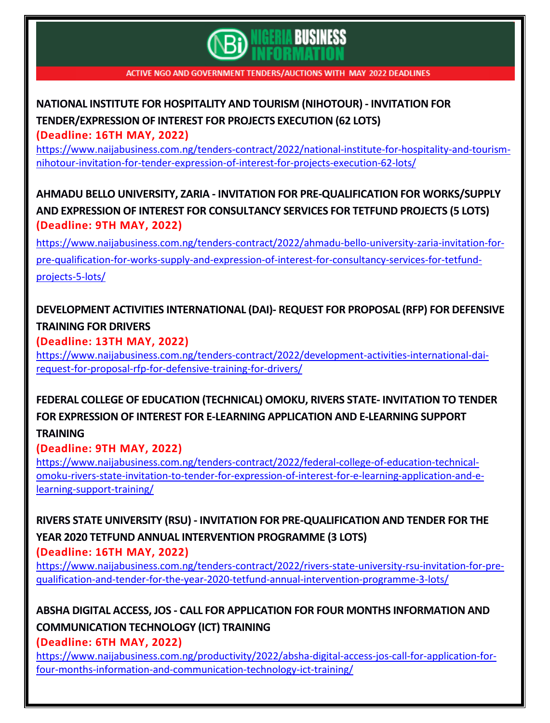

# **NATIONAL INSTITUTE FOR [HOSPITALITY](https://www.naijabusiness.com.ng/tenders-contract/2022/national-institute-for-hospitality-and-tourism-nihotour-invitation-for-tender-expression-of-interest-for-projects-execution-62-lots/) AND TOURISM (NIHOTOUR) - INVITATION FOR [TENDER/EXPRESSION](https://www.naijabusiness.com.ng/tenders-contract/2022/national-institute-for-hospitality-and-tourism-nihotour-invitation-for-tender-expression-of-interest-for-projects-execution-62-lots/) OF INTEREST FOR PROJECTS EXECUTION (62 LOTS)**

**(Deadline: 16TH MAY, 2022)**

[https://www.naijabusiness.com.ng/tenders-contract/2022/national-institute-for-hospitality-and-tourism](https://www.naijabusiness.com.ng/tenders-contract/2022/national-institute-for-hospitality-and-tourism-nihotour-invitation-for-tender-expression-of-interest-for-projects-execution-62-lots/)[nihotour-invitation-for-tender-expression-of-interest-for-projects-execution-62-lots/](https://www.naijabusiness.com.ng/tenders-contract/2022/national-institute-for-hospitality-and-tourism-nihotour-invitation-for-tender-expression-of-interest-for-projects-execution-62-lots/)

## **AHMADU BELLO UNIVERSITY, ZARIA - INVITATION FOR [PRE-QUALIFICATION](https://www.naijabusiness.com.ng/tenders-contract/2022/ahmadu-bello-university-zaria-invitation-for-pre-qualification-for-works-supply-and-expression-of-interest-for-consultancy-services-for-tetfund-projects-5-lots/) FOR WORKS/SUPPLY AND EXPRESSION OF INTEREST FOR [CONSULTANCY](https://www.naijabusiness.com.ng/tenders-contract/2022/ahmadu-bello-university-zaria-invitation-for-pre-qualification-for-works-supply-and-expression-of-interest-for-consultancy-services-for-tetfund-projects-5-lots/) SERVICES FOR TETFUND PROJECTS (5 LOTS) (Deadline: 9TH MAY, 2022)**

[https://www.naijabusiness.com.ng/tenders-contract/2022/ahmadu-bello-university-zaria-invitation-for](https://www.naijabusiness.com.ng/tenders-contract/2022/ahmadu-bello-university-zaria-invitation-for-pre-qualification-for-works-supply-and-expression-of-interest-for-consultancy-services-for-tetfund-projects-5-lots/)[pre-qualification-for-works-supply-and-expression-of-interest-for-consultancy-services-for-tetfund](https://www.naijabusiness.com.ng/tenders-contract/2022/ahmadu-bello-university-zaria-invitation-for-pre-qualification-for-works-supply-and-expression-of-interest-for-consultancy-services-for-tetfund-projects-5-lots/)[projects-5-lots/](https://www.naijabusiness.com.ng/tenders-contract/2022/ahmadu-bello-university-zaria-invitation-for-pre-qualification-for-works-supply-and-expression-of-interest-for-consultancy-services-for-tetfund-projects-5-lots/)

# **DEVELOPMENT ACTIVITIES [INTERNATIONAL](https://www.naijabusiness.com.ng/tenders-contract/2022/development-activities-international-dai-request-for-proposal-rfp-for-defensive-training-for-drivers/) (DAI)- REQUEST FOR PROPOSAL (RFP) FOR DEFENSIVE [TRAINING](https://www.naijabusiness.com.ng/tenders-contract/2022/development-activities-international-dai-request-for-proposal-rfp-for-defensive-training-for-drivers/) FOR DRIVERS**

**(Deadline: 13TH MAY, 2022)**

[https://www.naijabusiness.com.ng/tenders-contract/2022/development-activities-international-dai](https://www.naijabusiness.com.ng/tenders-contract/2022/development-activities-international-dai-request-for-proposal-rfp-for-defensive-training-for-drivers/)[request-for-proposal-rfp-for-defensive-training-for-drivers/](https://www.naijabusiness.com.ng/tenders-contract/2022/development-activities-international-dai-request-for-proposal-rfp-for-defensive-training-for-drivers/)

# **FEDERAL COLLEGE OF EDUCATION [\(TECHNICAL\)](https://www.naijabusiness.com.ng/tenders-contract/2022/federal-college-of-education-technical-omoku-rivers-state-invitation-to-tender-for-expression-of-interest-for-e-learning-application-and-e-learning-support-training/) OMOKU, RIVERS STATE- INVITATION TO TENDER FOR EXPRESSION OF INTEREST FOR E-LEARNING [APPLICATION](https://www.naijabusiness.com.ng/tenders-contract/2022/federal-college-of-education-technical-omoku-rivers-state-invitation-to-tender-for-expression-of-interest-for-e-learning-application-and-e-learning-support-training/) AND E-LEARNING SUPPORT**

#### **[TRAINING](https://www.naijabusiness.com.ng/tenders-contract/2022/federal-college-of-education-technical-omoku-rivers-state-invitation-to-tender-for-expression-of-interest-for-e-learning-application-and-e-learning-support-training/)**

#### **(Deadline: 9TH MAY, 2022)**

[https://www.naijabusiness.com.ng/tenders-contract/2022/federal-college-of-education-technical](https://www.naijabusiness.com.ng/tenders-contract/2022/federal-college-of-education-technical-omoku-rivers-state-invitation-to-tender-for-expression-of-interest-for-e-learning-application-and-e-learning-support-training/)[omoku-rivers-state-invitation-to-tender-for-expression-of-interest-for-e-learning-application-and-e](https://www.naijabusiness.com.ng/tenders-contract/2022/federal-college-of-education-technical-omoku-rivers-state-invitation-to-tender-for-expression-of-interest-for-e-learning-application-and-e-learning-support-training/)[learning-support-training/](https://www.naijabusiness.com.ng/tenders-contract/2022/federal-college-of-education-technical-omoku-rivers-state-invitation-to-tender-for-expression-of-interest-for-e-learning-application-and-e-learning-support-training/)

**RIVERS STATE UNIVERSITY (RSU) - INVITATION FOR [PRE-QUALIFICATION](https://www.naijabusiness.com.ng/tenders-contract/2022/rivers-state-university-rsu-invitation-for-pre-qualification-and-tender-for-the-year-2020-tetfund-annual-intervention-programme-3-lots/) AND TENDER FOR THE YEAR 2020 TETFUND ANNUAL [INTERVENTION](https://www.naijabusiness.com.ng/tenders-contract/2022/rivers-state-university-rsu-invitation-for-pre-qualification-and-tender-for-the-year-2020-tetfund-annual-intervention-programme-3-lots/) PROGRAMME (3 LOTS) (Deadline: 16TH MAY, 2022)**

[https://www.naijabusiness.com.ng/tenders-contract/2022/rivers-state-university-rsu-invitation-for-pre](https://www.naijabusiness.com.ng/tenders-contract/2022/rivers-state-university-rsu-invitation-for-pre-qualification-and-tender-for-the-year-2020-tetfund-annual-intervention-programme-3-lots/)[qualification-and-tender-for-the-year-2020-tetfund-annual-intervention-programme-3-lots/](https://www.naijabusiness.com.ng/tenders-contract/2022/rivers-state-university-rsu-invitation-for-pre-qualification-and-tender-for-the-year-2020-tetfund-annual-intervention-programme-3-lots/)

## **ABSHA DIGITAL ACCESS, JOS - CALL FOR APPLICATION FOR FOUR MONTHS [INFORMATION](https://www.naijabusiness.com.ng/productivity/2022/absha-digital-access-jos-call-for-application-for-four-months-information-and-communication-technology-ict-training/) AND [COMMUNICATION](https://www.naijabusiness.com.ng/productivity/2022/absha-digital-access-jos-call-for-application-for-four-months-information-and-communication-technology-ict-training/) TECHNOLOGY (ICT) TRAINING**

**(Deadline: 6TH MAY, 2022)**

[https://www.naijabusiness.com.ng/productivity/2022/absha-digital-access-jos-call-for-application-for](https://www.naijabusiness.com.ng/productivity/2022/absha-digital-access-jos-call-for-application-for-four-months-information-and-communication-technology-ict-training/)[four-months-information-and-communication-technology-ict-training/](https://www.naijabusiness.com.ng/productivity/2022/absha-digital-access-jos-call-for-application-for-four-months-information-and-communication-technology-ict-training/)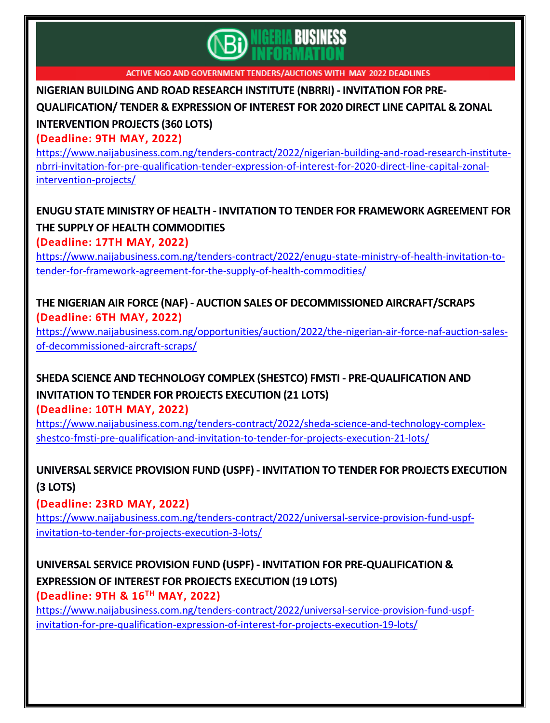

**NIGERIAN BUILDING AND ROAD RESEARCH INSTITUTE (NBRRI) - [INVITATION](https://www.naijabusiness.com.ng/tenders-contract/2022/nigerian-building-and-road-research-institute-nbrri-invitation-for-pre-qualification-tender-expression-of-interest-for-2020-direct-line-capital-zonal-intervention-projects/) FOR PRE-**

**[QUALIFICATION/](https://www.naijabusiness.com.ng/tenders-contract/2022/nigerian-building-and-road-research-institute-nbrri-invitation-for-pre-qualification-tender-expression-of-interest-for-2020-direct-line-capital-zonal-intervention-projects/) TENDER & EXPRESSION OF INTEREST FOR 2020 DIRECT LINE CAPITAL & ZONAL**

## **[INTERVENTION](https://www.naijabusiness.com.ng/tenders-contract/2022/nigerian-building-and-road-research-institute-nbrri-invitation-for-pre-qualification-tender-expression-of-interest-for-2020-direct-line-capital-zonal-intervention-projects/) PROJECTS (360 LOTS)**

**(Deadline: 9TH MAY, 2022)**

[https://www.naijabusiness.com.ng/tenders-contract/2022/nigerian-building-and-road-research-institute](https://www.naijabusiness.com.ng/tenders-contract/2022/nigerian-building-and-road-research-institute-nbrri-invitation-for-pre-qualification-tender-expression-of-interest-for-2020-direct-line-capital-zonal-intervention-projects/)[nbrri-invitation-for-pre-qualification-tender-expression-of-interest-for-2020-direct-line-capital-zonal](https://www.naijabusiness.com.ng/tenders-contract/2022/nigerian-building-and-road-research-institute-nbrri-invitation-for-pre-qualification-tender-expression-of-interest-for-2020-direct-line-capital-zonal-intervention-projects/)[intervention-projects/](https://www.naijabusiness.com.ng/tenders-contract/2022/nigerian-building-and-road-research-institute-nbrri-invitation-for-pre-qualification-tender-expression-of-interest-for-2020-direct-line-capital-zonal-intervention-projects/)

## **ENUGU STATE MINISTRY OF HEALTH - INVITATION TO TENDER FOR [FRAMEWORK](https://www.naijabusiness.com.ng/tenders-contract/2022/enugu-state-ministry-of-health-invitation-to-tender-for-framework-agreement-for-the-supply-of-health-commodities/) AGREEMENT FOR THE SUPPLY OF HEALTH [COMMODITIES](https://www.naijabusiness.com.ng/tenders-contract/2022/enugu-state-ministry-of-health-invitation-to-tender-for-framework-agreement-for-the-supply-of-health-commodities/)**

**(Deadline: 17TH MAY, 2022)**

[https://www.naijabusiness.com.ng/tenders-contract/2022/enugu-state-ministry-of-health-invitation-to](https://www.naijabusiness.com.ng/tenders-contract/2022/enugu-state-ministry-of-health-invitation-to-tender-for-framework-agreement-for-the-supply-of-health-commodities/)[tender-for-framework-agreement-for-the-supply-of-health-commodities/](https://www.naijabusiness.com.ng/tenders-contract/2022/enugu-state-ministry-of-health-invitation-to-tender-for-framework-agreement-for-the-supply-of-health-commodities/)

#### **THE NIGERIAN AIR FORCE (NAF) - AUCTION SALES OF [DECOMMISSIONED](https://www.naijabusiness.com.ng/opportunities/auction/2022/the-nigerian-air-force-naf-auction-sales-of-decommissioned-aircraft-scraps/) AIRCRAFT/SCRAPS (Deadline: 6TH MAY, 2022)**

[https://www.naijabusiness.com.ng/opportunities/auction/2022/the-nigerian-air-force-naf-auction-sales](https://www.naijabusiness.com.ng/opportunities/auction/2022/the-nigerian-air-force-naf-auction-sales-of-decommissioned-aircraft-scraps/)[of-decommissioned-aircraft-scraps/](https://www.naijabusiness.com.ng/opportunities/auction/2022/the-nigerian-air-force-naf-auction-sales-of-decommissioned-aircraft-scraps/)

# **SHEDA SCIENCE AND TECHNOLOGY COMPLEX (SHESTCO) FMSTI - [PRE-QUALIFICATION](https://www.naijabusiness.com.ng/tenders-contract/2022/sheda-science-and-technology-complex-shestco-fmsti-pre-qualification-and-invitation-to-tender-for-projects-execution-21-lots/) AND [INVITATION](https://www.naijabusiness.com.ng/tenders-contract/2022/sheda-science-and-technology-complex-shestco-fmsti-pre-qualification-and-invitation-to-tender-for-projects-execution-21-lots/) TO TENDER FOR PROJECTS EXECUTION (21 LOTS)**

**(Deadline: 10TH MAY, 2022)**

[https://www.naijabusiness.com.ng/tenders-contract/2022/sheda-science-and-technology-complex](https://www.naijabusiness.com.ng/tenders-contract/2022/sheda-science-and-technology-complex-shestco-fmsti-pre-qualification-and-invitation-to-tender-for-projects-execution-21-lots/)[shestco-fmsti-pre-qualification-and-invitation-to-tender-for-projects-execution-21-lots/](https://www.naijabusiness.com.ng/tenders-contract/2022/sheda-science-and-technology-complex-shestco-fmsti-pre-qualification-and-invitation-to-tender-for-projects-execution-21-lots/)

# **UNIVERSAL SERVICE PROVISION FUND (USPF) - [INVITATION](https://www.naijabusiness.com.ng/tenders-contract/2022/universal-service-provision-fund-uspf-invitation-to-tender-for-projects-execution-3-lots/) TO TENDER FOR PROJECTS EXECUTION (3 [LOTS\)](https://www.naijabusiness.com.ng/tenders-contract/2022/universal-service-provision-fund-uspf-invitation-to-tender-for-projects-execution-3-lots/)**

**(Deadline: 23RD MAY, 2022)**

[https://www.naijabusiness.com.ng/tenders-contract/2022/universal-service-provision-fund-uspf](https://www.naijabusiness.com.ng/tenders-contract/2022/universal-service-provision-fund-uspf-invitation-to-tender-for-projects-execution-3-lots/)[invitation-to-tender-for-projects-execution-3-lots/](https://www.naijabusiness.com.ng/tenders-contract/2022/universal-service-provision-fund-uspf-invitation-to-tender-for-projects-execution-3-lots/)

# **UNIVERSAL SERVICE PROVISION FUND (USPF) - INVITATION FOR [PRE-QUALIFICATION](https://www.naijabusiness.com.ng/tenders-contract/2022/universal-service-provision-fund-uspf-invitation-for-pre-qualification-expression-of-interest-for-projects-execution-19-lots/) & [EXPRESSION](https://www.naijabusiness.com.ng/tenders-contract/2022/universal-service-provision-fund-uspf-invitation-for-pre-qualification-expression-of-interest-for-projects-execution-19-lots/) OF INTEREST FOR PROJECTS EXECUTION (19 LOTS)**

**(Deadline: 9TH & 16TH MAY, 2022)**

[https://www.naijabusiness.com.ng/tenders-contract/2022/universal-service-provision-fund-uspf](https://www.naijabusiness.com.ng/tenders-contract/2022/universal-service-provision-fund-uspf-invitation-for-pre-qualification-expression-of-interest-for-projects-execution-19-lots/)[invitation-for-pre-qualification-expression-of-interest-for-projects-execution-19-lots/](https://www.naijabusiness.com.ng/tenders-contract/2022/universal-service-provision-fund-uspf-invitation-for-pre-qualification-expression-of-interest-for-projects-execution-19-lots/)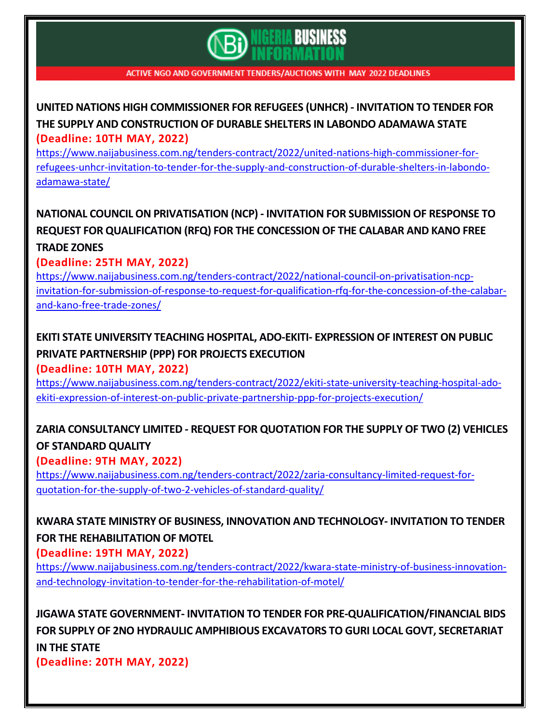# **BUSINESS**

ACTIVE NGO AND GOVERNMENT TENDERS/AUCTIONS WITH MAY 2022 DEADLINES

## **UNITED NATIONS HIGH [COMMISSIONER](https://www.naijabusiness.com.ng/tenders-contract/2022/united-nations-high-commissioner-for-refugees-unhcr-invitation-to-tender-for-the-supply-and-construction-of-durable-shelters-in-labondo-adamawa-state/) FOR REFUGEES (UNHCR) - INVITATION TO TENDER FOR THE SUPPLY AND [CONSTRUCTION](https://www.naijabusiness.com.ng/tenders-contract/2022/united-nations-high-commissioner-for-refugees-unhcr-invitation-to-tender-for-the-supply-and-construction-of-durable-shelters-in-labondo-adamawa-state/) OF DURABLE SHELTERS IN LABONDO ADAMAWA STATE (Deadline: 10TH MAY, 2022)**

[https://www.naijabusiness.com.ng/tenders-contract/2022/united-nations-high-commissioner-for](https://www.naijabusiness.com.ng/tenders-contract/2022/united-nations-high-commissioner-for-refugees-unhcr-invitation-to-tender-for-the-supply-and-construction-of-durable-shelters-in-labondo-adamawa-state/)[refugees-unhcr-invitation-to-tender-for-the-supply-and-construction-of-durable-shelters-in-labondo](https://www.naijabusiness.com.ng/tenders-contract/2022/united-nations-high-commissioner-for-refugees-unhcr-invitation-to-tender-for-the-supply-and-construction-of-durable-shelters-in-labondo-adamawa-state/)[adamawa-state/](https://www.naijabusiness.com.ng/tenders-contract/2022/united-nations-high-commissioner-for-refugees-unhcr-invitation-to-tender-for-the-supply-and-construction-of-durable-shelters-in-labondo-adamawa-state/)

# **NATIONAL COUNCIL ON [PRIVATISATION](https://www.naijabusiness.com.ng/tenders-contract/2022/national-council-on-privatisation-ncp-invitation-for-submission-of-response-to-request-for-qualification-rfq-for-the-concession-of-the-calabar-and-kano-free-trade-zones/) (NCP) - INVITATION FOR SUBMISSION OF RESPONSE TO REQUEST FOR [QUALIFICATION](https://www.naijabusiness.com.ng/tenders-contract/2022/national-council-on-privatisation-ncp-invitation-for-submission-of-response-to-request-for-qualification-rfq-for-the-concession-of-the-calabar-and-kano-free-trade-zones/) (RFQ) FOR THE CONCESSION OF THE CALABAR AND KANO FREE [TRADE](https://www.naijabusiness.com.ng/tenders-contract/2022/national-council-on-privatisation-ncp-invitation-for-submission-of-response-to-request-for-qualification-rfq-for-the-concession-of-the-calabar-and-kano-free-trade-zones/) ZONES**

#### **(Deadline: 25TH MAY, 2022)**

[https://www.naijabusiness.com.ng/tenders-contract/2022/national-council-on-privatisation-ncp](https://www.naijabusiness.com.ng/tenders-contract/2022/national-council-on-privatisation-ncp-invitation-for-submission-of-response-to-request-for-qualification-rfq-for-the-concession-of-the-calabar-and-kano-free-trade-zones/)[invitation-for-submission-of-response-to-request-for-qualification-rfq-for-the-concession-of-the-calabar](https://www.naijabusiness.com.ng/tenders-contract/2022/national-council-on-privatisation-ncp-invitation-for-submission-of-response-to-request-for-qualification-rfq-for-the-concession-of-the-calabar-and-kano-free-trade-zones/)[and-kano-free-trade-zones/](https://www.naijabusiness.com.ng/tenders-contract/2022/national-council-on-privatisation-ncp-invitation-for-submission-of-response-to-request-for-qualification-rfq-for-the-concession-of-the-calabar-and-kano-free-trade-zones/)

# **EKITI STATE UNIVERSITY TEACHING HOSPITAL, ADO-EKITI- [EXPRESSION](https://www.naijabusiness.com.ng/tenders-contract/2022/ekiti-state-university-teaching-hospital-ado-ekiti-expression-of-interest-on-public-private-partnership-ppp-for-projects-execution/) OF INTEREST ON PUBLIC PRIVATE [PARTNERSHIP](https://www.naijabusiness.com.ng/tenders-contract/2022/ekiti-state-university-teaching-hospital-ado-ekiti-expression-of-interest-on-public-private-partnership-ppp-for-projects-execution/) (PPP) FOR PROJECTS EXECUTION**

**(Deadline: 10TH MAY, 2022)**

[https://www.naijabusiness.com.ng/tenders-contract/2022/ekiti-state-university-teaching-hospital-ado](https://www.naijabusiness.com.ng/tenders-contract/2022/ekiti-state-university-teaching-hospital-ado-ekiti-expression-of-interest-on-public-private-partnership-ppp-for-projects-execution/)[ekiti-expression-of-interest-on-public-private-partnership-ppp-for-projects-execution/](https://www.naijabusiness.com.ng/tenders-contract/2022/ekiti-state-university-teaching-hospital-ado-ekiti-expression-of-interest-on-public-private-partnership-ppp-for-projects-execution/)

# **ZARIA [CONSULTANCY](https://www.naijabusiness.com.ng/tenders-contract/2022/zaria-consultancy-limited-request-for-quotation-for-the-supply-of-two-2-vehicles-of-standard-quality/) LIMITED - REQUEST FOR QUOTATION FOR THE SUPPLY OF TWO (2) VEHICLES OF [STANDARD](https://www.naijabusiness.com.ng/tenders-contract/2022/zaria-consultancy-limited-request-for-quotation-for-the-supply-of-two-2-vehicles-of-standard-quality/) QUALITY**

#### **(Deadline: 9TH MAY, 2022)**

[https://www.naijabusiness.com.ng/tenders-contract/2022/zaria-consultancy-limited-request-for](https://www.naijabusiness.com.ng/tenders-contract/2022/zaria-consultancy-limited-request-for-quotation-for-the-supply-of-two-2-vehicles-of-standard-quality/)[quotation-for-the-supply-of-two-2-vehicles-of-standard-quality/](https://www.naijabusiness.com.ng/tenders-contract/2022/zaria-consultancy-limited-request-for-quotation-for-the-supply-of-two-2-vehicles-of-standard-quality/)

# **KWARA STATE MINISTRY OF BUSINESS, INNOVATION AND [TECHNOLOGY-](https://www.naijabusiness.com.ng/tenders-contract/2022/kwara-state-ministry-of-business-innovation-and-technology-invitation-to-tender-for-the-rehabilitation-of-motel/) INVITATION TO TENDER FOR THE [REHABILITATION](https://www.naijabusiness.com.ng/tenders-contract/2022/kwara-state-ministry-of-business-innovation-and-technology-invitation-to-tender-for-the-rehabilitation-of-motel/) OF MOTEL**

#### **(Deadline: 19TH MAY, 2022)**

[https://www.naijabusiness.com.ng/tenders-contract/2022/kwara-state-ministry-of-business-innovation](https://www.naijabusiness.com.ng/tenders-contract/2022/kwara-state-ministry-of-business-innovation-and-technology-invitation-to-tender-for-the-rehabilitation-of-motel/)[and-technology-invitation-to-tender-for-the-rehabilitation-of-motel/](https://www.naijabusiness.com.ng/tenders-contract/2022/kwara-state-ministry-of-business-innovation-and-technology-invitation-to-tender-for-the-rehabilitation-of-motel/)

**JIGAWA STATE GOVERNMENT- INVITATION TO TENDER FOR [PRE-QUALIFICATION/FINANCIAL](https://www.naijabusiness.com.ng/tenders-contract/2022/jigawa-state-government-invitation-to-tender-for-pre-qualification-financial-bids-for-supply-of-2no-hydraulic-amphibious-excavators-to-guri-local-govt-secretariat-in-the-state/) BIDS FOR SUPPLY OF 2NO HYDRAULIC AMPHIBIOUS [EXCAVATORS](https://www.naijabusiness.com.ng/tenders-contract/2022/jigawa-state-government-invitation-to-tender-for-pre-qualification-financial-bids-for-supply-of-2no-hydraulic-amphibious-excavators-to-guri-local-govt-secretariat-in-the-state/) TO GURI LOCAL GOVT, SECRETARIAT IN THE [STATE](https://www.naijabusiness.com.ng/tenders-contract/2022/jigawa-state-government-invitation-to-tender-for-pre-qualification-financial-bids-for-supply-of-2no-hydraulic-amphibious-excavators-to-guri-local-govt-secretariat-in-the-state/) (Deadline: 20TH MAY, 2022)**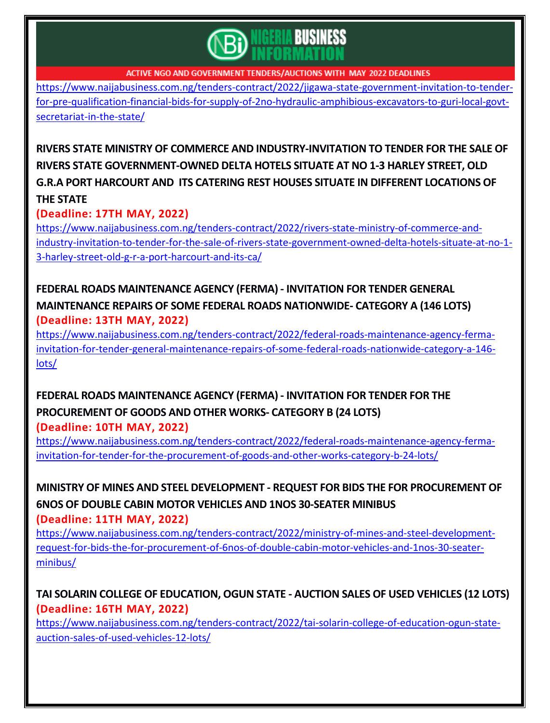

[https://www.naijabusiness.com.ng/tenders-contract/2022/jigawa-state-government-invitation-to-tender](https://www.naijabusiness.com.ng/tenders-contract/2022/jigawa-state-government-invitation-to-tender-for-pre-qualification-financial-bids-for-supply-of-2no-hydraulic-amphibious-excavators-to-guri-local-govt-secretariat-in-the-state/)[for-pre-qualification-financial-bids-for-supply-of-2no-hydraulic-amphibious-excavators-to-guri-local-govt](https://www.naijabusiness.com.ng/tenders-contract/2022/jigawa-state-government-invitation-to-tender-for-pre-qualification-financial-bids-for-supply-of-2no-hydraulic-amphibious-excavators-to-guri-local-govt-secretariat-in-the-state/)[secretariat-in-the-state/](https://www.naijabusiness.com.ng/tenders-contract/2022/jigawa-state-government-invitation-to-tender-for-pre-qualification-financial-bids-for-supply-of-2no-hydraulic-amphibious-excavators-to-guri-local-govt-secretariat-in-the-state/)

**RIVERS STATE MINISTRY OF COMMERCE AND [INDUSTRY-INVITATION](https://www.naijabusiness.com.ng/tenders-contract/2022/rivers-state-ministry-of-commerce-and-industry-invitation-to-tender-for-the-sale-of-rivers-state-government-owned-delta-hotels-situate-at-no-1-3-harley-street-old-g-r-a-port-harcourt-and-its-ca/) TO TENDER FOR THE SALE OF RIVERS STATE [GOVERNMENT-OWNED](https://www.naijabusiness.com.ng/tenders-contract/2022/rivers-state-ministry-of-commerce-and-industry-invitation-to-tender-for-the-sale-of-rivers-state-government-owned-delta-hotels-situate-at-no-1-3-harley-street-old-g-r-a-port-harcourt-and-its-ca/) DELTA HOTELS SITUATE AT NO 1-3 HARLEY STREET, OLD G.R.A PORT HARCOURT AND ITS CATERING REST HOUSES SITUATE IN DIFFERENT [LOCATIONS](https://www.naijabusiness.com.ng/tenders-contract/2022/rivers-state-ministry-of-commerce-and-industry-invitation-to-tender-for-the-sale-of-rivers-state-government-owned-delta-hotels-situate-at-no-1-3-harley-street-old-g-r-a-port-harcourt-and-its-ca/) OF THE [STATE](https://www.naijabusiness.com.ng/tenders-contract/2022/rivers-state-ministry-of-commerce-and-industry-invitation-to-tender-for-the-sale-of-rivers-state-government-owned-delta-hotels-situate-at-no-1-3-harley-street-old-g-r-a-port-harcourt-and-its-ca/)**

**(Deadline: 17TH MAY, 2022)**

[https://www.naijabusiness.com.ng/tenders-contract/2022/rivers-state-ministry-of-commerce-and](https://www.naijabusiness.com.ng/tenders-contract/2022/rivers-state-ministry-of-commerce-and-industry-invitation-to-tender-for-the-sale-of-rivers-state-government-owned-delta-hotels-situate-at-no-1-3-harley-street-old-g-r-a-port-harcourt-and-its-ca/)[industry-invitation-to-tender-for-the-sale-of-rivers-state-government-owned-delta-hotels-situate-at-no-1-](https://www.naijabusiness.com.ng/tenders-contract/2022/rivers-state-ministry-of-commerce-and-industry-invitation-to-tender-for-the-sale-of-rivers-state-government-owned-delta-hotels-situate-at-no-1-3-harley-street-old-g-r-a-port-harcourt-and-its-ca/) [3-harley-street-old-g-r-a-port-harcourt-and-its-ca/](https://www.naijabusiness.com.ng/tenders-contract/2022/rivers-state-ministry-of-commerce-and-industry-invitation-to-tender-for-the-sale-of-rivers-state-government-owned-delta-hotels-situate-at-no-1-3-harley-street-old-g-r-a-port-harcourt-and-its-ca/)

#### **FEDERAL ROADS [MAINTENANCE](https://www.naijabusiness.com.ng/tenders-contract/2022/federal-roads-maintenance-agency-ferma-invitation-for-tender-general-maintenance-repairs-of-some-federal-roads-nationwide-category-a-146-lots/) AGENCY (FERMA) - INVITATION FOR TENDER GENERAL [MAINTENANCE](https://www.naijabusiness.com.ng/tenders-contract/2022/federal-roads-maintenance-agency-ferma-invitation-for-tender-general-maintenance-repairs-of-some-federal-roads-nationwide-category-a-146-lots/) REPAIRS OF SOME FEDERAL ROADS NATIONWIDE- CATEGORY A (146 LOTS) (Deadline: 13TH MAY, 2022)**

[https://www.naijabusiness.com.ng/tenders-contract/2022/federal-roads-maintenance-agency-ferma](https://www.naijabusiness.com.ng/tenders-contract/2022/federal-roads-maintenance-agency-ferma-invitation-for-tender-general-maintenance-repairs-of-some-federal-roads-nationwide-category-a-146-lots/)[invitation-for-tender-general-maintenance-repairs-of-some-federal-roads-nationwide-category-a-146](https://www.naijabusiness.com.ng/tenders-contract/2022/federal-roads-maintenance-agency-ferma-invitation-for-tender-general-maintenance-repairs-of-some-federal-roads-nationwide-category-a-146-lots/) [lots/](https://www.naijabusiness.com.ng/tenders-contract/2022/federal-roads-maintenance-agency-ferma-invitation-for-tender-general-maintenance-repairs-of-some-federal-roads-nationwide-category-a-146-lots/)

#### **FEDERAL ROADS [MAINTENANCE](https://www.naijabusiness.com.ng/tenders-contract/2022/federal-roads-maintenance-agency-ferma-invitation-for-tender-for-the-procurement-of-goods-and-other-works-category-b-24-lots/) AGENCY (FERMA) - INVITATION FOR TENDER FOR THE [PROCUREMENT](https://www.naijabusiness.com.ng/tenders-contract/2022/federal-roads-maintenance-agency-ferma-invitation-for-tender-for-the-procurement-of-goods-and-other-works-category-b-24-lots/) OF GOODS AND OTHER WORKS- CATEGORY B (24 LOTS) (Deadline: 10TH MAY, 2022)**

[https://www.naijabusiness.com.ng/tenders-contract/2022/federal-roads-maintenance-agency-ferma](https://www.naijabusiness.com.ng/tenders-contract/2022/federal-roads-maintenance-agency-ferma-invitation-for-tender-for-the-procurement-of-goods-and-other-works-category-b-24-lots/)[invitation-for-tender-for-the-procurement-of-goods-and-other-works-category-b-24-lots/](https://www.naijabusiness.com.ng/tenders-contract/2022/federal-roads-maintenance-agency-ferma-invitation-for-tender-for-the-procurement-of-goods-and-other-works-category-b-24-lots/)

**MINISTRY OF MINES AND STEEL DEVELOPMENT - REQUEST FOR BIDS THE FOR [PROCUREMENT](https://www.naijabusiness.com.ng/tenders-contract/2022/ministry-of-mines-and-steel-development-request-for-bids-the-for-procurement-of-6nos-of-double-cabin-motor-vehicles-and-1nos-30-seater-minibus/) OF 6NOS OF DOUBLE CABIN MOTOR VEHICLES AND 1NOS [30-SEATER](https://www.naijabusiness.com.ng/tenders-contract/2022/ministry-of-mines-and-steel-development-request-for-bids-the-for-procurement-of-6nos-of-double-cabin-motor-vehicles-and-1nos-30-seater-minibus/) MINIBUS**

**(Deadline: 11TH MAY, 2022)**

[https://www.naijabusiness.com.ng/tenders-contract/2022/ministry-of-mines-and-steel-development](https://www.naijabusiness.com.ng/tenders-contract/2022/ministry-of-mines-and-steel-development-request-for-bids-the-for-procurement-of-6nos-of-double-cabin-motor-vehicles-and-1nos-30-seater-minibus/)[request-for-bids-the-for-procurement-of-6nos-of-double-cabin-motor-vehicles-and-1nos-30-seater](https://www.naijabusiness.com.ng/tenders-contract/2022/ministry-of-mines-and-steel-development-request-for-bids-the-for-procurement-of-6nos-of-double-cabin-motor-vehicles-and-1nos-30-seater-minibus/)[minibus/](https://www.naijabusiness.com.ng/tenders-contract/2022/ministry-of-mines-and-steel-development-request-for-bids-the-for-procurement-of-6nos-of-double-cabin-motor-vehicles-and-1nos-30-seater-minibus/)

## **TAI SOLARIN COLLEGE OF [EDUCATION,](https://www.naijabusiness.com.ng/tenders-contract/2022/tai-solarin-college-of-education-ogun-state-auction-sales-of-used-vehicles-12-lots/) OGUN STATE - AUCTION SALES OF USED VEHICLES (12 LOTS) (Deadline: 16TH MAY, 2022)**

[https://www.naijabusiness.com.ng/tenders-contract/2022/tai-solarin-college-of-education-ogun-state](https://www.naijabusiness.com.ng/tenders-contract/2022/tai-solarin-college-of-education-ogun-state-auction-sales-of-used-vehicles-12-lots/)[auction-sales-of-used-vehicles-12-lots/](https://www.naijabusiness.com.ng/tenders-contract/2022/tai-solarin-college-of-education-ogun-state-auction-sales-of-used-vehicles-12-lots/)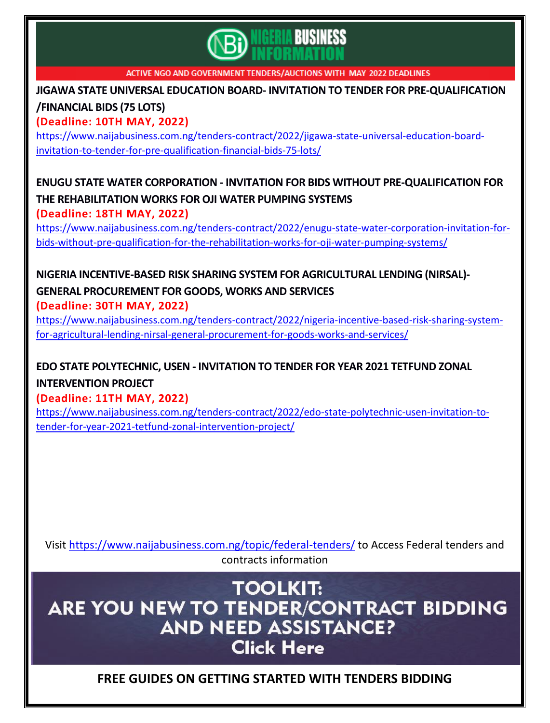

**JIGAWA STATE UNIVERSAL EDUCATION BOARD- INVITATION TO TENDER FOR [PRE-QUALIFICATION](https://www.naijabusiness.com.ng/tenders-contract/2022/jigawa-state-universal-education-board-invitation-to-tender-for-pre-qualification-financial-bids-75-lots/) [/FINANCIAL](https://www.naijabusiness.com.ng/tenders-contract/2022/jigawa-state-universal-education-board-invitation-to-tender-for-pre-qualification-financial-bids-75-lots/) BIDS (75 LOTS)**

**(Deadline: 10TH MAY, 2022)**

[https://www.naijabusiness.com.ng/tenders-contract/2022/jigawa-state-universal-education-board](https://www.naijabusiness.com.ng/tenders-contract/2022/jigawa-state-universal-education-board-invitation-to-tender-for-pre-qualification-financial-bids-75-lots/)[invitation-to-tender-for-pre-qualification-financial-bids-75-lots/](https://www.naijabusiness.com.ng/tenders-contract/2022/jigawa-state-universal-education-board-invitation-to-tender-for-pre-qualification-financial-bids-75-lots/)

#### **ENUGU STATE WATER CORPORATION - INVITATION FOR BIDS WITHOUT [PRE-QUALIFICATION](https://www.naijabusiness.com.ng/tenders-contract/2022/enugu-state-water-corporation-invitation-for-bids-without-pre-qualification-for-the-rehabilitation-works-for-oji-water-pumping-systems/) FOR THE [REHABILITATION](https://www.naijabusiness.com.ng/tenders-contract/2022/enugu-state-water-corporation-invitation-for-bids-without-pre-qualification-for-the-rehabilitation-works-for-oji-water-pumping-systems/) WORKS FOR OJI WATER PUMPING SYSTEMS (Deadline: 18TH MAY, 2022)**

[https://www.naijabusiness.com.ng/tenders-contract/2022/enugu-state-water-corporation-invitation-for](https://www.naijabusiness.com.ng/tenders-contract/2022/enugu-state-water-corporation-invitation-for-bids-without-pre-qualification-for-the-rehabilitation-works-for-oji-water-pumping-systems/)[bids-without-pre-qualification-for-the-rehabilitation-works-for-oji-water-pumping-systems/](https://www.naijabusiness.com.ng/tenders-contract/2022/enugu-state-water-corporation-invitation-for-bids-without-pre-qualification-for-the-rehabilitation-works-for-oji-water-pumping-systems/)

#### **NIGERIA [INCENTIVE-BASED](https://www.naijabusiness.com.ng/tenders-contract/2022/nigeria-incentive-based-risk-sharing-system-for-agricultural-lending-nirsal-general-procurement-for-goods-works-and-services/) RISK SHARING SYSTEM FOR AGRICULTURAL LENDING (NIRSAL)- GENERAL [PROCUREMENT](https://www.naijabusiness.com.ng/tenders-contract/2022/nigeria-incentive-based-risk-sharing-system-for-agricultural-lending-nirsal-general-procurement-for-goods-works-and-services/) FOR GOODS, WORKS AND SERVICES (Deadline: 30TH MAY, 2022)**

[https://www.naijabusiness.com.ng/tenders-contract/2022/nigeria-incentive-based-risk-sharing-system](https://www.naijabusiness.com.ng/tenders-contract/2022/nigeria-incentive-based-risk-sharing-system-for-agricultural-lending-nirsal-general-procurement-for-goods-works-and-services/)[for-agricultural-lending-nirsal-general-procurement-for-goods-works-and-services/](https://www.naijabusiness.com.ng/tenders-contract/2022/nigeria-incentive-based-risk-sharing-system-for-agricultural-lending-nirsal-general-procurement-for-goods-works-and-services/)

## **EDO STATE [POLYTECHNIC,](https://www.naijabusiness.com.ng/tenders-contract/2022/edo-state-polytechnic-usen-invitation-to-tender-for-year-2021-tetfund-zonal-intervention-project/) USEN - INVITATION TO TENDER FOR YEAR 2021 TETFUND ZONAL [INTERVENTION](https://www.naijabusiness.com.ng/tenders-contract/2022/edo-state-polytechnic-usen-invitation-to-tender-for-year-2021-tetfund-zonal-intervention-project/) PROJECT**

**(Deadline: 11TH MAY, 2022)**

[https://www.naijabusiness.com.ng/tenders-contract/2022/edo-state-polytechnic-usen-invitation-to](https://www.naijabusiness.com.ng/tenders-contract/2022/edo-state-polytechnic-usen-invitation-to-tender-for-year-2021-tetfund-zonal-intervention-project/)[tender-for-year-2021-tetfund-zonal-intervention-project/](https://www.naijabusiness.com.ng/tenders-contract/2022/edo-state-polytechnic-usen-invitation-to-tender-for-year-2021-tetfund-zonal-intervention-project/)

Visit<https://www.naijabusiness.com.ng/topic/federal-tenders/> to Access Federal tenders and contracts information

**TOOLKIT:** ARE YOU NEW TO TENDER/CONTRACT BIDDING **AND NEED ASSISTANCE? Click Here** 

## **FREE GUIDES ON GETTING STARTED WITH TENDERS BIDDING**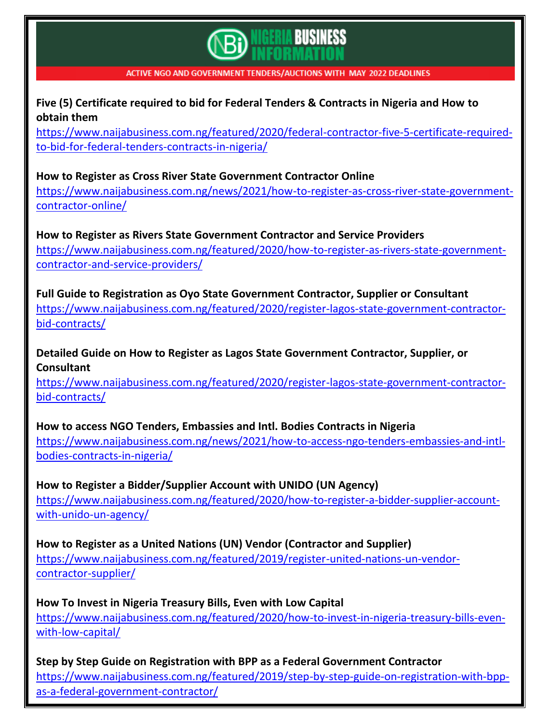# **BUSINESS**

#### ACTIVE NGO AND GOVERNMENT TENDERS/AUCTIONS WITH MAY 2022 DEADLINES

#### **Five (5) Certificate required to bid for Federal Tenders & Contracts in Nigeria and How to obtain them**

[https://www.naijabusiness.com.ng/featured/2020/federal-contractor-five-5-certificate-required](https://www.naijabusiness.com.ng/featured/2020/federal-contractor-five-5-certificate-required-to-bid-for-federal-tenders-contracts-in-nigeria/)[to-bid-for-federal-tenders-contracts-in-nigeria/](https://www.naijabusiness.com.ng/featured/2020/federal-contractor-five-5-certificate-required-to-bid-for-federal-tenders-contracts-in-nigeria/)

#### **How to Register as Cross River State Government Contractor Online**

[https://www.naijabusiness.com.ng/news/2021/how-to-register-as-cross-river-state-government](https://www.naijabusiness.com.ng/news/2021/how-to-register-as-cross-river-state-government-contractor-online/)[contractor-online/](https://www.naijabusiness.com.ng/news/2021/how-to-register-as-cross-river-state-government-contractor-online/)

**How to Register as Rivers State Government Contractor and Service Providers** [https://www.naijabusiness.com.ng/featured/2020/how-to-register-as-rivers-state-government](https://www.naijabusiness.com.ng/featured/2020/how-to-register-as-rivers-state-government-contractor-and-service-providers/)[contractor-and-service-providers/](https://www.naijabusiness.com.ng/featured/2020/how-to-register-as-rivers-state-government-contractor-and-service-providers/)

**Full Guide to Registration as Oyo State Government Contractor, Supplier or Consultant** [https://www.naijabusiness.com.ng/featured/2020/register-lagos-state-government-contractor](https://www.naijabusiness.com.ng/featured/2020/register-lagos-state-government-contractor-bid-contracts/)[bid-contracts/](https://www.naijabusiness.com.ng/featured/2020/register-lagos-state-government-contractor-bid-contracts/)

**Detailed Guide on How to Register as Lagos State Government Contractor, Supplier, or Consultant**

[https://www.naijabusiness.com.ng/featured/2020/register-lagos-state-government-contractor](https://www.naijabusiness.com.ng/featured/2020/register-lagos-state-government-contractor-bid-contracts/)[bid-contracts/](https://www.naijabusiness.com.ng/featured/2020/register-lagos-state-government-contractor-bid-contracts/)

#### **How to access NGO Tenders, Embassies and Intl. Bodies Contracts in Nigeria**

[https://www.naijabusiness.com.ng/news/2021/how-to-access-ngo-tenders-embassies-and-intl](https://www.naijabusiness.com.ng/news/2021/how-to-access-ngo-tenders-embassies-and-intl-bodies-contracts-in-nigeria/)[bodies-contracts-in-nigeria/](https://www.naijabusiness.com.ng/news/2021/how-to-access-ngo-tenders-embassies-and-intl-bodies-contracts-in-nigeria/)

#### **How to Register a Bidder/Supplier Account with UNIDO (UN Agency)**

[https://www.naijabusiness.com.ng/featured/2020/how-to-register-a-bidder-supplier-account](https://www.naijabusiness.com.ng/featured/2020/how-to-register-a-bidder-supplier-account-with-unido-un-agency/)[with-unido-un-agency/](https://www.naijabusiness.com.ng/featured/2020/how-to-register-a-bidder-supplier-account-with-unido-un-agency/)

**How to Register as a United Nations (UN) Vendor (Contractor and Supplier)**

[https://www.naijabusiness.com.ng/featured/2019/register-united-nations-un-vendor](https://www.naijabusiness.com.ng/featured/2019/register-united-nations-un-vendor-contractor-supplier/)[contractor-supplier/](https://www.naijabusiness.com.ng/featured/2019/register-united-nations-un-vendor-contractor-supplier/)

#### **How To Invest in Nigeria Treasury Bills, Even with Low Capital**

[https://www.naijabusiness.com.ng/featured/2020/how-to-invest-in-nigeria-treasury-bills-even](https://www.naijabusiness.com.ng/featured/2020/how-to-invest-in-nigeria-treasury-bills-even-with-low-capital/)[with-low-capital/](https://www.naijabusiness.com.ng/featured/2020/how-to-invest-in-nigeria-treasury-bills-even-with-low-capital/)

## **Step by Step Guide on Registration with BPP as a Federal Government Contractor**

[https://www.naijabusiness.com.ng/featured/2019/step-by-step-guide-on-registration-with-bpp](https://www.naijabusiness.com.ng/featured/2019/step-by-step-guide-on-registration-with-bpp-as-a-federal-government-contractor/)[as-a-federal-government-contractor/](https://www.naijabusiness.com.ng/featured/2019/step-by-step-guide-on-registration-with-bpp-as-a-federal-government-contractor/)